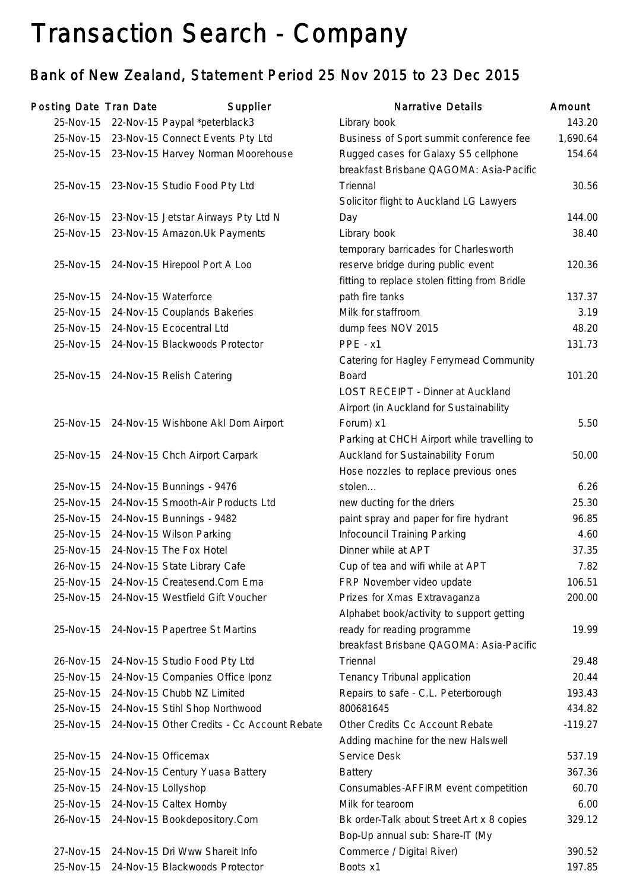# Transaction Search - Company

## Bank of New Zealand, Statement Period 25 Nov 2015 to 23 Dec 2015

| Posting Date Tran Date |                     | Supplier                                    | <b>Narrative Details</b>                      | Amount    |
|------------------------|---------------------|---------------------------------------------|-----------------------------------------------|-----------|
| 25-Nov-15              |                     | 22-Nov-15 Paypal *peterblack3               | Library book                                  | 143.20    |
| 25-Nov-15              |                     | 23-Nov-15 Connect Events Pty Ltd            | Business of Sport summit conference fee       | 1,690.64  |
| 25-Nov-15              |                     | 23-Nov-15 Harvey Norman Moorehouse          | Rugged cases for Galaxy S5 cellphone          | 154.64    |
|                        |                     |                                             | breakfast Brisbane QAGOMA: Asia-Pacific       |           |
| 25-Nov-15              |                     | 23-Nov-15 Studio Food Pty Ltd               | Triennal                                      | 30.56     |
|                        |                     |                                             | Solicitor flight to Auckland LG Lawyers       |           |
| 26-Nov-15              |                     | 23-Nov-15 Jetstar Airways Pty Ltd N         | Day                                           | 144.00    |
| 25-Nov-15              |                     | 23-Nov-15 Amazon. Uk Payments               | Library book                                  | 38.40     |
|                        |                     |                                             | temporary barricades for Charlesworth         |           |
| 25-Nov-15              |                     | 24-Nov-15 Hirepool Port A Loo               | reserve bridge during public event            | 120.36    |
|                        |                     |                                             | fitting to replace stolen fitting from Bridle |           |
| 25-Nov-15              |                     | 24-Nov-15 Waterforce                        | path fire tanks                               | 137.37    |
| 25-Nov-15              |                     | 24-Nov-15 Couplands Bakeries                | Milk for staffroom                            | 3.19      |
| 25-Nov-15              |                     | 24-Nov-15 Ecocentral Ltd                    | dump fees NOV 2015                            | 48.20     |
| 25-Nov-15              |                     | 24-Nov-15 Blackwoods Protector              | PPE - x1                                      | 131.73    |
|                        |                     |                                             | Catering for Hagley Ferrymead Community       |           |
| 25-Nov-15              |                     | 24-Nov-15 Relish Catering                   | <b>Board</b>                                  | 101.20    |
|                        |                     |                                             | LOST RECEIPT - Dinner at Auckland             |           |
|                        |                     |                                             | Airport (in Auckland for Sustainability       |           |
| 25-Nov-15              |                     | 24-Nov-15 Wishbone Akl Dom Airport          | Forum) x1                                     | 5.50      |
|                        |                     |                                             | Parking at CHCH Airport while travelling to   |           |
| 25-Nov-15              |                     | 24-Nov-15 Chch Airport Carpark              | Auckland for Sustainability Forum             | 50.00     |
|                        |                     |                                             | Hose nozzles to replace previous ones         |           |
| 25-Nov-15              |                     | 24-Nov-15 Bunnings - 9476                   | stolen                                        | 6.26      |
| 25-Nov-15              |                     | 24-Nov-15 Smooth-Air Products Ltd           | new ducting for the driers                    | 25.30     |
| 25-Nov-15              |                     | 24-Nov-15 Bunnings - 9482                   | paint spray and paper for fire hydrant        | 96.85     |
| 25-Nov-15              |                     | 24-Nov-15 Wilson Parking                    | Infocouncil Training Parking                  | 4.60      |
| 25-Nov-15              |                     | 24-Nov-15 The Fox Hotel                     | Dinner while at APT                           | 37.35     |
| 26-Nov-15              |                     | 24-Nov-15 State Library Cafe                | Cup of tea and wifi while at APT              | 7.82      |
| 25-Nov-15              |                     | 24-Nov-15 Createsend.Com Ema                | FRP November video update                     | 106.51    |
| 25-Nov-15              |                     | 24-Nov-15 Westfield Gift Voucher            | Prizes for Xmas Extravaganza                  | 200.00    |
|                        |                     |                                             | Alphabet book/activity to support getting     |           |
| 25-Nov-15              |                     | 24-Nov-15 Papertree St Martins              | ready for reading programme                   | 19.99     |
|                        |                     |                                             | breakfast Brisbane QAGOMA: Asia-Pacific       |           |
| 26-Nov-15              |                     | 24-Nov-15 Studio Food Pty Ltd               | Triennal                                      | 29.48     |
| 25-Nov-15              |                     | 24-Nov-15 Companies Office Iponz            | Tenancy Tribunal application                  | 20.44     |
| 25-Nov-15              |                     | 24-Nov-15 Chubb NZ Limited                  | Repairs to safe - C.L. Peterborough           | 193.43    |
| 25-Nov-15              |                     | 24-Nov-15 Stihl Shop Northwood              | 800681645                                     | 434.82    |
| 25-Nov-15              |                     | 24-Nov-15 Other Credits - Cc Account Rebate | Other Credits Cc Account Rebate               | $-119.27$ |
|                        |                     |                                             | Adding machine for the new Halswell           |           |
| 25-Nov-15              |                     | 24-Nov-15 Officemax                         | Service Desk                                  | 537.19    |
| 25-Nov-15              |                     | 24-Nov-15 Century Yuasa Battery             | <b>Battery</b>                                | 367.36    |
| 25-Nov-15              | 24-Nov-15 Lollyshop |                                             | Consumables-AFFIRM event competition          | 60.70     |
| 25-Nov-15              |                     | 24-Nov-15 Caltex Hornby                     | Milk for tearoom                              | 6.00      |
| 26-Nov-15              |                     | 24-Nov-15 Bookdepository.Com                | Bk order-Talk about Street Art x 8 copies     | 329.12    |
|                        |                     |                                             | Bop-Up annual sub: Share-IT (My               |           |
| 27-Nov-15              |                     | 24-Nov-15 Dri Www Shareit Info              | Commerce / Digital River)                     | 390.52    |
| 25-Nov-15              |                     | 24-Nov-15 Blackwoods Protector              | Boots x1                                      | 197.85    |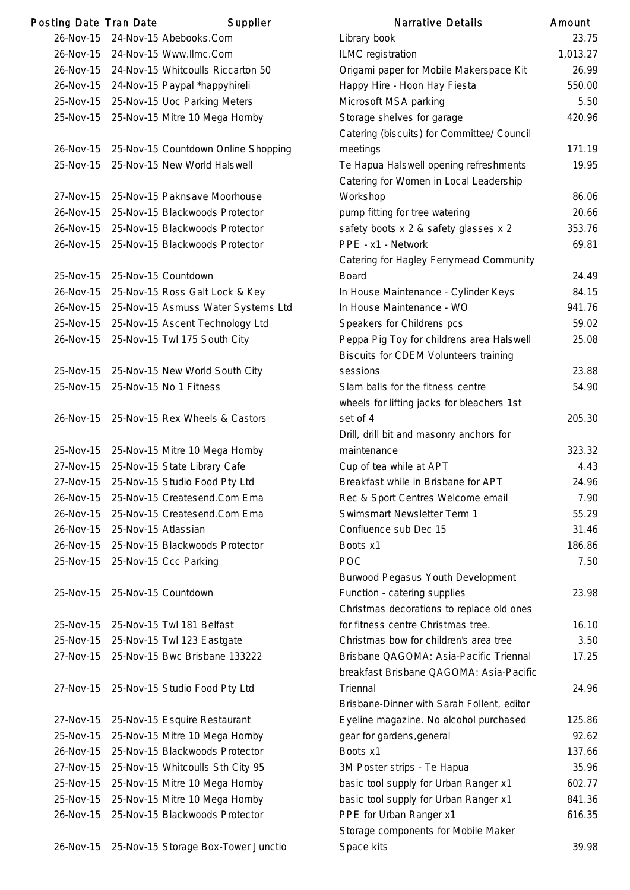| Posting Date Tran Date |                     | Supplier                                | <b>Narrative Details</b>                   | Amount         |
|------------------------|---------------------|-----------------------------------------|--------------------------------------------|----------------|
| 26-Nov-15              |                     | 24-Nov-15 Abebooks.Com                  | Library book                               | 23.            |
| 26-Nov-15              |                     | 24-Nov-15 Www.llmc.Com                  | ILMC registration                          | 1,013.2        |
| 26-Nov-15              |                     | 24-Nov-15 Whitcoulls Riccarton 50       | Origami paper for Mobile Makerspace Kit    | 26.9           |
|                        |                     | 26-Nov-15 24-Nov-15 Paypal *happyhireli | Happy Hire - Hoon Hay Fiesta               | 550.0          |
| 25-Nov-15              |                     | 25-Nov-15 Uoc Parking Meters            | Microsoft MSA parking                      | 5.5            |
| 25-Nov-15              |                     | 25-Nov-15 Mitre 10 Mega Hornby          | Storage shelves for garage                 | 420.           |
|                        |                     |                                         | Catering (biscuits) for Committee/ Council |                |
| 26-Nov-15              |                     | 25-Nov-15 Countdown Online Shopping     | meetings                                   | 171.7          |
| 25-Nov-15              |                     | 25-Nov-15 New World Halswell            | Te Hapua Halswell opening refreshments     | 19.9           |
|                        |                     |                                         | Catering for Women in Local Leadership     |                |
| 27-Nov-15              |                     | 25-Nov-15 Paknsave Moorhouse            | Workshop                                   | 86.0           |
| 26-Nov-15              |                     | 25-Nov-15 Blackwoods Protector          | pump fitting for tree watering             | 20.6           |
| 26-Nov-15              |                     | 25-Nov-15 Blackwoods Protector          | safety boots x 2 & safety glasses x 2      | 353.           |
| 26-Nov-15              |                     | 25-Nov-15 Blackwoods Protector          | PPE - x1 - Network                         | 69.8           |
|                        |                     |                                         | Catering for Hagley Ferrymead Community    |                |
| 25-Nov-15              |                     | 25-Nov-15 Countdown                     | <b>Board</b>                               | 24.4           |
| 26-Nov-15              |                     | 25-Nov-15 Ross Galt Lock & Key          | In House Maintenance - Cylinder Keys       | 84.7           |
| 26-Nov-15              |                     | 25-Nov-15 Asmuss Water Systems Ltd      | In House Maintenance - WO                  | 941.           |
| 25-Nov-15              |                     | 25-Nov-15 Ascent Technology Ltd         | Speakers for Childrens pcs                 | 59.0           |
| 26-Nov-15              |                     | 25-Nov-15 Twl 175 South City            | Peppa Pig Toy for childrens area Halswell  | 25.0           |
|                        |                     |                                         | Biscuits for CDEM Volunteers training      |                |
| 25-Nov-15              |                     | 25-Nov-15 New World South City          | sessions                                   | 23.8           |
| 25-Nov-15              |                     | 25-Nov-15 No 1 Fitness                  | Slam balls for the fitness centre          | 54.9           |
|                        |                     |                                         | wheels for lifting jacks for bleachers 1st |                |
| 26-Nov-15              |                     | 25-Nov-15 Rex Wheels & Castors          | set of 4                                   | 205.           |
|                        |                     |                                         | Drill, drill bit and masonry anchors for   |                |
| 25-Nov-15              |                     | 25-Nov-15 Mitre 10 Mega Hornby          | maintenance                                | 323.3          |
| 27-Nov-15              |                     | 25-Nov-15 State Library Cafe            | Cup of tea while at APT                    | 4.4            |
| 27-Nov-15              |                     | 25-Nov-15 Studio Food Pty Ltd           | Breakfast while in Brisbane for APT        | 24.9           |
| 26-Nov-15              |                     | 25-Nov-15 Createsend.Com Ema            | Rec & Sport Centres Welcome email          | 7 <sup>1</sup> |
| 26-Nov-15              |                     | 25-Nov-15 Createsend.Com Ema            | Swimsmart Newsletter Term 1                | 55.2           |
| 26-Nov-15              | 25-Nov-15 Atlassian |                                         | Confluence sub Dec 15                      | 31.4           |
| 26-Nov-15              |                     | 25-Nov-15 Blackwoods Protector          | Boots x1                                   | 186.8          |
| 25-Nov-15              |                     | 25-Nov-15 Ccc Parking                   | <b>POC</b>                                 | 7.5            |
|                        |                     |                                         | Burwood Pegasus Youth Development          |                |
| 25-Nov-15              |                     | 25-Nov-15 Countdown                     | Function - catering supplies               | 23.9           |
|                        |                     |                                         | Christmas decorations to replace old ones  |                |
| 25-Nov-15              |                     | 25-Nov-15 Twl 181 Belfast               | for fitness centre Christmas tree.         | 16.7           |
| 25-Nov-15              |                     | 25-Nov-15 Twl 123 Eastgate              | Christmas bow for children's area tree     | 3.5            |
| 27-Nov-15              |                     | 25-Nov-15 Bwc Brisbane 133222           | Brisbane QAGOMA: Asia-Pacific Triennal     | 17.2           |
|                        |                     |                                         | breakfast Brisbane QAGOMA: Asia-Pacific    |                |
| 27-Nov-15              |                     | 25-Nov-15 Studio Food Pty Ltd           | Triennal                                   | 24.9           |
|                        |                     |                                         | Brisbane-Dinner with Sarah Follent, editor |                |
| 27-Nov-15              |                     | 25-Nov-15 Esquire Restaurant            | Eyeline magazine. No alcohol purchased     | 125.8          |
| 25-Nov-15              |                     | 25-Nov-15 Mitre 10 Mega Hornby          | gear for gardens, general                  | 92.0           |
| 26-Nov-15              |                     | 25-Nov-15 Blackwoods Protector          | Boots x1                                   | 137.6          |
| 27-Nov-15              |                     | 25-Nov-15 Whitcoulls Sth City 95        | 3M Poster strips - Te Hapua                | 35.9           |
| 25-Nov-15              |                     | 25-Nov-15 Mitre 10 Mega Hornby          | basic tool supply for Urban Ranger x1      | 602.           |
| 25-Nov-15              |                     | 25-Nov-15 Mitre 10 Mega Hornby          | basic tool supply for Urban Ranger x1      | 841.3          |
| 26-Nov-15              |                     | 25-Nov-15 Blackwoods Protector          | PPE for Urban Ranger x1                    | 616.3          |
|                        |                     |                                         | Storage components for Mobile Maker        |                |

|           | ing Date Tran Date  | Supplier                                      | <b>Narrative Details</b>                       | Amount   |
|-----------|---------------------|-----------------------------------------------|------------------------------------------------|----------|
| 26-Nov-15 |                     | 24-Nov-15 Abebooks.Com                        | Library book                                   | 23.75    |
| 26-Nov-15 |                     | 24-Nov-15 Www.llmc.Com                        | <b>ILMC</b> registration                       | 1,013.27 |
| 26-Nov-15 |                     | 24-Nov-15 Whitcoulls Riccarton 50             | Origami paper for Mobile Makerspace Kit        | 26.99    |
| 26-Nov-15 |                     | 24-Nov-15 Paypal *happyhireli                 | Happy Hire - Hoon Hay Fiesta                   | 550.00   |
| 25-Nov-15 |                     | 25-Nov-15 Uoc Parking Meters                  | Microsoft MSA parking                          | 5.50     |
| 25-Nov-15 |                     | 25-Nov-15 Mitre 10 Mega Hornby                | Storage shelves for garage                     | 420.96   |
|           |                     |                                               | Catering (biscuits) for Committee/ Council     |          |
| 26-Nov-15 |                     | 25-Nov-15 Countdown Online Shopping           | meetings                                       | 171.19   |
| 25-Nov-15 |                     | 25-Nov-15 New World Halswell                  | Te Hapua Halswell opening refreshments         | 19.95    |
|           |                     |                                               | Catering for Women in Local Leadership         |          |
| 27-Nov-15 |                     | 25-Nov-15 Paknsave Moorhouse                  | Workshop                                       | 86.06    |
| 26-Nov-15 |                     | 25-Nov-15 Blackwoods Protector                | pump fitting for tree watering                 | 20.66    |
| 26-Nov-15 |                     | 25-Nov-15 Blackwoods Protector                | safety boots x 2 & safety glasses x 2          | 353.76   |
| 26-Nov-15 |                     | 25-Nov-15 Blackwoods Protector                | PPE - x1 - Network                             | 69.81    |
|           |                     |                                               | <b>Catering for Hagley Ferrymead Community</b> |          |
| 25-Nov-15 |                     | 25-Nov-15 Countdown                           | <b>Board</b>                                   | 24.49    |
| 26-Nov-15 |                     | 25-Nov-15 Ross Galt Lock & Key                | In House Maintenance - Cylinder Keys           | 84.15    |
| 26-Nov-15 |                     | 25-Nov-15 Asmuss Water Systems Ltd            | In House Maintenance - WO                      | 941.76   |
| 25-Nov-15 |                     | 25-Nov-15 Ascent Technology Ltd               | Speakers for Childrens pcs                     | 59.02    |
| 26-Nov-15 |                     | 25-Nov-15 Twl 175 South City                  | Peppa Pig Toy for childrens area Halswell      | 25.08    |
|           |                     |                                               | <b>Biscuits for CDEM Volunteers training</b>   |          |
| 25-Nov-15 |                     | 25-Nov-15 New World South City                | sessions                                       | 23.88    |
| 25-Nov-15 |                     | 25-Nov-15 No 1 Fitness                        | Slam balls for the fitness centre              | 54.90    |
|           |                     |                                               | wheels for lifting jacks for bleachers 1st     |          |
| 26-Nov-15 |                     | 25-Nov-15 Rex Wheels & Castors                | set of 4                                       | 205.30   |
|           |                     |                                               | Drill, drill bit and masonry anchors for       |          |
| 25-Nov-15 |                     | 25-Nov-15 Mitre 10 Mega Hornby                | maintenance                                    | 323.32   |
| 27-Nov-15 |                     | 25-Nov-15 State Library Cafe                  | Cup of tea while at APT                        | 4.43     |
|           |                     | 27-Nov-15 25-Nov-15 Studio Food Pty Ltd       | Breakfast while in Brisbane for APT            | 24.96    |
|           |                     | 26-Nov-15 25-Nov-15 Createsend.Com Ema        | Rec & Sport Centres Welcome email              | 7.90     |
| 26-Nov-15 |                     | 25-Nov-15 Createsend.Com Ema                  | Swimsmart Newsletter Term 1                    | 55.29    |
| 26-Nov-15 | 25-Nov-15 Atlassian |                                               | Confluence sub Dec 15                          | 31.46    |
| 26-Nov-15 |                     | 25-Nov-15 Blackwoods Protector                | Boots x1                                       | 186.86   |
| 25-Nov-15 |                     | 25-Nov-15 Ccc Parking                         | POC                                            | 7.50     |
|           |                     |                                               | Burwood Pegasus Youth Development              |          |
| 25-Nov-15 |                     | 25-Nov-15 Countdown                           | Function - catering supplies                   | 23.98    |
|           |                     |                                               | Christmas decorations to replace old ones      |          |
| 25-Nov-15 |                     | 25-Nov-15 Twl 181 Belfast                     | for fitness centre Christmas tree.             | 16.10    |
| 25-Nov-15 |                     | 25-Nov-15 Twl 123 Eastgate                    | Christmas bow for children's area tree         | 3.50     |
| 27-Nov-15 |                     | 25-Nov-15 Bwc Brisbane 133222                 | Brisbane QAGOMA: Asia-Pacific Triennal         | 17.25    |
|           |                     |                                               | breakfast Brisbane QAGOMA: Asia-Pacific        |          |
| 27-Nov-15 |                     | 25-Nov-15 Studio Food Pty Ltd                 | Triennal                                       | 24.96    |
|           |                     |                                               | Brisbane-Dinner with Sarah Follent, editor     |          |
| 27-Nov-15 |                     | 25-Nov-15 Esquire Restaurant                  | Eyeline magazine. No alcohol purchased         | 125.86   |
| 25-Nov-15 |                     | 25-Nov-15 Mitre 10 Mega Hornby                | gear for gardens, general                      | 92.62    |
| 26-Nov-15 |                     | 25-Nov-15 Blackwoods Protector                | Boots x1                                       | 137.66   |
| 27-Nov-15 |                     | 25-Nov-15 Whitcoulls Sth City 95              | 3M Poster strips - Te Hapua                    | 35.96    |
| 25-Nov-15 |                     | 25-Nov-15 Mitre 10 Mega Hornby                | basic tool supply for Urban Ranger x1          | 602.77   |
| 25-Nov-15 |                     | 25-Nov-15 Mitre 10 Mega Hornby                | basic tool supply for Urban Ranger x1          | 841.36   |
| 26-Nov-15 |                     | 25-Nov-15 Blackwoods Protector                | PPE for Urban Ranger x1                        | 616.35   |
|           |                     |                                               | Storage components for Mobile Maker            |          |
|           |                     | 26-Nov-15 25-Nov-15 Storage Box-Tower Junctio | Space kits                                     | 39.98    |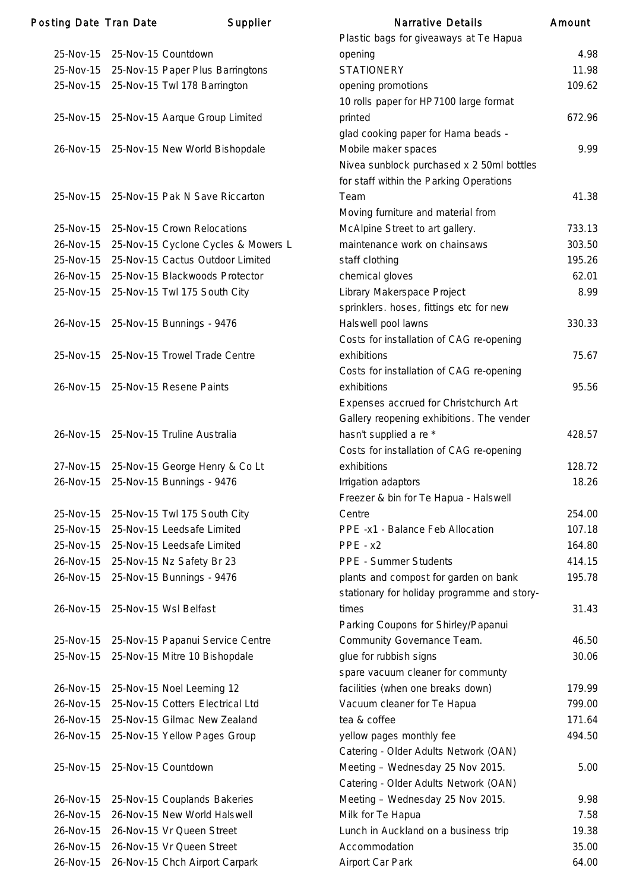| <b>Posting Date Tran Date</b> |                               | <b>Supplier</b>                          | <b>Narrative Details</b>                                | Amount |
|-------------------------------|-------------------------------|------------------------------------------|---------------------------------------------------------|--------|
|                               |                               |                                          | Plastic bags for giveaways at Te Hapua                  |        |
|                               | 25-Nov-15 25-Nov-15 Countdown |                                          | opening                                                 | 4.98   |
| 25-Nov-15                     |                               | 25-Nov-15 Paper Plus Barringtons         | <b>STATIONERY</b>                                       | 11.98  |
|                               |                               | 25-Nov-15 25-Nov-15 Twl 178 Barrington   | opening promotions                                      | 109.62 |
|                               |                               |                                          | 10 rolls paper for HP7100 large format                  |        |
|                               |                               | 25-Nov-15 25-Nov-15 Aarque Group Limited | printed                                                 | 672.96 |
|                               |                               |                                          | glad cooking paper for Hama beads -                     |        |
| 26-Nov-15                     |                               | 25-Nov-15 New World Bishopdale           | Mobile maker spaces                                     | 9.99   |
|                               |                               |                                          | Nivea sunblock purchased x 2 50ml bottles               |        |
|                               |                               |                                          | for staff within the Parking Operations                 |        |
| 25-Nov-15                     |                               | 25-Nov-15 Pak N Save Riccarton           | Team                                                    | 41.38  |
|                               |                               |                                          | Moving furniture and material from                      |        |
| 25-Nov-15                     |                               | 25-Nov-15 Crown Relocations              | McAlpine Street to art gallery.                         | 733.13 |
| 26-Nov-15                     |                               | 25-Nov-15 Cyclone Cycles & Mowers L      | maintenance work on chainsaws                           | 303.50 |
| 25-Nov-15                     |                               | 25-Nov-15 Cactus Outdoor Limited         | staff clothing                                          | 195.26 |
|                               |                               | 26-Nov-15 25-Nov-15 Blackwoods Protector | chemical gloves                                         | 62.01  |
| 25-Nov-15                     |                               | 25-Nov-15 Twl 175 South City             | Library Makerspace Project                              | 8.99   |
|                               |                               |                                          | sprinklers. hoses, fittings etc for new                 |        |
| 26-Nov-15                     |                               | 25-Nov-15 Bunnings - 9476                | Halswell pool lawns                                     | 330.33 |
|                               |                               |                                          | Costs for installation of CAG re-opening                |        |
|                               |                               | 25-Nov-15 25-Nov-15 Trowel Trade Centre  | exhibitions                                             | 75.67  |
|                               |                               |                                          | Costs for installation of CAG re-opening                |        |
| 26-Nov-15                     |                               | 25-Nov-15 Resene Paints                  | exhibitions                                             | 95.56  |
|                               |                               |                                          | Expenses accrued for Christchurch Art                   |        |
|                               |                               |                                          | Gallery reopening exhibitions. The vender               |        |
|                               |                               | 26-Nov-15 25-Nov-15 Truline Australia    | hasn't supplied a re *                                  | 428.57 |
|                               |                               |                                          |                                                         |        |
|                               |                               |                                          | Costs for installation of CAG re-opening<br>exhibitions |        |
|                               |                               | 27-Nov-15 25-Nov-15 George Henry & Co Lt |                                                         | 128.72 |
| 26-Nov-15                     |                               | 25-Nov-15 Bunnings - 9476                | Irrigation adaptors                                     | 18.26  |
|                               |                               |                                          | Freezer & bin for Te Hapua - Halswell                   |        |
| 25-Nov-15                     |                               | 25-Nov-15 Twl 175 South City             | Centre                                                  | 254.00 |
| 25-Nov-15                     |                               | 25-Nov-15 Leedsafe Limited               | PPE -x1 - Balance Feb Allocation                        | 107.18 |
| 25-Nov-15                     |                               | 25-Nov-15 Leedsafe Limited               | $PPE - x2$                                              | 164.80 |
| 26-Nov-15                     |                               | 25-Nov-15 Nz Safety Br 23                | <b>PPE - Summer Students</b>                            | 414.15 |
| 26-Nov-15                     |                               | 25-Nov-15 Bunnings - 9476                | plants and compost for garden on bank                   | 195.78 |
|                               |                               |                                          | stationary for holiday programme and story-             |        |
| 26-Nov-15                     |                               | 25-Nov-15 Wsl Belfast                    | times                                                   | 31.43  |
|                               |                               |                                          | Parking Coupons for Shirley/Papanui                     |        |
| 25-Nov-15                     |                               | 25-Nov-15 Papanui Service Centre         | Community Governance Team.                              | 46.50  |
| 25-Nov-15                     |                               | 25-Nov-15 Mitre 10 Bishopdale            | glue for rubbish signs                                  | 30.06  |
|                               |                               |                                          | spare vacuum cleaner for communty                       |        |
| 26-Nov-15                     |                               | 25-Nov-15 Noel Leeming 12                | facilities (when one breaks down)                       | 179.99 |
| 26-Nov-15                     |                               | 25-Nov-15 Cotters Electrical Ltd         | Vacuum cleaner for Te Hapua                             | 799.00 |
| 26-Nov-15                     |                               | 25-Nov-15 Gilmac New Zealand             | tea & coffee                                            | 171.64 |
| 26-Nov-15                     |                               | 25-Nov-15 Yellow Pages Group             | yellow pages monthly fee                                | 494.50 |
|                               |                               |                                          | Catering - Older Adults Network (OAN)                   |        |
| 25-Nov-15                     |                               | 25-Nov-15 Countdown                      | Meeting - Wednesday 25 Nov 2015.                        | 5.00   |
|                               |                               |                                          | Catering - Older Adults Network (OAN)                   |        |
| 26-Nov-15                     |                               | 25-Nov-15 Couplands Bakeries             | Meeting - Wednesday 25 Nov 2015.                        | 9.98   |
| 26-Nov-15                     |                               | 26-Nov-15 New World Halswell             | Milk for Te Hapua                                       | 7.58   |
| 26-Nov-15                     |                               | 26-Nov-15 Vr Queen Street                | Lunch in Auckland on a business trip                    | 19.38  |
| 26-Nov-15                     |                               | 26-Nov-15 Vr Queen Street                | Accommodation                                           | 35.00  |
| 26-Nov-15                     |                               | 26-Nov-15 Chch Airport Carpark           | Airport Car Park                                        | 64.00  |
|                               |                               |                                          |                                                         |        |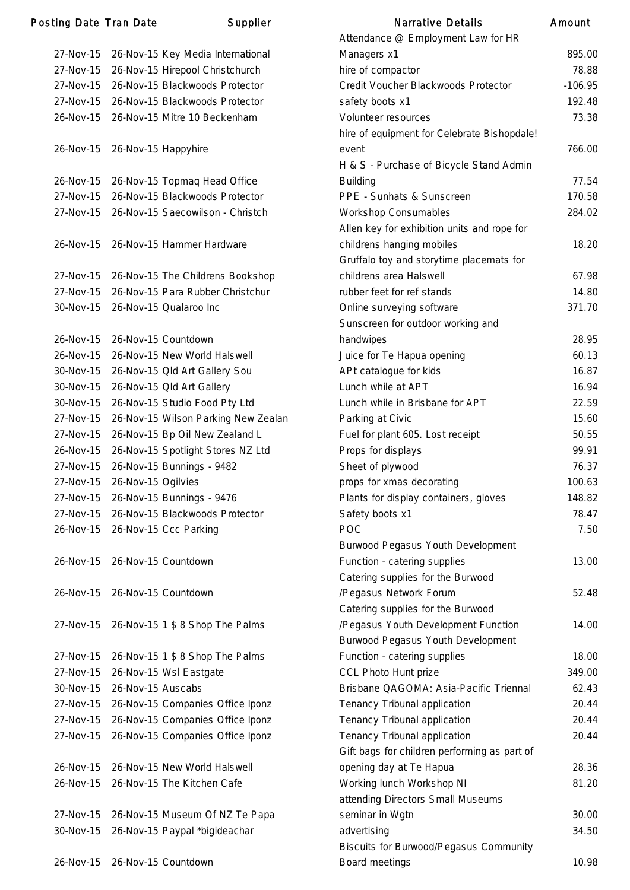### Posting Date Tran Date Supplier

| 27-Nov-15 |                     | 26-Nov-15 Key Media International   |
|-----------|---------------------|-------------------------------------|
| 27-Nov-15 |                     | 26-Nov-15 Hirepool Christchurch     |
| 27-Nov-15 |                     | 26-Nov-15 Blackwoods Protector      |
| 27-Nov-15 |                     | 26-Nov-15 Blackwoods Protector      |
| 26-Nov-15 |                     | 26-Nov-15 Mitre 10 Beckenham        |
|           |                     |                                     |
| 26-Nov-15 | 26-Nov-15 Happyhire |                                     |
| 26-Nov-15 |                     | 26-Nov-15 Topmag Head Office        |
| 27-Nov-15 |                     | 26-Nov-15 Blackwoods Protector      |
| 27-Nov-15 |                     | 26-Nov-15 Saecowilson - Christch    |
| 26-Nov-15 |                     | 26-Nov-15 Hammer Hardware           |
|           |                     |                                     |
| 27-Nov-15 |                     | 26-Nov-15 The Childrens Bookshop    |
| 27-Nov-15 |                     | 26-Nov-15 Para Rubber Christchur    |
| 30-Nov-15 |                     | 26-Nov-15 Qualaroo Inc              |
| 26-Nov-15 |                     | 26-Nov-15 Countdown                 |
| 26-Nov-15 |                     | 26-Nov-15 New World Halswell        |
| 30-Nov-15 |                     | 26-Nov-15 Old Art Gallery Sou       |
| 30-Nov-15 |                     | 26-Nov-15 Old Art Gallery           |
| 30-Nov-15 |                     | 26-Nov-15 Studio Food Pty Ltd       |
| 27-Nov-15 |                     | 26-Nov-15 Wilson Parking New Zealar |
|           |                     |                                     |
| 27-Nov-15 |                     | 26-Nov-15 Bp Oil New Zealand L      |
| 26-Nov-15 |                     | 26-Nov-15 Spotlight Stores NZ Ltd   |
| 27-Nov-15 |                     | 26-Nov-15 Bunnings - 9482           |
| 27-Nov-15 | 26-Nov-15 Ogilvies  |                                     |
| 27-Nov-15 |                     | 26-Nov-15 Bunnings - 9476           |
| 27-Nov-15 |                     | 26-Nov-15 Blackwoods Protector      |
| 26-Nov-15 |                     | 26-Nov-15 Ccc Parking               |
| 26-Nov-15 |                     | 26-Nov-15 Countdown                 |
| 26-Nov-15 |                     | 26-Nov-15 Countdown                 |
|           |                     |                                     |
| 27-Nov-15 |                     | 26-Nov-15 1 \$ 8 Shop The Palms     |
|           |                     |                                     |
| 27-Nov-15 |                     | 26-Nov-15 1 \$ 8 Shop The Palms     |
| 27-Nov-15 |                     | 26-Nov-15 Wsl Eastgate              |
| 30-Nov-15 | 26-Nov-15 Auscabs   |                                     |
| 27-Nov-15 |                     | 26-Nov-15 Companies Office Iponz    |
| 27-Nov-15 |                     | 26-Nov-15 Companies Office Iponz    |
| 27-Nov-15 |                     | 26-Nov-15 Companies Office Iponz    |
| 26-Nov-15 |                     | 26-Nov-15 New World Halswell        |
| 26-Nov-15 |                     | 26-Nov-15 The Kitchen Cafe          |
|           |                     |                                     |
| 27-Nov-15 |                     | 26-Nov-15 Museum Of NZ Te Papa      |
| 30-Nov-15 |                     | 26-Nov-15 Paypal *bigideachar       |
|           |                     |                                     |
| 26-Nov-15 |                     | 26-Nov-15 Countdown                 |

|           | ing Date Tran Date  | Supplier                            | <b>Narrative Details</b>                                                | Amount    |
|-----------|---------------------|-------------------------------------|-------------------------------------------------------------------------|-----------|
|           |                     |                                     | Attendance @ Employment Law for HR                                      |           |
| 27-Nov-15 |                     | 26-Nov-15 Key Media International   | Managers x1                                                             | 895.00    |
| 27-Nov-15 |                     | 26-Nov-15 Hirepool Christchurch     | hire of compactor                                                       | 78.88     |
| 27-Nov-15 |                     | 26-Nov-15 Blackwoods Protector      | Credit Voucher Blackwoods Protector                                     | $-106.95$ |
| 27-Nov-15 |                     | 26-Nov-15 Blackwoods Protector      | safety boots x1                                                         | 192.48    |
| 26-Nov-15 |                     | 26-Nov-15 Mitre 10 Beckenham        | Volunteer resources                                                     | 73.38     |
|           |                     |                                     | hire of equipment for Celebrate Bishopdale!                             |           |
| 26-Nov-15 | 26-Nov-15 Happyhire |                                     | event                                                                   | 766.00    |
|           |                     |                                     | H & S - Purchase of Bicycle Stand Admin                                 |           |
| 26-Nov-15 |                     | 26-Nov-15 Topmaq Head Office        | <b>Building</b>                                                         | 77.54     |
| 27-Nov-15 |                     | 26-Nov-15 Blackwoods Protector      | PPE - Sunhats & Sunscreen                                               | 170.58    |
| 27-Nov-15 |                     | 26-Nov-15 Saecowilson - Christch    | <b>Workshop Consumables</b>                                             | 284.02    |
|           |                     |                                     | Allen key for exhibition units and rope for                             |           |
| 26-Nov-15 |                     | 26-Nov-15 Hammer Hardware           | childrens hanging mobiles                                               | 18.20     |
|           |                     |                                     | Gruffalo toy and storytime placemats for                                |           |
| 27-Nov-15 |                     | 26-Nov-15 The Childrens Bookshop    | childrens area Halswell                                                 | 67.98     |
| 27-Nov-15 |                     | 26-Nov-15 Para Rubber Christchur    | rubber feet for ref stands                                              | 14.80     |
| 30-Nov-15 |                     | 26-Nov-15 Qualaroo Inc              | Online surveying software                                               | 371.70    |
|           |                     |                                     | Sunscreen for outdoor working and                                       |           |
| 26-Nov-15 |                     | 26-Nov-15 Countdown                 | handwipes                                                               | 28.95     |
| 26-Nov-15 |                     | 26-Nov-15 New World Halswell        | Juice for Te Hapua opening                                              | 60.13     |
| 30-Nov-15 |                     | 26-Nov-15 Old Art Gallery Sou       | APt catalogue for kids                                                  | 16.87     |
| 30-Nov-15 |                     | 26-Nov-15 Old Art Gallery           | Lunch while at APT                                                      | 16.94     |
| 30-Nov-15 |                     | 26-Nov-15 Studio Food Pty Ltd       | Lunch while in Brisbane for APT                                         | 22.59     |
| 27-Nov-15 |                     | 26-Nov-15 Wilson Parking New Zealan | Parking at Civic                                                        | 15.60     |
| 27-Nov-15 |                     | 26-Nov-15 Bp Oil New Zealand L      | Fuel for plant 605. Lost receipt                                        | 50.55     |
| 26-Nov-15 |                     | 26-Nov-15 Spotlight Stores NZ Ltd   | Props for displays                                                      | 99.91     |
| 27-Nov-15 |                     | 26-Nov-15 Bunnings - 9482           | Sheet of plywood                                                        | 76.37     |
| 27-Nov-15 | 26-Nov-15 Ogilvies  |                                     | props for xmas decorating                                               | 100.63    |
| 27-Nov-15 |                     | 26-Nov-15 Bunnings - 9476           | Plants for display containers, gloves                                   | 148.82    |
| 27-Nov-15 |                     | 26-Nov-15 Blackwoods Protector      | Safety boots x1                                                         | 78.47     |
| 26-Nov-15 |                     | 26-Nov-15 Ccc Parking               | POC                                                                     | 7.50      |
|           |                     |                                     | Burwood Pegasus Youth Development                                       |           |
| 26-Nov-15 |                     | 26-Nov-15 Countdown                 | Function - catering supplies                                            | 13.00     |
|           |                     |                                     | Catering supplies for the Burwood                                       |           |
| 26-Nov-15 |                     | 26-Nov-15 Countdown                 | /Pegasus Network Forum                                                  | 52.48     |
|           |                     |                                     | Catering supplies for the Burwood                                       |           |
| 27-Nov-15 |                     | 26-Nov-15 1 \$ 8 Shop The Palms     | /Pegasus Youth Development Function                                     | 14.00     |
|           |                     |                                     | Burwood Pegasus Youth Development                                       |           |
| 27-Nov-15 |                     | 26-Nov-15 1 \$ 8 Shop The Palms     | Function - catering supplies                                            | 18.00     |
| 27-Nov-15 |                     | 26-Nov-15 Wsl Eastgate              | <b>CCL Photo Hunt prize</b>                                             | 349.00    |
| 30-Nov-15 | 26-Nov-15 Auscabs   |                                     | Brisbane QAGOMA: Asia-Pacific Triennal                                  | 62.43     |
| 27-Nov-15 |                     | 26-Nov-15 Companies Office Iponz    | Tenancy Tribunal application                                            | 20.44     |
| 27-Nov-15 |                     | 26-Nov-15 Companies Office Iponz    | Tenancy Tribunal application                                            | 20.44     |
| 27-Nov-15 |                     | 26-Nov-15 Companies Office Iponz    | Tenancy Tribunal application                                            | 20.44     |
|           |                     |                                     |                                                                         |           |
| 26-Nov-15 |                     | 26-Nov-15 New World Halswell        | Gift bags for children performing as part of<br>opening day at Te Hapua | 28.36     |
| 26-Nov-15 |                     | 26-Nov-15 The Kitchen Cafe          | Working lunch Workshop NI                                               | 81.20     |
|           |                     |                                     | attending Directors Small Museums                                       |           |
| 27-Nov-15 |                     | 26-Nov-15 Museum Of NZ Te Papa      | seminar in Wgtn                                                         | 30.00     |
| 30-Nov-15 |                     | 26-Nov-15 Paypal *bigideachar       | advertising                                                             | 34.50     |
|           |                     |                                     | <b>Biscuits for Burwood/Pegasus Community</b>                           |           |
| 26-Nov-15 |                     | 26-Nov-15 Countdown                 | Board meetings                                                          | 10.98     |
|           |                     |                                     |                                                                         |           |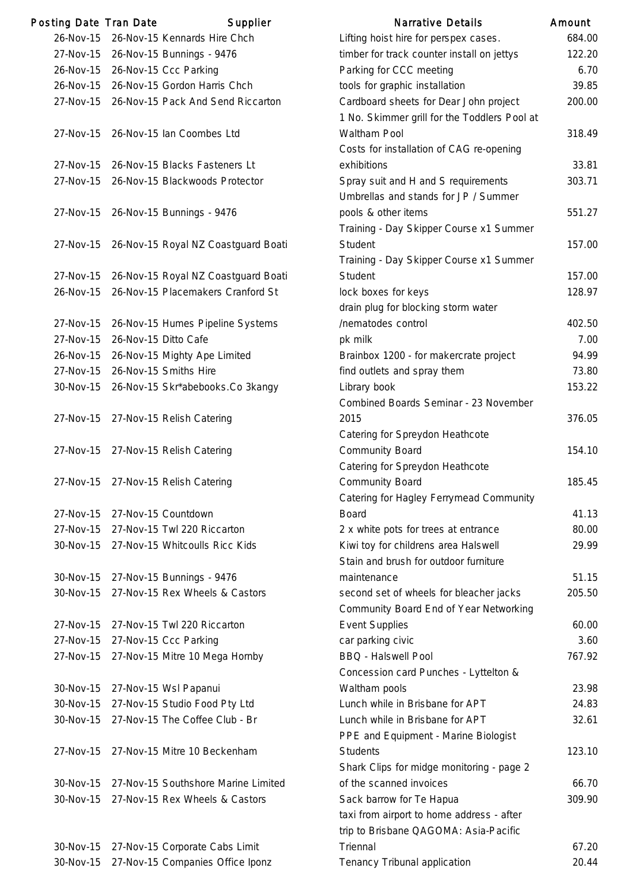| Posting Date Tran Date |                      | Supplier                                           | <b>Narrative Details</b>                                                     | Amount          |
|------------------------|----------------------|----------------------------------------------------|------------------------------------------------------------------------------|-----------------|
| 26-Nov-15              |                      | 26-Nov-15 Kennards Hire Chch                       | Lifting hoist hire for perspex cases.                                        | 684.C           |
|                        |                      | 27-Nov-15 26-Nov-15 Bunnings - 9476                | timber for track counter install on jettys                                   | 122.2           |
|                        |                      | 26-Nov-15 26-Nov-15 Ccc Parking                    | Parking for CCC meeting                                                      | 6.7             |
|                        |                      | 26-Nov-15 26-Nov-15 Gordon Harris Chch             | tools for graphic installation                                               | 39.8            |
| 27-Nov-15              |                      | 26-Nov-15 Pack And Send Riccarton                  | Cardboard sheets for Dear John project                                       | 200.C           |
|                        |                      |                                                    | 1 No. Skimmer grill for the Toddlers Pool at                                 |                 |
| 27-Nov-15              |                      | 26-Nov-15 Ian Coombes Ltd                          | Waltham Pool                                                                 | 318.4           |
|                        |                      |                                                    | Costs for installation of CAG re-opening                                     |                 |
| 27-Nov-15              |                      | 26-Nov-15 Blacks Fasteners Lt                      | exhibitions                                                                  | 33.8            |
| 27-Nov-15              |                      | 26-Nov-15 Blackwoods Protector                     | Spray suit and H and S requirements                                          | 303.7           |
|                        |                      |                                                    | Umbrellas and stands for JP / Summer                                         |                 |
|                        |                      | 27-Nov-15 26-Nov-15 Bunnings - 9476                | pools & other items                                                          | 551.2           |
|                        |                      |                                                    | Training - Day Skipper Course x1 Summer                                      |                 |
| 27-Nov-15              |                      | 26-Nov-15 Royal NZ Coastguard Boati                | Student                                                                      | 157.0           |
|                        |                      |                                                    | Training - Day Skipper Course x1 Summer                                      |                 |
|                        |                      | 27-Nov-15 26-Nov-15 Royal NZ Coastguard Boati      | Student                                                                      | 157.C           |
| 26-Nov-15              |                      | 26-Nov-15 Placemakers Cranford St                  | lock boxes for keys                                                          | 128.9           |
|                        |                      |                                                    | drain plug for blocking storm water                                          |                 |
| 27-Nov-15              |                      | 26-Nov-15 Humes Pipeline Systems                   | /nematodes control                                                           | 402.5           |
| 27-Nov-15              | 26-Nov-15 Ditto Cafe |                                                    | pk milk                                                                      | 7. <sub>C</sub> |
| 26-Nov-15              |                      | 26-Nov-15 Mighty Ape Limited                       | Brainbox 1200 - for makercrate project                                       | 94.9            |
| 27-Nov-15              |                      | 26-Nov-15 Smiths Hire                              | find outlets and spray them                                                  | 73.8            |
| 30-Nov-15              |                      | 26-Nov-15 Skr*abebooks.Co 3kangy                   | Library book                                                                 | 153.2           |
|                        |                      |                                                    | Combined Boards Seminar - 23 November                                        |                 |
| 27-Nov-15              |                      | 27-Nov-15 Relish Catering                          | 2015                                                                         | 376.C           |
|                        |                      |                                                    | Catering for Spreydon Heathcote                                              |                 |
| 27-Nov-15              |                      | 27-Nov-15 Relish Catering                          | <b>Community Board</b>                                                       | 154.1           |
|                        |                      |                                                    | Catering for Spreydon Heathcote                                              |                 |
| 27-Nov-15              |                      | 27-Nov-15 Relish Catering                          | <b>Community Board</b>                                                       | 185.4           |
|                        |                      |                                                    | Catering for Hagley Ferrymead Community                                      |                 |
| 27-Nov-15<br>27-Nov-15 |                      | 27-Nov-15 Countdown<br>27-Nov-15 Twl 220 Riccarton | <b>Board</b>                                                                 | 41.1            |
| 30-Nov-15              |                      | 27-Nov-15 Whitcoulls Ricc Kids                     | 2 x white pots for trees at entrance<br>Kiwi toy for childrens area Halswell | 80.C<br>29.9    |
|                        |                      |                                                    | Stain and brush for outdoor furniture                                        |                 |
| 30-Nov-15              |                      | 27-Nov-15 Bunnings - 9476                          | maintenance                                                                  | 51.1            |
| 30-Nov-15              |                      | 27-Nov-15 Rex Wheels & Castors                     | second set of wheels for bleacher jacks                                      | 205.5           |
|                        |                      |                                                    | Community Board End of Year Networking                                       |                 |
| 27-Nov-15              |                      | 27-Nov-15 Twl 220 Riccarton                        | <b>Event Supplies</b>                                                        | 60.C            |
| 27-Nov-15              |                      | 27-Nov-15 Ccc Parking                              | car parking civic                                                            | 3.6             |
| 27-Nov-15              |                      | 27-Nov-15 Mitre 10 Mega Hornby                     | <b>BBQ - Halswell Pool</b>                                                   | 767.9           |
|                        |                      |                                                    | Concession card Punches - Lyttelton &                                        |                 |
| 30-Nov-15              |                      | 27-Nov-15 Wsl Papanui                              | Waltham pools                                                                | 23.9            |
| 30-Nov-15              |                      | 27-Nov-15 Studio Food Pty Ltd                      | Lunch while in Brisbane for APT                                              | 24.8            |
| 30-Nov-15              |                      | 27-Nov-15 The Coffee Club - Br                     | Lunch while in Brisbane for APT                                              | 32.6            |
|                        |                      |                                                    | PPE and Equipment - Marine Biologist                                         |                 |
| 27-Nov-15              |                      | 27-Nov-15 Mitre 10 Beckenham                       | <b>Students</b>                                                              | 123.1           |
|                        |                      |                                                    | Shark Clips for midge monitoring - page 2                                    |                 |
| 30-Nov-15              |                      | 27-Nov-15 Southshore Marine Limited                | of the scanned invoices                                                      | 66.7            |
| 30-Nov-15              |                      | 27-Nov-15 Rex Wheels & Castors                     | Sack barrow for Te Hapua                                                     | 309.9           |
|                        |                      |                                                    | taxi from airport to home address - after                                    |                 |
|                        |                      |                                                    | trip to Brisbane QAGOMA: Asia-Pacific                                        |                 |
| 30-Nov-15              |                      | 27-Nov-15 Corporate Cabs Limit                     | Triennal                                                                     | 67.2            |
| 30-Nov-15              |                      | 27-Nov-15 Companies Office Iponz                   | Tenancy Tribunal application                                                 | 20.4            |

|           |                                               |                                              | ,,,,,,,,,, |
|-----------|-----------------------------------------------|----------------------------------------------|------------|
| 26-Nov-15 | 26-Nov-15 Kennards Hire Chch                  | Lifting hoist hire for perspex cases.        | 684.00     |
| 27-Nov-15 | 26-Nov-15 Bunnings - 9476                     | timber for track counter install on jettys   | 122.20     |
| 26-Nov-15 | 26-Nov-15 Ccc Parking                         | Parking for CCC meeting                      | 6.70       |
| 26-Nov-15 | 26-Nov-15 Gordon Harris Chch                  | tools for graphic installation               | 39.85      |
| 27-Nov-15 | 26-Nov-15 Pack And Send Riccarton             | Cardboard sheets for Dear John project       | 200.00     |
|           |                                               | 1 No. Skimmer grill for the Toddlers Pool at |            |
| 27-Nov-15 | 26-Nov-15 Ian Coombes Ltd                     | Waltham Pool                                 | 318.49     |
|           |                                               | Costs for installation of CAG re-opening     |            |
|           | 27-Nov-15 26-Nov-15 Blacks Fasteners Lt       | exhibitions                                  | 33.81      |
| 27-Nov-15 | 26-Nov-15 Blackwoods Protector                | Spray suit and H and S requirements          | 303.71     |
|           |                                               | Umbrellas and stands for JP / Summer         |            |
|           | 27-Nov-15 26-Nov-15 Bunnings - 9476           | pools & other items                          | 551.27     |
|           |                                               | Training - Day Skipper Course x1 Summer      |            |
|           | 27-Nov-15 26-Nov-15 Royal NZ Coastguard Boati | Student                                      | 157.00     |
|           |                                               | Training - Day Skipper Course x1 Summer      |            |
|           | 27-Nov-15 26-Nov-15 Royal NZ Coastguard Boati | Student                                      | 157.00     |
| 26-Nov-15 | 26-Nov-15 Placemakers Cranford St             | lock boxes for keys                          | 128.97     |
|           |                                               | drain plug for blocking storm water          |            |
| 27-Nov-15 | 26-Nov-15 Humes Pipeline Systems              | /nematodes control                           | 402.50     |
| 27-Nov-15 | 26-Nov-15 Ditto Cafe                          | pk milk                                      | 7.00       |
| 26-Nov-15 | 26-Nov-15 Mighty Ape Limited                  | Brainbox 1200 - for makercrate project       | 94.99      |
| 27-Nov-15 | 26-Nov-15 Smiths Hire                         | find outlets and spray them                  | 73.80      |
| 30-Nov-15 | 26-Nov-15 Skr*abebooks.Co 3kangy              | Library book                                 | 153.22     |
|           |                                               | Combined Boards Seminar - 23 November        |            |
| 27-Nov-15 | 27-Nov-15 Relish Catering                     | 2015                                         | 376.05     |
|           |                                               | Catering for Spreydon Heathcote              |            |
|           | 27-Nov-15 27-Nov-15 Relish Catering           | <b>Community Board</b>                       | 154.10     |
|           |                                               | Catering for Spreydon Heathcote              |            |
|           | 27-Nov-15 27-Nov-15 Relish Catering           | <b>Community Board</b>                       | 185.45     |
|           |                                               | Catering for Hagley Ferrymead Community      |            |
| 27-Nov-15 | 27-Nov-15 Countdown                           | <b>Board</b>                                 | 41.13      |
| 27-Nov-15 | 27-Nov-15 Twl 220 Riccarton                   | 2 x white pots for trees at entrance         | 80.00      |
| 30-Nov-15 | 27-Nov-15 Whitcoulls Ricc Kids                | Kiwi toy for childrens area Halswell         | 29.99      |
|           |                                               | Stain and brush for outdoor furniture        |            |
| 30-Nov-15 | 27-Nov-15 Bunnings - 9476                     | maintenance                                  | 51.15      |
| 30-Nov-15 | 27-Nov-15 Rex Wheels & Castors                | second set of wheels for bleacher jacks      | 205.50     |
|           |                                               | Community Board End of Year Networking       |            |
| 27-Nov-15 | 27-Nov-15 Twl 220 Riccarton                   | <b>Event Supplies</b>                        | 60.00      |
| 27-Nov-15 | 27-Nov-15 Ccc Parking                         | car parking civic                            | 3.60       |
| 27-Nov-15 | 27-Nov-15 Mitre 10 Mega Hornby                | <b>BBQ - Halswell Pool</b>                   | 767.92     |
|           |                                               | Concession card Punches - Lyttelton &        |            |
| 30-Nov-15 | 27-Nov-15 Wsl Papanui                         | Waltham pools                                | 23.98      |
| 30-Nov-15 | 27-Nov-15 Studio Food Pty Ltd                 | Lunch while in Brisbane for APT              | 24.83      |
| 30-Nov-15 | 27-Nov-15 The Coffee Club - Br                | Lunch while in Brisbane for APT              | 32.61      |
|           |                                               | PPE and Equipment - Marine Biologist         |            |
| 27-Nov-15 | 27-Nov-15 Mitre 10 Beckenham                  | <b>Students</b>                              | 123.10     |
|           |                                               | Shark Clips for midge monitoring - page 2    |            |
| 30-Nov-15 | 27-Nov-15 Southshore Marine Limited           | of the scanned invoices                      | 66.70      |
| 30-Nov-15 | 27-Nov-15 Rex Wheels & Castors                | Sack barrow for Te Hapua                     | 309.90     |
|           |                                               | taxi from airport to home address - after    |            |
|           |                                               | trip to Brisbane QAGOMA: Asia-Pacific        |            |
| 30-Nov-15 | 27-Nov-15 Corporate Cabs Limit                | Triennal                                     | 67.20      |
| 30-Nov-15 | 27-Nov-15 Companies Office Iponz              | Tenancy Tribunal application                 | 20.44      |
|           |                                               |                                              |            |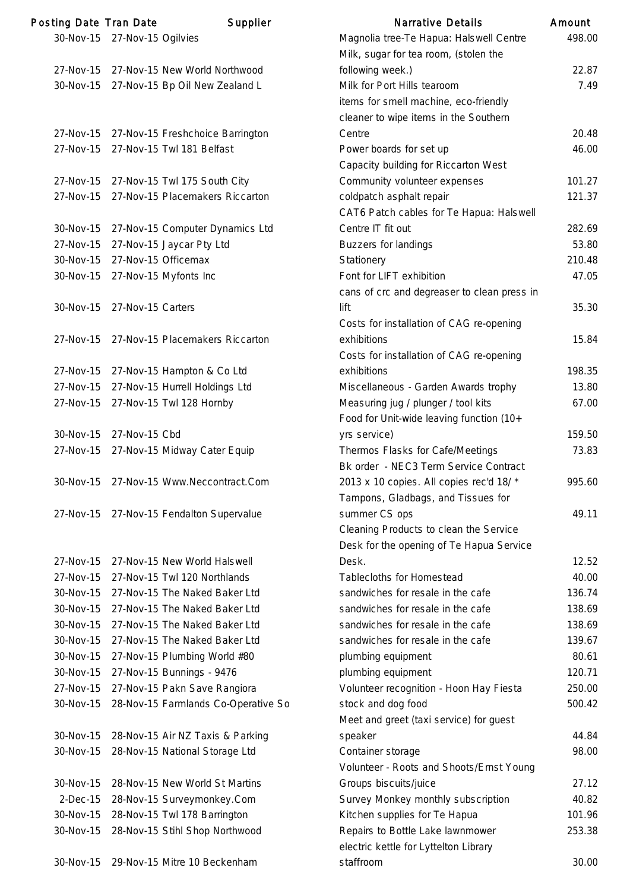| Posting Date Tran Date |                              | Supplier                                 | <b>Narrative Details</b>                    | Amount |
|------------------------|------------------------------|------------------------------------------|---------------------------------------------|--------|
|                        | 30-Nov-15 27-Nov-15 Ogilvies |                                          | Magnolia tree-Te Hapua: Halswell Centre     | 498.00 |
|                        |                              |                                          | Milk, sugar for tea room, (stolen the       |        |
| 27-Nov-15              |                              | 27-Nov-15 New World Northwood            | following week.)                            | 22.87  |
| 30-Nov-15              |                              | 27-Nov-15 Bp Oil New Zealand L           | Milk for Port Hills tearoom                 | 7.49   |
|                        |                              |                                          | items for smell machine, eco-friendly       |        |
|                        |                              |                                          | cleaner to wipe items in the Southern       |        |
| 27-Nov-15              |                              | 27-Nov-15 Freshchoice Barrington         | Centre                                      | 20.48  |
| 27-Nov-15              |                              | 27-Nov-15 Twl 181 Belfast                | Power boards for set up                     | 46.00  |
|                        |                              |                                          | Capacity building for Riccarton West        |        |
| 27-Nov-15              |                              | 27-Nov-15 Twl 175 South City             | Community volunteer expenses                | 101.27 |
| 27-Nov-15              |                              | 27-Nov-15 Placemakers Riccarton          | coldpatch asphalt repair                    | 121.37 |
|                        |                              |                                          | CAT6 Patch cables for Te Hapua: Halswell    |        |
| 30-Nov-15              |                              | 27-Nov-15 Computer Dynamics Ltd          | Centre IT fit out                           | 282.69 |
| 27-Nov-15              |                              | 27-Nov-15 Jaycar Pty Ltd                 | Buzzers for landings                        | 53.80  |
| 30-Nov-15              |                              | 27-Nov-15 Officemax                      | Stationery                                  | 210.48 |
| 30-Nov-15              |                              | 27-Nov-15 Myfonts Inc                    | Font for LIFT exhibition                    | 47.05  |
|                        |                              |                                          | cans of crc and degreaser to clean press in |        |
|                        |                              |                                          |                                             |        |
| 30-Nov-15              | 27-Nov-15 Carters            |                                          | lift                                        | 35.30  |
|                        |                              |                                          | Costs for installation of CAG re-opening    |        |
| 27-Nov-15              |                              | 27-Nov-15 Placemakers Riccarton          | exhibitions                                 | 15.84  |
|                        |                              |                                          | Costs for installation of CAG re-opening    |        |
| 27-Nov-15              |                              | 27-Nov-15 Hampton & Co Ltd               | exhibitions                                 | 198.35 |
| 27-Nov-15              |                              | 27-Nov-15 Hurrell Holdings Ltd           | Miscellaneous - Garden Awards trophy        | 13.80  |
| 27-Nov-15              |                              | 27-Nov-15 Twl 128 Hornby                 | Measuring jug / plunger / tool kits         | 67.00  |
|                        |                              |                                          | Food for Unit-wide leaving function (10+    |        |
| 30-Nov-15              | 27-Nov-15 Cbd                |                                          | yrs service)                                | 159.50 |
| 27-Nov-15              |                              | 27-Nov-15 Midway Cater Equip             | Thermos Flasks for Cafe/Meetings            | 73.83  |
|                        |                              |                                          | Bk order - NEC3 Term Service Contract       |        |
| 30-Nov-15              |                              | 27-Nov-15 Www.Neccontract.Com            | 2013 x 10 copies. All copies rec'd 18/ *    | 995.60 |
|                        |                              |                                          | Tampons, Gladbags, and Tissues for          |        |
|                        |                              | 27-Nov-15 27-Nov-15 Fendalton Supervalue | summer CS ops                               | 49.11  |
|                        |                              |                                          | Cleaning Products to clean the Service      |        |
|                        |                              |                                          | Desk for the opening of Te Hapua Service    |        |
| 27-Nov-15              |                              | 27-Nov-15 New World Halswell             | Desk.                                       | 12.52  |
| 27-Nov-15              |                              | 27-Nov-15 Twl 120 Northlands             | Tablecloths for Homestead                   | 40.00  |
| 30-Nov-15              |                              | 27-Nov-15 The Naked Baker Ltd            | sandwiches for resale in the cafe           | 136.74 |
| 30-Nov-15              |                              | 27-Nov-15 The Naked Baker Ltd            | sandwiches for resale in the cafe           | 138.69 |
| 30-Nov-15              |                              | 27-Nov-15 The Naked Baker Ltd            | sandwiches for resale in the cafe           | 138.69 |
| 30-Nov-15              |                              | 27-Nov-15 The Naked Baker Ltd            | sandwiches for resale in the cafe           | 139.67 |
| 30-Nov-15              |                              | 27-Nov-15 Plumbing World #80             | plumbing equipment                          | 80.61  |
| 30-Nov-15              |                              | 27-Nov-15 Bunnings - 9476                | plumbing equipment                          | 120.71 |
| 27-Nov-15              |                              | 27-Nov-15 Pakn Save Rangiora             | Volunteer recognition - Hoon Hay Fiesta     | 250.00 |
| 30-Nov-15              |                              | 28-Nov-15 Farmlands Co-Operative So      | stock and dog food                          | 500.42 |
|                        |                              |                                          | Meet and greet (taxi service) for guest     |        |
| 30-Nov-15              |                              | 28-Nov-15 Air NZ Taxis & Parking         | speaker                                     | 44.84  |
| 30-Nov-15              |                              | 28-Nov-15 National Storage Ltd           | Container storage                           | 98.00  |
|                        |                              |                                          | Volunteer - Roots and Shoots/Ernst Young    |        |
| 30-Nov-15              |                              | 28-Nov-15 New World St Martins           | Groups biscuits/juice                       | 27.12  |
| $2-Dec-15$             |                              | 28-Nov-15 Surveymonkey.Com               | Survey Monkey monthly subscription          | 40.82  |
| 30-Nov-15              |                              | 28-Nov-15 Twl 178 Barrington             | Kitchen supplies for Te Hapua               | 101.96 |
| 30-Nov-15              |                              | 28-Nov-15 Stihl Shop Northwood           | Repairs to Bottle Lake lawnmower            | 253.38 |
|                        |                              |                                          | electric kettle for Lyttelton Library       |        |
| 30-Nov-15              |                              | 29-Nov-15 Mitre 10 Beckenham             | staffroom                                   | 30.00  |
|                        |                              |                                          |                                             |        |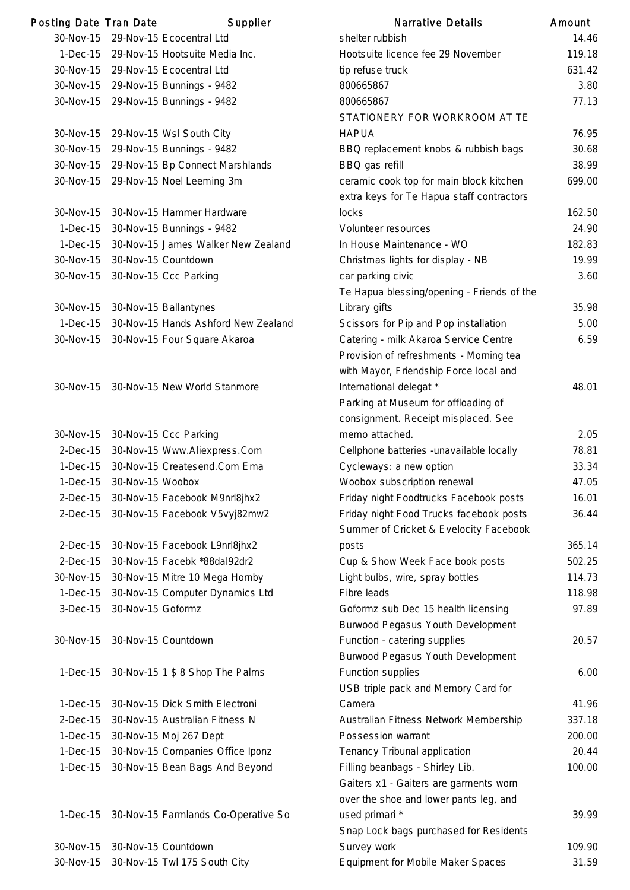| Posting Date Tran Date |                               | Supplier                            | <b>Narrative Details</b>                   | Amount |
|------------------------|-------------------------------|-------------------------------------|--------------------------------------------|--------|
| 30-Nov-15              |                               | 29-Nov-15 Ecocentral Ltd            | shelter rubbish                            | 14.46  |
| $1-Dec-15$             |                               | 29-Nov-15 Hootsuite Media Inc.      | Hootsuite licence fee 29 November          | 119.18 |
|                        |                               | 30-Nov-15 29-Nov-15 Ecocentral Ltd  | tip refuse truck                           | 631.42 |
|                        |                               | 30-Nov-15 29-Nov-15 Bunnings - 9482 | 800665867                                  | 3.80   |
|                        |                               | 30-Nov-15 29-Nov-15 Bunnings - 9482 | 800665867                                  | 77.13  |
|                        |                               |                                     | STATIONERY FOR WORKROOM AT TE              |        |
|                        |                               | 30-Nov-15 29-Nov-15 Wsl South City  | <b>HAPUA</b>                               | 76.95  |
| 30-Nov-15              |                               | 29-Nov-15 Bunnings - 9482           | BBQ replacement knobs & rubbish bags       | 30.68  |
| 30-Nov-15              |                               | 29-Nov-15 Bp Connect Marshlands     | BBQ gas refill                             | 38.99  |
| 30-Nov-15              |                               | 29-Nov-15 Noel Leeming 3m           | ceramic cook top for main block kitchen    | 699.00 |
|                        |                               |                                     | extra keys for Te Hapua staff contractors  |        |
| 30-Nov-15              |                               | 30-Nov-15 Hammer Hardware           | locks                                      | 162.50 |
| $1-Dec-15$             |                               | 30-Nov-15 Bunnings - 9482           | Volunteer resources                        | 24.90  |
| $1-Dec-15$             |                               | 30-Nov-15 James Walker New Zealand  | In House Maintenance - WO                  | 182.83 |
| 30-Nov-15              |                               | 30-Nov-15 Countdown                 | Christmas lights for display - NB          | 19.99  |
| 30-Nov-15              |                               | 30-Nov-15 Ccc Parking               | car parking civic                          | 3.60   |
|                        |                               |                                     | Te Hapua blessing/opening - Friends of the |        |
| 30-Nov-15              |                               | 30-Nov-15 Ballantynes               | Library gifts                              | 35.98  |
| $1-Dec-15$             |                               | 30-Nov-15 Hands Ashford New Zealand | Scissors for Pip and Pop installation      | 5.00   |
| 30-Nov-15              |                               | 30-Nov-15 Four Square Akaroa        | Catering - milk Akaroa Service Centre      | 6.59   |
|                        |                               |                                     | Provision of refreshments - Morning tea    |        |
|                        |                               |                                     | with Mayor, Friendship Force local and     |        |
| 30-Nov-15              |                               | 30-Nov-15 New World Stanmore        | International delegat *                    | 48.01  |
|                        |                               |                                     | Parking at Museum for offloading of        |        |
|                        |                               |                                     | consignment. Receipt misplaced. See        |        |
| 30-Nov-15              |                               | 30-Nov-15 Ccc Parking               | memo attached.                             | 2.05   |
| $2$ -Dec-15            |                               | 30-Nov-15 Www.Aliexpress.Com        | Cellphone batteries - unavailable locally  | 78.81  |
| $1-Dec-15$             |                               | 30-Nov-15 Createsend.Com Ema        | Cycleways: a new option                    | 33.34  |
| $1-Dec-15$             | 30-Nov-15 Woobox              |                                     | Woobox subscription renewal                | 47.05  |
| $2$ -Dec $-15$         |                               | 30-Nov-15 Facebook M9nrl8jhx2       | Friday night Foodtrucks Facebook posts     | 16.01  |
| $2$ -Dec-15            |                               | 30-Nov-15 Facebook V5vyj82mw2       | Friday night Food Trucks facebook posts    | 36.44  |
|                        |                               |                                     | Summer of Cricket & Evelocity Facebook     |        |
| $2$ -Dec-15            |                               | 30-Nov-15 Facebook L9nrl8jhx2       | posts                                      | 365.14 |
| $2-Dec-15$             |                               | 30-Nov-15 Facebk *88dal92dr2        | Cup & Show Week Face book posts            | 502.25 |
| 30-Nov-15              |                               | 30-Nov-15 Mitre 10 Mega Hornby      | Light bulbs, wire, spray bottles           | 114.73 |
| $1-Dec-15$             |                               | 30-Nov-15 Computer Dynamics Ltd     | Fibre leads                                | 118.98 |
| $3-Dec-15$             | 30-Nov-15 Goformz             |                                     | Goformz sub Dec 15 health licensing        | 97.89  |
|                        |                               |                                     | Burwood Pegasus Youth Development          |        |
| 30-Nov-15              |                               | 30-Nov-15 Countdown                 | Function - catering supplies               | 20.57  |
|                        |                               |                                     | Burwood Pegasus Youth Development          |        |
| $1-Dec-15$             |                               | 30-Nov-15 1 \$ 8 Shop The Palms     | Function supplies                          | 6.00   |
|                        |                               |                                     | USB triple pack and Memory Card for        |        |
| $1-Dec-15$             |                               | 30-Nov-15 Dick Smith Electroni      | Camera                                     | 41.96  |
| $2$ -Dec $-15$         |                               | 30-Nov-15 Australian Fitness N      | Australian Fitness Network Membership      | 337.18 |
| $1-Dec-15$             |                               | 30-Nov-15 Moj 267 Dept              | Possession warrant                         | 200.00 |
| $1-Dec-15$             |                               | 30-Nov-15 Companies Office Iponz    | Tenancy Tribunal application               | 20.44  |
| $1-Dec-15$             |                               | 30-Nov-15 Bean Bags And Beyond      | Filling beanbags - Shirley Lib.            | 100.00 |
|                        |                               |                                     | Gaiters x1 - Gaiters are garments worn     |        |
|                        |                               |                                     | over the shoe and lower pants leg, and     |        |
| $1-Dec-15$             |                               | 30-Nov-15 Farmlands Co-Operative So | used primari *                             | 39.99  |
|                        |                               |                                     | Snap Lock bags purchased for Residents     |        |
|                        | 30-Nov-15 30-Nov-15 Countdown |                                     | Survey work                                | 109.90 |
|                        |                               |                                     |                                            |        |

|                          | ting Date Tran Date | Supplier                                                   | Narrative Details                                           | Amount          |
|--------------------------|---------------------|------------------------------------------------------------|-------------------------------------------------------------|-----------------|
| 30-Nov-15                |                     | 29-Nov-15 Ecocentral Ltd                                   | shelter rubbish                                             | 14.46           |
| $1-Dec-15$               |                     | 29-Nov-15 Hootsuite Media Inc.                             | Hootsuite licence fee 29 November                           | 119.18          |
| 30-Nov-15                |                     | 29-Nov-15 Ecocentral Ltd                                   | tip refuse truck                                            | 631.42          |
| 30-Nov-15                |                     | 29-Nov-15 Bunnings - 9482                                  | 800665867                                                   | 3.80            |
| 30-Nov-15                |                     | 29-Nov-15 Bunnings - 9482                                  | 800665867                                                   | 77.13           |
|                          |                     |                                                            | STATIONERY FOR WORKROOM AT TE                               |                 |
| 30-Nov-15                |                     | 29-Nov-15 Wsl South City                                   | <b>HAPUA</b>                                                | 76.95           |
| 30-Nov-15                |                     | 29-Nov-15 Bunnings - 9482                                  | BBQ replacement knobs & rubbish bags                        | 30.68           |
| 30-Nov-15                |                     | 29-Nov-15 Bp Connect Marshlands                            | BBQ gas refill                                              | 38.99           |
| 30-Nov-15                |                     | 29-Nov-15 Noel Leeming 3m                                  | ceramic cook top for main block kitchen                     | 699.00          |
|                          |                     |                                                            | extra keys for Te Hapua staff contractors                   |                 |
| 30-Nov-15                |                     | 30-Nov-15 Hammer Hardware                                  | locks                                                       | 162.50          |
| $1-Dec-15$               |                     | 30-Nov-15 Bunnings - 9482                                  | Volunteer resources                                         | 24.90           |
| $1-Dec-15$               |                     | 30-Nov-15 James Walker New Zealand                         | In House Maintenance - WO                                   | 182.83          |
| 30-Nov-15                |                     | 30-Nov-15 Countdown                                        | Christmas lights for display - NB                           | 19.99           |
| 30-Nov-15                |                     | 30-Nov-15 Ccc Parking                                      | car parking civic                                           | 3.60            |
|                          |                     |                                                            | Te Hapua blessing/opening - Friends of the                  |                 |
| 30-Nov-15                |                     | 30-Nov-15 Ballantynes                                      | Library gifts                                               | 35.98           |
| $1-Dec-15$               |                     | 30-Nov-15 Hands Ashford New Zealand                        | Scissors for Pip and Pop installation                       | 5.00            |
| 30-Nov-15                |                     | 30-Nov-15 Four Square Akaroa                               | Catering - milk Akaroa Service Centre                       | 6.59            |
|                          |                     |                                                            | Provision of refreshments - Morning tea                     |                 |
|                          |                     |                                                            | with Mayor, Friendship Force local and                      |                 |
| 30-Nov-15                |                     | 30-Nov-15 New World Stanmore                               | International delegat *                                     | 48.01           |
|                          |                     |                                                            | Parking at Museum for offloading of                         |                 |
|                          |                     |                                                            | consignment. Receipt misplaced. See                         |                 |
| 30-Nov-15                |                     | 30-Nov-15 Ccc Parking                                      | memo attached.                                              | 2.05            |
| $2$ -Dec-15              |                     | 30-Nov-15 Www.Aliexpress.Com                               | Cellphone batteries - unavailable locally                   | 78.81           |
| $1-Dec-15$               |                     | 30-Nov-15 Createsend.Com Ema                               | Cycleways: a new option                                     | 33.34           |
| $1-Dec-15$               | 30-Nov-15 Woobox    |                                                            | Woobox subscription renewal                                 | 47.05           |
| 2-Dec-15                 |                     | 30-Nov-15 Facebook M9nrl8jhx2                              | Friday night Foodtrucks Facebook posts                      | 16.01           |
| $2$ -Dec-15              |                     | 30-Nov-15 Facebook V5vyj82mw2                              | Friday night Food Trucks facebook posts                     | 36.44           |
|                          |                     |                                                            | Summer of Cricket & Evelocity Facebook                      |                 |
| $2$ -Dec-15              |                     | 30-Nov-15 Facebook L9nrl8jhx2                              | posts                                                       | 365.14          |
| $2-Dec-15$               |                     | 30-Nov-15 Facebk *88dal92dr2                               | Cup & Show Week Face book posts                             | 502.25          |
| 30-Nov-15                |                     | 30-Nov-15 Mitre 10 Mega Hornby                             | Light bulbs, wire, spray bottles                            | 114.73          |
| $1-Dec-15$               |                     | 30-Nov-15 Computer Dynamics Ltd                            | Fibre leads                                                 | 118.98          |
| $3-Dec-15$               | 30-Nov-15 Goformz   |                                                            | Goformz sub Dec 15 health licensing                         | 97.89           |
|                          |                     |                                                            | Burwood Pegasus Youth Development                           |                 |
| 30-Nov-15                |                     | 30-Nov-15 Countdown                                        | Function - catering supplies                                | 20.57           |
|                          |                     |                                                            | Burwood Pegasus Youth Development                           |                 |
| $1-Dec-15$               |                     | 30-Nov-15 1 \$ 8 Shop The Palms                            | Function supplies                                           | 6.00            |
|                          |                     |                                                            | USB triple pack and Memory Card for                         |                 |
| $1-Dec-15$               |                     | 30-Nov-15 Dick Smith Electroni                             | Camera                                                      | 41.96           |
| $2$ -Dec-15              |                     | 30-Nov-15 Australian Fitness N                             | Australian Fitness Network Membership<br>Possession warrant | 337.18          |
| $1-Dec-15$<br>$1-Dec-15$ |                     | 30-Nov-15 Moj 267 Dept<br>30-Nov-15 Companies Office Iponz | Tenancy Tribunal application                                | 200.00<br>20.44 |
| $1-Dec-15$               |                     | 30-Nov-15 Bean Bags And Beyond                             | Filling beanbags - Shirley Lib.                             | 100.00          |
|                          |                     |                                                            | Gaiters x1 - Gaiters are garments worn                      |                 |
|                          |                     |                                                            | over the shoe and lower pants leg, and                      |                 |
| $1-Dec-15$               |                     | 30-Nov-15 Farmlands Co-Operative So                        | used primari *                                              | 39.99           |
|                          |                     |                                                            | Snap Lock bags purchased for Residents                      |                 |
| 30-Nov-15                |                     | 30-Nov-15 Countdown                                        | Survey work                                                 | 109.90          |
| 30-Nov-15                |                     | 30-Nov-15 Twl 175 South City                               | <b>Equipment for Mobile Maker Spaces</b>                    | 31.59           |
|                          |                     |                                                            |                                                             |                 |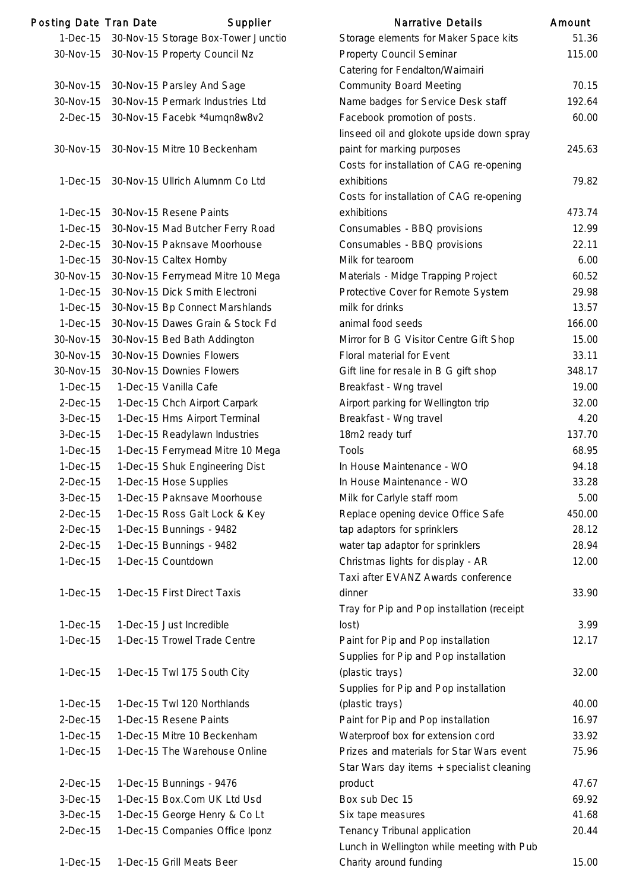| <b>Posting Date Tran Date</b> | Supplier                            | <b>Narrative Details</b>                                                    | Amount |
|-------------------------------|-------------------------------------|-----------------------------------------------------------------------------|--------|
| $1-Dec-15$                    | 30-Nov-15 Storage Box-Tower Junctio | Storage elements for Maker Space kits                                       | 51.36  |
| 30-Nov-15                     | 30-Nov-15 Property Council Nz       | Property Council Seminar<br>Catering for Fendalton/Waimairi                 | 115.00 |
| 30-Nov-15                     | 30-Nov-15 Parsley And Sage          | <b>Community Board Meeting</b>                                              | 70.15  |
| 30-Nov-15                     | 30-Nov-15 Permark Industries Ltd    |                                                                             | 192.64 |
|                               |                                     | Name badges for Service Desk staff                                          |        |
| $2-Dec-15$                    | 30-Nov-15 Facebk *4umqn8w8v2        | Facebook promotion of posts.<br>linseed oil and glokote upside down spray   | 60.00  |
| 30-Nov-15                     | 30-Nov-15 Mitre 10 Beckenham        | paint for marking purposes<br>Costs for installation of CAG re-opening      | 245.63 |
| $1-Dec-15$                    | 30-Nov-15 Ullrich Alumnm Co Ltd     | exhibitions<br>Costs for installation of CAG re-opening                     | 79.82  |
| $1-Dec-15$                    | 30-Nov-15 Resene Paints             | exhibitions                                                                 | 473.74 |
| $1-Dec-15$                    | 30-Nov-15 Mad Butcher Ferry Road    | Consumables - BBQ provisions                                                | 12.99  |
| $2$ -Dec-15                   | 30-Nov-15 Paknsave Moorhouse        | Consumables - BBQ provisions                                                | 22.1'  |
| $1-Dec-15$                    | 30-Nov-15 Caltex Hornby             | Milk for tearoom                                                            | 6.00   |
| 30-Nov-15                     | 30-Nov-15 Ferrymead Mitre 10 Mega   | Materials - Midge Trapping Project                                          | 60.52  |
| $1-Dec-15$                    | 30-Nov-15 Dick Smith Electroni      | Protective Cover for Remote System                                          | 29.98  |
| $1-Dec-15$                    | 30-Nov-15 Bp Connect Marshlands     | milk for drinks                                                             | 13.57  |
| $1-Dec-15$                    | 30-Nov-15 Dawes Grain & Stock Fd    | animal food seeds                                                           | 166.00 |
| 30-Nov-15                     | 30-Nov-15 Bed Bath Addington        | Mirror for B G Visitor Centre Gift Shop                                     | 15.00  |
| 30-Nov-15                     | 30-Nov-15 Downies Flowers           | Floral material for Event                                                   | 33.1'  |
| 30-Nov-15                     | 30-Nov-15 Downies Flowers           | Gift line for resale in B G gift shop                                       | 348.17 |
| $1-Dec-15$                    | 1-Dec-15 Vanilla Cafe               | Breakfast - Wng travel                                                      | 19.00  |
| $2-Dec-15$                    | 1-Dec-15 Chch Airport Carpark       | Airport parking for Wellington trip                                         | 32.00  |
| 3-Dec-15                      | 1-Dec-15 Hms Airport Terminal       | Breakfast - Wng travel                                                      | 4.20   |
| $3-Dec-15$                    | 1-Dec-15 Readylawn Industries       | 18m2 ready turf                                                             | 137.70 |
| $1-Dec-15$                    | 1-Dec-15 Ferrymead Mitre 10 Mega    | Tools                                                                       | 68.95  |
| $1-Dec-15$                    | 1-Dec-15 Shuk Engineering Dist      | In House Maintenance - WO                                                   | 94.18  |
| $2$ -Dec $-15$                | 1-Dec-15 Hose Supplies              | In House Maintenance - WO                                                   | 33.28  |
| $3-Dec-15$                    | 1-Dec-15 Paknsave Moorhouse         | Milk for Carlyle staff room                                                 | 5.00   |
| $2-Dec-15$                    | 1-Dec-15 Ross Galt Lock & Key       | Replace opening device Office Safe                                          | 450.00 |
| $2-Dec-15$                    | 1-Dec-15 Bunnings - 9482            | tap adaptors for sprinklers                                                 | 28.12  |
| $2-Dec-15$                    | 1-Dec-15 Bunnings - 9482            | water tap adaptor for sprinklers                                            | 28.94  |
| $1-Dec-15$                    | 1-Dec-15 Countdown                  | Christmas lights for display - AR                                           | 12.00  |
|                               |                                     | Taxi after EVANZ Awards conference                                          |        |
| $1-Dec-15$                    | 1-Dec-15 First Direct Taxis         | dinner                                                                      | 33.90  |
|                               |                                     | Tray for Pip and Pop installation (receipt                                  |        |
| $1-Dec-15$                    | 1-Dec-15 Just Incredible            | lost)                                                                       | 3.99   |
| $1-Dec-15$                    | 1-Dec-15 Trowel Trade Centre        | Paint for Pip and Pop installation<br>Supplies for Pip and Pop installation | 12.17  |
| $1-Dec-15$                    | 1-Dec-15 Twl 175 South City         | (plastic trays)<br>Supplies for Pip and Pop installation                    | 32.00  |
| $1-Dec-15$                    | 1-Dec-15 Twl 120 Northlands         | (plastic trays)                                                             | 40.00  |
| $2-Dec-15$                    | 1-Dec-15 Resene Paints              | Paint for Pip and Pop installation                                          | 16.97  |
| $1-Dec-15$                    | 1-Dec-15 Mitre 10 Beckenham         | Waterproof box for extension cord                                           | 33.92  |
| $1-Dec-15$                    | 1-Dec-15 The Warehouse Online       | Prizes and materials for Star Wars event                                    | 75.96  |
|                               |                                     | Star Wars day items + specialist cleaning                                   |        |
| $2-Dec-15$                    | 1-Dec-15 Bunnings - 9476            | product                                                                     | 47.67  |
| 3-Dec-15                      | 1-Dec-15 Box.Com UK Ltd Usd         | Box sub Dec 15                                                              | 69.92  |
| $3-Dec-15$                    | 1-Dec-15 George Henry & Co Lt       | Six tape measures                                                           | 41.68  |
| $2-Dec-15$                    | 1-Dec-15 Companies Office Iponz     | Tenancy Tribunal application                                                | 20.44  |
|                               |                                     | Lunch in Wellington while meeting with Pub                                  |        |
| $1-Dec-15$                    | 1-Dec-15 Grill Meats Beer           | Charity around funding                                                      | 15.00  |

|                | ing Date Tran Date | Supplier                            | Narrative Details                          | Amount |
|----------------|--------------------|-------------------------------------|--------------------------------------------|--------|
| 1-Dec-15       |                    | 30-Nov-15 Storage Box-Tower Junctio | Storage elements for Maker Space kits      | 51.36  |
| 30-Nov-15      |                    | 30-Nov-15 Property Council Nz       | <b>Property Council Seminar</b>            | 115.00 |
|                |                    |                                     | Catering for Fendalton/Waimairi            |        |
| 30-Nov-15      |                    | 30-Nov-15 Parsley And Sage          | <b>Community Board Meeting</b>             | 70.15  |
| 30-Nov-15      |                    | 30-Nov-15 Permark Industries Ltd    | Name badges for Service Desk staff         | 192.64 |
| $2$ -Dec-15    |                    | 30-Nov-15 Facebk *4umqn8w8v2        | Facebook promotion of posts.               | 60.00  |
|                |                    |                                     | linseed oil and glokote upside down spray  |        |
| 30-Nov-15      |                    | 30-Nov-15 Mitre 10 Beckenham        | paint for marking purposes                 | 245.63 |
|                |                    |                                     | Costs for installation of CAG re-opening   |        |
| $1-Dec-15$     |                    | 30-Nov-15 Ullrich Alumnm Co Ltd     | exhibitions                                | 79.82  |
|                |                    |                                     | Costs for installation of CAG re-opening   |        |
| $1-Dec-15$     |                    | 30-Nov-15 Resene Paints             | exhibitions                                | 473.74 |
| $1-Dec-15$     |                    | 30-Nov-15 Mad Butcher Ferry Road    | Consumables - BBQ provisions               | 12.99  |
| $2$ -Dec $-15$ |                    | 30-Nov-15 Paknsave Moorhouse        | Consumables - BBQ provisions               | 22.11  |
| $1-Dec-15$     |                    | 30-Nov-15 Caltex Hornby             | Milk for tearoom                           | 6.00   |
| 30-Nov-15      |                    | 30-Nov-15 Ferrymead Mitre 10 Mega   | Materials - Midge Trapping Project         | 60.52  |
| $1-Dec-15$     |                    | 30-Nov-15 Dick Smith Electroni      | Protective Cover for Remote System         | 29.98  |
| $1-Dec-15$     |                    | 30-Nov-15 Bp Connect Marshlands     | milk for drinks                            | 13.57  |
| $1-Dec-15$     |                    | 30-Nov-15 Dawes Grain & Stock Fd    | animal food seeds                          | 166.00 |
| 30-Nov-15      |                    | 30-Nov-15 Bed Bath Addington        | Mirror for B G Visitor Centre Gift Shop    | 15.00  |
| 30-Nov-15      |                    | 30-Nov-15 Downies Flowers           | Floral material for Event                  | 33.11  |
| 30-Nov-15      |                    | 30-Nov-15 Downies Flowers           | Gift line for resale in B G gift shop      | 348.17 |
| $1-Dec-15$     |                    | 1-Dec-15 Vanilla Cafe               | Breakfast - Wng travel                     | 19.00  |
| $2$ -Dec $-15$ |                    | 1-Dec-15 Chch Airport Carpark       | Airport parking for Wellington trip        | 32.00  |
| $3-Dec-15$     |                    | 1-Dec-15 Hms Airport Terminal       | Breakfast - Wng travel                     | 4.20   |
| $3-Dec-15$     |                    | 1-Dec-15 Readylawn Industries       | 18m2 ready turf                            | 137.70 |
| $1-Dec-15$     |                    | 1-Dec-15 Ferrymead Mitre 10 Mega    | <b>Tools</b>                               | 68.95  |
| $1-Dec-15$     |                    | 1-Dec-15 Shuk Engineering Dist      | In House Maintenance - WO                  | 94.18  |
| $2-Dec-15$     |                    | 1-Dec-15 Hose Supplies              | In House Maintenance - WO                  | 33.28  |
| 3-Dec-15       |                    | 1-Dec-15 Paknsave Moorhouse         | Milk for Carlyle staff room                | 5.00   |
| $2-Dec-15$     |                    | 1-Dec-15 Ross Galt Lock & Key       | Replace opening device Office Safe         | 450.00 |
| $2-Dec-15$     |                    | 1-Dec-15 Bunnings - 9482            | tap adaptors for sprinklers                | 28.12  |
| $2-Dec-15$     |                    | 1-Dec-15 Bunnings - 9482            | water tap adaptor for sprinklers           | 28.94  |
| $1-Dec-15$     |                    | 1-Dec-15 Countdown                  | Christmas lights for display - AR          | 12.00  |
|                |                    |                                     | Taxi after EVANZ Awards conference         |        |
| $1-Dec-15$     |                    | 1-Dec-15 First Direct Taxis         | dinner                                     | 33.90  |
|                |                    |                                     | Tray for Pip and Pop installation (receipt |        |
| $1-Dec-15$     |                    | 1-Dec-15 Just Incredible            | lost)                                      | 3.99   |
| $1-Dec-15$     |                    | 1-Dec-15 Trowel Trade Centre        | Paint for Pip and Pop installation         | 12.17  |
|                |                    |                                     | Supplies for Pip and Pop installation      |        |
| $1-Dec-15$     |                    | 1-Dec-15 Twl 175 South City         | (plastic trays)                            | 32.00  |
|                |                    |                                     | Supplies for Pip and Pop installation      |        |
| $1-Dec-15$     |                    | 1-Dec-15 Twl 120 Northlands         | (plastic trays)                            | 40.00  |
| $2-Dec-15$     |                    | 1-Dec-15 Resene Paints              | Paint for Pip and Pop installation         | 16.97  |
| $1-Dec-15$     |                    | 1-Dec-15 Mitre 10 Beckenham         | Waterproof box for extension cord          | 33.92  |
| $1-Dec-15$     |                    | 1-Dec-15 The Warehouse Online       | Prizes and materials for Star Wars event   | 75.96  |
|                |                    |                                     | Star Wars day items + specialist cleaning  |        |
| $2-Dec-15$     |                    | 1-Dec-15 Bunnings - 9476            | product                                    | 47.67  |
| $3-Dec-15$     |                    | 1-Dec-15 Box.Com UK Ltd Usd         | Box sub Dec 15                             | 69.92  |
| $3-Dec-15$     |                    | 1-Dec-15 George Henry & Co Lt       | Six tape measures                          | 41.68  |
| $2-Dec-15$     |                    | 1-Dec-15 Companies Office Iponz     | Tenancy Tribunal application               | 20.44  |
|                |                    |                                     | Lunch in Wellington while meeting with Pub |        |
| $1-Dec-15$     |                    | 1-Dec-15 Grill Meats Beer           | Charity around funding                     | 15.00  |
|                |                    |                                     |                                            |        |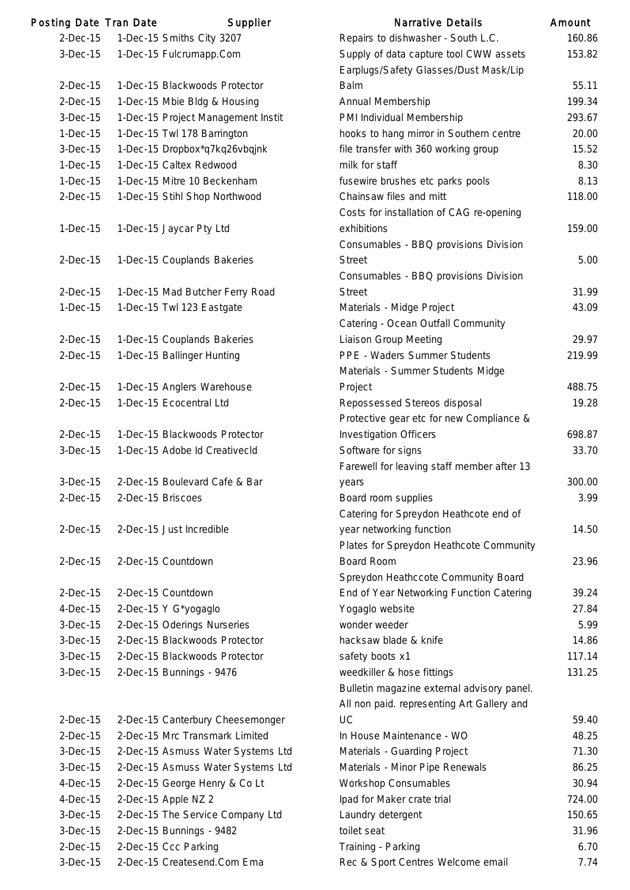| <b>Posting Date Tran Date</b> |                   | Supplier                           | <b>Narrative Details</b>                                                        | Amount |
|-------------------------------|-------------------|------------------------------------|---------------------------------------------------------------------------------|--------|
| $2-Dec-15$                    |                   | 1-Dec-15 Smiths City 3207          | Repairs to dishwasher - South L.C.                                              | 160.86 |
| $3-Dec-15$                    |                   | 1-Dec-15 Fulcrumapp.Com            | Supply of data capture tool CWW assets<br>Earplugs/Safety Glasses/Dust Mask/Lip | 153.82 |
| $2-Dec-15$                    |                   | 1-Dec-15 Blackwoods Protector      | <b>Balm</b>                                                                     | 55.11  |
| $2-Dec-15$                    |                   | 1-Dec-15 Mbie Bldg & Housing       | Annual Membership                                                               | 199.34 |
| $3-Dec-15$                    |                   | 1-Dec-15 Project Management Instit | PMI Individual Membership                                                       | 293.67 |
| $1-Dec-15$                    |                   | 1-Dec-15 Twl 178 Barrington        | hooks to hang mirror in Southern centre                                         | 20.00  |
| $3-Dec-15$                    |                   | 1-Dec-15 Dropbox*q7kq26vbqjnk      | file transfer with 360 working group                                            | 15.52  |
| $1-Dec-15$                    |                   | 1-Dec-15 Caltex Redwood            | milk for staff                                                                  | 8.30   |
| $1-Dec-15$                    |                   | 1-Dec-15 Mitre 10 Beckenham        | fusewire brushes etc parks pools                                                | 8.13   |
| $2-Dec-15$                    |                   | 1-Dec-15 Stihl Shop Northwood      | Chainsaw files and mitt                                                         | 118.00 |
|                               |                   |                                    | Costs for installation of CAG re-opening                                        |        |
| $1-Dec-15$                    |                   | 1-Dec-15 Jaycar Pty Ltd            | exhibitions<br>Consumables - BBQ provisions Division                            | 159.00 |
| $2-Dec-15$                    |                   | 1-Dec-15 Couplands Bakeries        | <b>Street</b><br>Consumables - BBQ provisions Division                          | 5.00   |
| $2-Dec-15$                    |                   |                                    |                                                                                 | 31.99  |
|                               |                   | 1-Dec-15 Mad Butcher Ferry Road    | <b>Street</b>                                                                   | 43.09  |
| $1-Dec-15$                    |                   | 1-Dec-15 Twl 123 Eastgate          | Materials - Midge Project<br>Catering - Ocean Outfall Community                 |        |
| $2-Dec-15$                    |                   | 1-Dec-15 Couplands Bakeries        | Liaison Group Meeting                                                           | 29.97  |
| $2-Dec-15$                    |                   | 1-Dec-15 Ballinger Hunting         | PPE - Waders Summer Students                                                    | 219.99 |
|                               |                   |                                    | Materials - Summer Students Midge                                               |        |
| $2-Dec-15$                    |                   | 1-Dec-15 Anglers Warehouse         | Project                                                                         | 488.75 |
| $2-Dec-15$                    |                   | 1-Dec-15 Ecocentral Ltd            | Repossessed Stereos disposal                                                    | 19.28  |
|                               |                   |                                    | Protective gear etc for new Compliance &                                        |        |
| $2-Dec-15$                    |                   | 1-Dec-15 Blackwoods Protector      | <b>Investigation Officers</b>                                                   | 698.87 |
| 3-Dec-15                      |                   | 1-Dec-15 Adobe Id CreativecId      | Software for signs                                                              | 33.70  |
|                               |                   |                                    | Farewell for leaving staff member after 13                                      |        |
| $3-Dec-15$                    |                   | 2-Dec-15 Boulevard Cafe & Bar      | years                                                                           | 300.00 |
| $2-Dec-15$                    | 2-Dec-15 Briscoes |                                    | Board room supplies                                                             | 3.99   |
|                               |                   |                                    | Catering for Spreydon Heathcote end of                                          |        |
| $2-Dec-15$                    |                   | 2-Dec-15 Just Incredible           | year networking function                                                        | 14.50  |
|                               |                   |                                    | Plates for Spreydon Heathcote Community                                         |        |
| $2-Dec-15$                    |                   | 2-Dec-15 Countdown                 | <b>Board Room</b>                                                               | 23.96  |
|                               |                   |                                    | Spreydon Heathccote Community Board                                             |        |
| $2-Dec-15$                    |                   | 2-Dec-15 Countdown                 | End of Year Networking Function Catering                                        | 39.24  |
| $4-Dec-15$                    |                   | 2-Dec-15 Y G*yogaglo               | Yogaglo website                                                                 | 27.84  |
| $3-Dec-15$                    |                   | 2-Dec-15 Oderings Nurseries        | wonder weeder                                                                   | 5.99   |
| 3-Dec-15                      |                   | 2-Dec-15 Blackwoods Protector      | hacksaw blade & knife                                                           | 14.86  |
| $3-Dec-15$                    |                   | 2-Dec-15 Blackwoods Protector      | safety boots x1                                                                 | 117.14 |
| $3-Dec-15$                    |                   | 2-Dec-15 Bunnings - 9476           | weedkiller & hose fittings                                                      | 131.25 |
|                               |                   |                                    | Bulletin magazine external advisory panel.                                      |        |
|                               |                   |                                    | All non paid. representing Art Gallery and                                      |        |
| $2-Dec-15$                    |                   | 2-Dec-15 Canterbury Cheesemonger   | <b>UC</b>                                                                       | 59.40  |
| $2-Dec-15$                    |                   | 2-Dec-15 Mrc Transmark Limited     | In House Maintenance - WO                                                       | 48.25  |
| $3-Dec-15$                    |                   | 2-Dec-15 Asmuss Water Systems Ltd  | Materials - Guarding Project                                                    | 71.30  |
| 3-Dec-15                      |                   | 2-Dec-15 Asmuss Water Systems Ltd  | Materials - Minor Pipe Renewals                                                 | 86.25  |
| $4-Dec-15$                    |                   | 2-Dec-15 George Henry & Co Lt      | <b>Workshop Consumables</b>                                                     | 30.94  |
| $4-Dec-15$                    |                   | 2-Dec-15 Apple NZ 2                | Ipad for Maker crate trial                                                      | 724.00 |
| $3-Dec-15$                    |                   | 2-Dec-15 The Service Company Ltd   | Laundry detergent                                                               | 150.65 |
| 3-Dec-15                      |                   | 2-Dec-15 Bunnings - 9482           | toilet seat                                                                     | 31.96  |
| $2-Dec-15$                    |                   | 2-Dec-15 Ccc Parking               | Training - Parking                                                              | 6.70   |
| $3-Dec-15$                    |                   | 2-Dec-15 Createsend.Com Ema        | Rec & Sport Centres Welcome email                                               | 7.74   |

| <b>Narrative Details</b>                   | Amount |
|--------------------------------------------|--------|
| Repairs to dishwasher - South L.C.         | 160.86 |
| Supply of data capture tool CWW assets     | 153.82 |
| Earplugs/Safety Glasses/Dust Mask/Lip      |        |
| Balm                                       | 55.11  |
| Annual Membership                          | 199.34 |
| PMI Individual Membership                  | 293.67 |
| hooks to hang mirror in Southern centre    | 20.00  |
| file transfer with 360 working group       | 15.52  |
| milk for staff                             | 8.30   |
| fusewire brushes etc parks pools           | 8.13   |
| Chainsaw files and mitt                    | 118.00 |
| Costs for installation of CAG re-opening   |        |
| exhibitions                                | 159.00 |
| Consumables - BBQ provisions Division      |        |
| Street                                     | 5.00   |
| Consumables - BBQ provisions Division      |        |
| <b>Street</b>                              | 31.99  |
| Materials - Midge Project                  | 43.09  |
| Catering - Ocean Outfall Community         |        |
| <b>Liaison Group Meeting</b>               | 29.97  |
| <b>PPE - Waders Summer Students</b>        | 219.99 |
| Materials - Summer Students Midge          |        |
| Project                                    | 488.75 |
| Repossessed Stereos disposal               | 19.28  |
| Protective gear etc for new Compliance &   |        |
| <b>Investigation Officers</b>              | 698.87 |
| Software for signs                         | 33.70  |
| Farewell for leaving staff member after 13 |        |
| years                                      | 300.00 |
| Board room supplies                        | 3.99   |
| Catering for Spreydon Heathcote end of     |        |
| year networking function                   | 14.50  |
| Plates for Spreydon Heathcote Community    |        |
| <b>Board Room</b>                          | 23.96  |
| Spreydon Heathccote Community Board        |        |
| End of Year Networking Function Catering   | 39.24  |
| Yogaglo website                            | 27.84  |
| wonder weeder                              | 5.99   |
| hacksaw blade & knife                      | 14.86  |
| safety boots x1                            | 117.14 |
| weedkiller & hose fittings                 | 131.25 |
| Bulletin magazine external advisory panel. |        |
| All non paid. representing Art Gallery and |        |
| UC                                         | 59.40  |
| In House Maintenance - WO                  | 48.25  |
| Materials - Guarding Project               | 71.30  |
| Materials - Minor Pipe Renewals            | 86.25  |
| <b>Workshop Consumables</b>                | 30.94  |
| Ipad for Maker crate trial                 | 724.00 |
| Laundry detergent                          | 150.65 |
| toilet seat                                | 31.96  |
| Training - Parking                         | 6.70   |
| Rec & Sport Centres Welcome email          | 7.74   |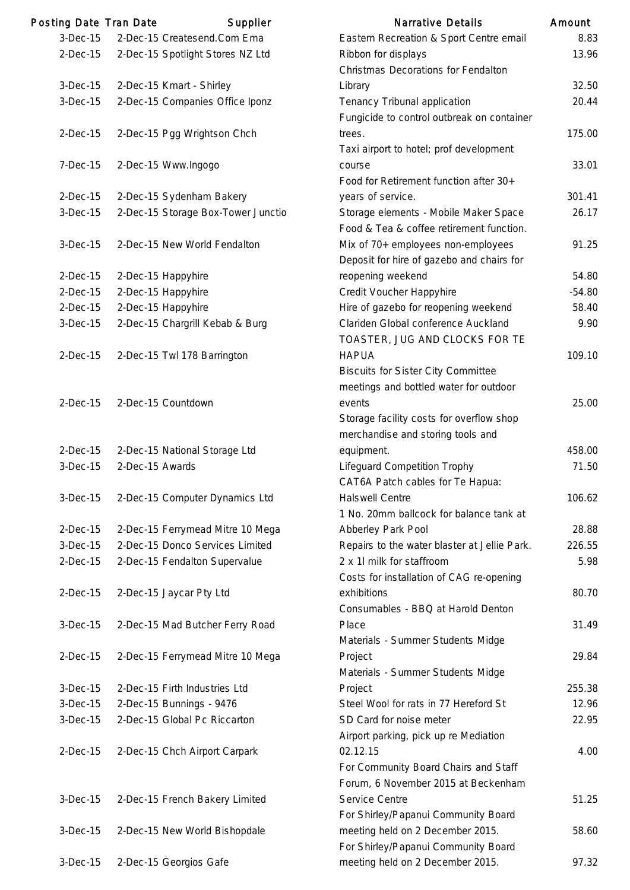| Posting Date Tran Date |                 | Supplier                           | <b>Narrative Details</b>                     | Amount   |
|------------------------|-----------------|------------------------------------|----------------------------------------------|----------|
| $3-Dec-15$             |                 | 2-Dec-15 Createsend.Com Ema        | Eastern Recreation & Sport Centre email      | 8.83     |
| $2-Dec-15$             |                 | 2-Dec-15 Spotlight Stores NZ Ltd   | Ribbon for displays                          | 13.96    |
|                        |                 |                                    | Christmas Decorations for Fendalton          |          |
| $3-Dec-15$             |                 | 2-Dec-15 Kmart - Shirley           | Library                                      | 32.50    |
| 3-Dec-15               |                 | 2-Dec-15 Companies Office Iponz    | Tenancy Tribunal application                 | 20.44    |
|                        |                 |                                    | Fungicide to control outbreak on container   |          |
| $2-Dec-15$             |                 | 2-Dec-15 Pgg Wrightson Chch        | trees.                                       | 175.00   |
|                        |                 |                                    | Taxi airport to hotel; prof development      |          |
| $7-Dec-15$             |                 | 2-Dec-15 Www.Ingogo                | course                                       | 33.01    |
|                        |                 |                                    | Food for Retirement function after 30+       |          |
| $2-Dec-15$             |                 | 2-Dec-15 Sydenham Bakery           | years of service.                            | 301.41   |
| 3-Dec-15               |                 | 2-Dec-15 Storage Box-Tower Junctio | Storage elements - Mobile Maker Space        | 26.17    |
|                        |                 |                                    | Food & Tea & coffee retirement function.     |          |
| $3-Dec-15$             |                 | 2-Dec-15 New World Fendalton       | Mix of 70+ employees non-employees           | 91.25    |
|                        |                 |                                    | Deposit for hire of gazebo and chairs for    |          |
| $2$ -Dec-15            |                 | 2-Dec-15 Happyhire                 | reopening weekend                            | 54.80    |
| $2$ -Dec-15            |                 | 2-Dec-15 Happyhire                 | Credit Voucher Happyhire                     | $-54.80$ |
| $2-Dec-15$             |                 | 2-Dec-15 Happyhire                 | Hire of gazebo for reopening weekend         | 58.40    |
| $3-Dec-15$             |                 | 2-Dec-15 Chargrill Kebab & Burg    | Clariden Global conference Auckland          | 9.90     |
|                        |                 |                                    | TOASTER, JUG AND CLOCKS FOR TE               |          |
| $2$ -Dec $-15$         |                 | 2-Dec-15 Twl 178 Barrington        | <b>HAPUA</b>                                 | 109.10   |
|                        |                 |                                    | <b>Biscuits for Sister City Committee</b>    |          |
|                        |                 |                                    | meetings and bottled water for outdoor       |          |
| $2-Dec-15$             |                 | 2-Dec-15 Countdown                 | events                                       | 25.00    |
|                        |                 |                                    | Storage facility costs for overflow shop     |          |
|                        |                 |                                    | merchandise and storing tools and            |          |
| $2-Dec-15$             |                 | 2-Dec-15 National Storage Ltd      | equipment.                                   | 458.00   |
| 3-Dec-15               | 2-Dec-15 Awards |                                    | <b>Lifeguard Competition Trophy</b>          | 71.50    |
|                        |                 |                                    | CAT6A Patch cables for Te Hapua:             |          |
| 3-Dec-15               |                 | 2-Dec-15 Computer Dynamics Ltd     | <b>Halswell Centre</b>                       | 106.62   |
|                        |                 |                                    | 1 No. 20mm ballcock for balance tank at      |          |
| $2-Dec-15$             |                 | 2-Dec-15 Ferrymead Mitre 10 Mega   | Abberley Park Pool                           | 28.88    |
| 3-Dec-15               |                 | 2-Dec-15 Donco Services Limited    | Repairs to the water blaster at Jellie Park. | 226.55   |
| $2-Dec-15$             |                 | 2-Dec-15 Fendalton Supervalue      | 2 x 1l milk for staffroom                    | 5.98     |
|                        |                 |                                    | Costs for installation of CAG re-opening     |          |
| $2-Dec-15$             |                 | 2-Dec-15 Jaycar Pty Ltd            | exhibitions                                  | 80.70    |
|                        |                 |                                    | Consumables - BBQ at Harold Denton           |          |
| 3-Dec-15               |                 | 2-Dec-15 Mad Butcher Ferry Road    | Place                                        | 31.49    |
|                        |                 |                                    | Materials - Summer Students Midge            |          |
| $2-Dec-15$             |                 | 2-Dec-15 Ferrymead Mitre 10 Mega   | Project                                      | 29.84    |
|                        |                 |                                    | Materials - Summer Students Midge            |          |
| $3-Dec-15$             |                 | 2-Dec-15 Firth Industries Ltd      | Project                                      | 255.38   |
| 3-Dec-15               |                 | 2-Dec-15 Bunnings - 9476           | Steel Wool for rats in 77 Hereford St        | 12.96    |
| 3-Dec-15               |                 | 2-Dec-15 Global Pc Riccarton       | SD Card for noise meter                      | 22.95    |
|                        |                 |                                    | Airport parking, pick up re Mediation        |          |
| $2-Dec-15$             |                 | 2-Dec-15 Chch Airport Carpark      | 02.12.15                                     | 4.00     |
|                        |                 |                                    | For Community Board Chairs and Staff         |          |
|                        |                 |                                    | Forum, 6 November 2015 at Beckenham          |          |
| $3-Dec-15$             |                 | 2-Dec-15 French Bakery Limited     | Service Centre                               | 51.25    |
|                        |                 |                                    | For Shirley/Papanui Community Board          |          |
| $3-Dec-15$             |                 | 2-Dec-15 New World Bishopdale      | meeting held on 2 December 2015.             | 58.60    |
|                        |                 |                                    | For Shirley/Papanui Community Board          |          |
| $3-Dec-15$             |                 | 2-Dec-15 Georgios Gafe             | meeting held on 2 December 2015.             | 97.32    |
|                        |                 |                                    |                                              |          |

175.00

91.25

109.10

equipment. 458.00

106.62

28.88

80.70

Place 31.49

Project 29.84

255.38

51.25

97.32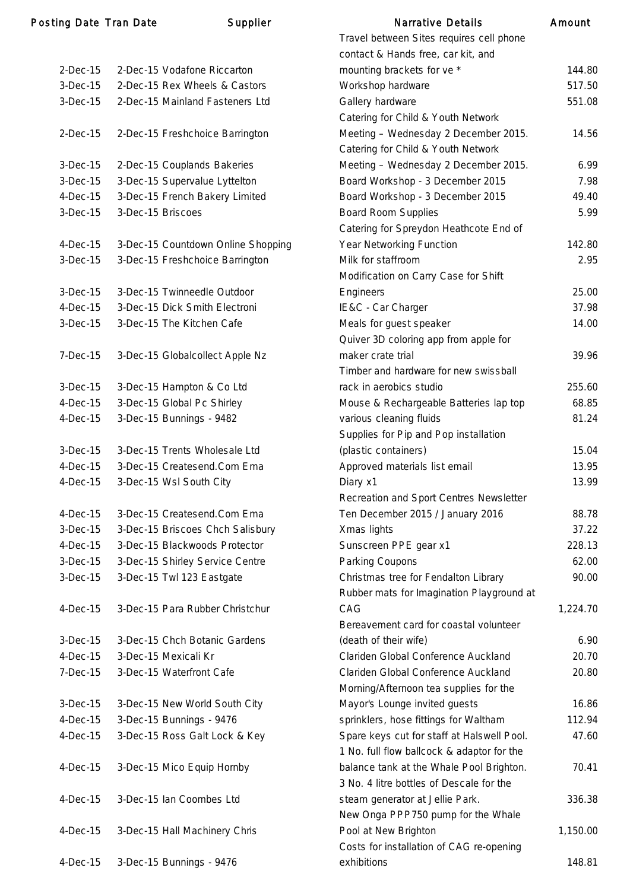### Posting Date Tran Date Supplier

| 2-Dec-15       | 2-Dec-15 Vodafone Riccarton        |
|----------------|------------------------------------|
| 3-Dec-15       | 2-Dec-15 Rex Wheels & Castors      |
| 3-Dec-15       | 2-Dec-15 Mainland Fasteners Ltd    |
| $2$ -Dec $-15$ | 2-Dec-15 Freshchoice Barrington    |
| 3-Dec-15       | 2-Dec-15 Couplands Bakeries        |
| 3-Dec-15       | 3-Dec-15 Supervalue Lyttelton      |
| $4-Dec-15$     | 3-Dec-15 French Bakery Limited     |
| $3-Dec-15$     | 3-Dec-15 Briscoes                  |
| $4-Dec-15$     | 3-Dec-15 Countdown Online Shopping |
| 3-Dec-15       | 3-Dec-15 Freshchoice Barrington    |
| 3-Dec-15       | 3-Dec-15 Twinneedle Outdoor        |
| $4-Dec-15$     | 3-Dec-15 Dick Smith Electroni      |
| $3-Dec-15$     | 3-Dec-15 The Kitchen Cafe          |
| 7-Dec-15       | 3-Dec-15 Globalcollect Apple Nz    |
| 3-Dec-15       | 3-Dec-15 Hampton & Co Ltd          |
| $4-Dec-15$     | 3-Dec-15 Global Pc Shirley         |
| $4-Dec-15$     | 3-Dec-15 Bunnings - 9482           |
| 3-Dec-15       | 3-Dec-15 Trents Wholesale Ltd      |
| $4-Dec-15$     | 3-Dec-15 Createsend.Com Ema        |
| $4-Dec-15$     | 3-Dec-15 Wsl South City            |
| $4-Dec-15$     | 3-Dec-15 Createsend.Com Ema        |
| 3-Dec-15       | 3-Dec-15 Briscoes Chch Salisbury   |
| 4-Dec-15       | 3-Dec-15 Blackwoods Protector      |
| 3-Dec-15       | 3-Dec-15 Shirley Service Centre    |
| 3-Dec-15       | 3-Dec-15 Twl 123 Eastgate          |
| 4-Dec-15       | 3-Dec-15 Para Rubber Christchur    |
| 3-Dec-15       | 3-Dec-15 Chch Botanic Gardens      |
| 4-Dec-15       | 3-Dec-15 Mexicali Kr               |
| 7-Dec-15       | 3-Dec-15 Waterfront Cafe           |
| 3-Dec-15       | 3-Dec-15 New World South City      |
| 4-Dec-15       | 3-Dec-15 Bunnings - 9476           |
| 4-Dec-15       | 3-Dec-15 Ross Galt Lock & Key      |
| 4-Dec-15       | 3-Dec-15 Mico Equip Hornby         |
| 4-Dec-15       | 3-Dec-15 Ian Coombes Ltd           |
| 4-Dec-15       | 3-Dec-15 Hall Machinery Chris      |
| 4-Dec-15       | 3-Dec-15 Bunnings - 9476           |

|            | ng Date Tran Date | Supplier                           | <b>Narrative Details</b>                                                                 | Amount   |
|------------|-------------------|------------------------------------|------------------------------------------------------------------------------------------|----------|
|            |                   |                                    | Travel between Sites requires cell phone                                                 |          |
|            |                   |                                    | contact & Hands free, car kit, and                                                       |          |
| $2-Dec-15$ |                   | 2-Dec-15 Vodafone Riccarton        | mounting brackets for ve *                                                               | 144.80   |
| $3-Dec-15$ |                   | 2-Dec-15 Rex Wheels & Castors      | Workshop hardware                                                                        | 517.50   |
| $3-Dec-15$ |                   | 2-Dec-15 Mainland Fasteners Ltd    | Gallery hardware                                                                         | 551.08   |
|            |                   |                                    | Catering for Child & Youth Network                                                       |          |
| $2-Dec-15$ |                   | 2-Dec-15 Freshchoice Barrington    | Meeting - Wednesday 2 December 2015.                                                     | 14.56    |
|            |                   |                                    | Catering for Child & Youth Network                                                       |          |
| $3-Dec-15$ |                   | 2-Dec-15 Couplands Bakeries        | Meeting - Wednesday 2 December 2015.                                                     | 6.99     |
| 3-Dec-15   |                   | 3-Dec-15 Supervalue Lyttelton      | Board Workshop - 3 December 2015                                                         | 7.98     |
| 4-Dec-15   |                   | 3-Dec-15 French Bakery Limited     | Board Workshop - 3 December 2015                                                         | 49.40    |
| 3-Dec-15   |                   | 3-Dec-15 Briscoes                  | <b>Board Room Supplies</b>                                                               | 5.99     |
|            |                   |                                    | Catering for Spreydon Heathcote End of                                                   |          |
| 4-Dec-15   |                   | 3-Dec-15 Countdown Online Shopping | Year Networking Function                                                                 | 142.80   |
| $3-Dec-15$ |                   | 3-Dec-15 Freshchoice Barrington    | Milk for staffroom                                                                       | 2.95     |
|            |                   |                                    | Modification on Carry Case for Shift                                                     |          |
| $3-Dec-15$ |                   | 3-Dec-15 Twinneedle Outdoor        | Engineers                                                                                | 25.00    |
| $4-Dec-15$ |                   | 3-Dec-15 Dick Smith Electroni      | IE&C - Car Charger                                                                       | 37.98    |
| $3-Dec-15$ |                   | 3-Dec-15 The Kitchen Cafe          | Meals for guest speaker                                                                  | 14.00    |
|            |                   |                                    | Quiver 3D coloring app from apple for                                                    |          |
| $7-Dec-15$ |                   | 3-Dec-15 Globalcollect Apple Nz    | maker crate trial                                                                        | 39.96    |
|            |                   |                                    | Timber and hardware for new swissball                                                    |          |
| 3-Dec-15   |                   | 3-Dec-15 Hampton & Co Ltd          | rack in aerobics studio                                                                  | 255.60   |
| $4-Dec-15$ |                   | 3-Dec-15 Global Pc Shirley         | Mouse & Rechargeable Batteries lap top                                                   | 68.85    |
| 4-Dec-15   |                   | 3-Dec-15 Bunnings - 9482           | various cleaning fluids                                                                  | 81.24    |
|            |                   |                                    | Supplies for Pip and Pop installation                                                    |          |
| $3-Dec-15$ |                   | 3-Dec-15 Trents Wholesale Ltd      | (plastic containers)                                                                     | 15.04    |
| $4-Dec-15$ |                   | 3-Dec-15 Createsend.Com Ema        | Approved materials list email                                                            | 13.95    |
| $4-Dec-15$ |                   | 3-Dec-15 Wsl South City            | Diary x1                                                                                 | 13.99    |
|            |                   |                                    | Recreation and Sport Centres Newsletter                                                  |          |
| 4-Dec-15   |                   | 3-Dec-15 Createsend.Com Ema        | Ten December 2015 / January 2016                                                         | 88.78    |
| $3-Dec-15$ |                   | 3-Dec-15 Briscoes Chch Salisbury   | Xmas lights                                                                              | 37.22    |
| $4-Dec-15$ |                   | 3-Dec-15 Blackwoods Protector      | Sunscreen PPE gear x1                                                                    | 228.13   |
| $3-Dec-15$ |                   | 3-Dec-15 Shirley Service Centre    | Parking Coupons                                                                          | 62.00    |
| $3-Dec-15$ |                   | 3-Dec-15 Twl 123 Eastgate          | Christmas tree for Fendalton Library                                                     | 90.00    |
|            |                   |                                    |                                                                                          |          |
|            |                   |                                    | Rubber mats for Imagination Playground at<br>CAG                                         | 1,224.70 |
| 4-Dec-15   |                   | 3-Dec-15 Para Rubber Christchur    |                                                                                          |          |
|            |                   |                                    | Bereavement card for coastal volunteer                                                   |          |
| 3-Dec-15   |                   | 3-Dec-15 Chch Botanic Gardens      | (death of their wife)                                                                    | 6.90     |
| 4-Dec-15   |                   | 3-Dec-15 Mexicali Kr               | Clariden Global Conference Auckland                                                      | 20.70    |
| 7-Dec-15   |                   | 3-Dec-15 Waterfront Cafe           | Clariden Global Conference Auckland                                                      | 20.80    |
|            |                   |                                    | Morning/Afternoon tea supplies for the                                                   |          |
| 3-Dec-15   |                   | 3-Dec-15 New World South City      | Mayor's Lounge invited guests                                                            | 16.86    |
| 4-Dec-15   |                   | 3-Dec-15 Bunnings - 9476           | sprinklers, hose fittings for Waltham                                                    | 112.94   |
| 4-Dec-15   |                   | 3-Dec-15 Ross Galt Lock & Key      | Spare keys cut for staff at Halswell Pool.<br>1 No. full flow ballcock & adaptor for the | 47.60    |
| 4-Dec-15   |                   | 3-Dec-15 Mico Equip Hornby         | balance tank at the Whale Pool Brighton.                                                 | 70.41    |
|            |                   |                                    | 3 No. 4 litre bottles of Descale for the                                                 |          |
| 4-Dec-15   |                   | 3-Dec-15 Ian Coombes Ltd           | steam generator at Jellie Park.                                                          | 336.38   |
|            |                   |                                    | New Onga PPP750 pump for the Whale                                                       |          |
| 4-Dec-15   |                   | 3-Dec-15 Hall Machinery Chris      | Pool at New Brighton                                                                     | 1,150.00 |
|            |                   |                                    | Costs for installation of CAG re-opening                                                 |          |
| 4-Dec-15   |                   | 3-Dec-15 Bunnings - 9476           | exhibitions                                                                              | 148.81   |
|            |                   |                                    |                                                                                          |          |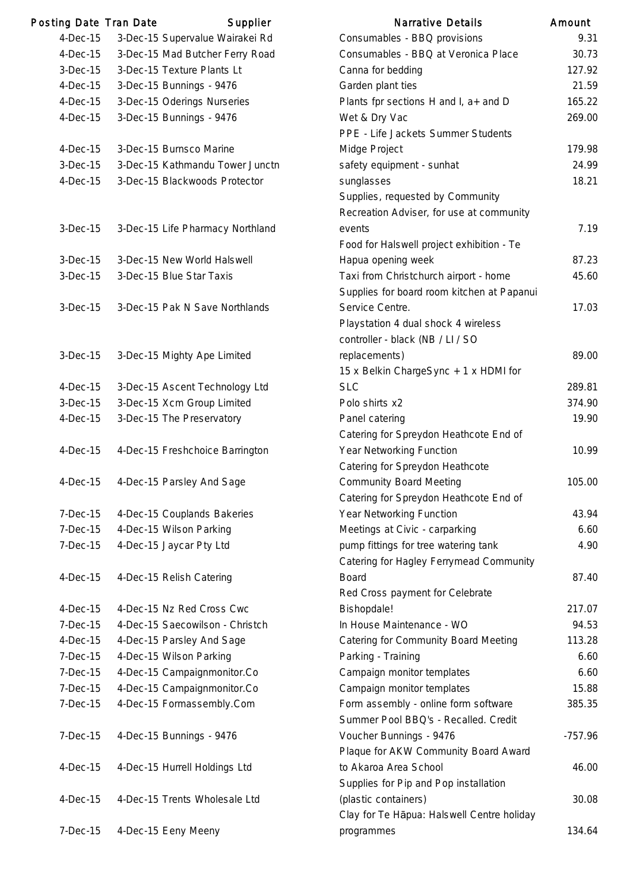| Posting Date Tran Date | Supplier                         | <b>Narrative Details</b>                       | Amount    |
|------------------------|----------------------------------|------------------------------------------------|-----------|
| $4-Dec-15$             | 3-Dec-15 Supervalue Wairakei Rd  | Consumables - BBQ provisions                   | 9.31      |
| $4-Dec-15$             | 3-Dec-15 Mad Butcher Ferry Road  | Consumables - BBQ at Veronica Place            | 30.73     |
| $3-Dec-15$             | 3-Dec-15 Texture Plants Lt       | Canna for bedding                              | 127.92    |
| $4$ -Dec $-15$         | 3-Dec-15 Bunnings - 9476         | Garden plant ties                              | 21.59     |
| $4$ -Dec $-15$         | 3-Dec-15 Oderings Nurseries      | Plants fpr sections H and I, a+ and D          | 165.22    |
| $4-Dec-15$             | 3-Dec-15 Bunnings - 9476         | Wet & Dry Vac                                  | 269.00    |
|                        |                                  | PPE - Life Jackets Summer Students             |           |
| $4-Dec-15$             | 3-Dec-15 Burnsco Marine          | Midge Project                                  | 179.98    |
| 3-Dec-15               | 3-Dec-15 Kathmandu Tower Junctn  | safety equipment - sunhat                      | 24.99     |
| $4-Dec-15$             | 3-Dec-15 Blackwoods Protector    | sunglasses                                     | 18.21     |
|                        |                                  | Supplies, requested by Community               |           |
|                        |                                  | Recreation Adviser, for use at community       |           |
| $3-Dec-15$             | 3-Dec-15 Life Pharmacy Northland | events                                         | 7.19      |
|                        |                                  | Food for Halswell project exhibition - Te      |           |
| 3-Dec-15               | 3-Dec-15 New World Halswell      | Hapua opening week                             | 87.23     |
| $3-Dec-15$             | 3-Dec-15 Blue Star Taxis         | Taxi from Christchurch airport - home          | 45.60     |
|                        |                                  | Supplies for board room kitchen at Papanui     |           |
| 3-Dec-15               | 3-Dec-15 Pak N Save Northlands   | Service Centre.                                | 17.03     |
|                        |                                  | Playstation 4 dual shock 4 wireless            |           |
|                        |                                  | controller - black (NB / LI / SO               |           |
| $3-Dec-15$             | 3-Dec-15 Mighty Ape Limited      | replacements)                                  | 89.00     |
|                        |                                  | 15 x Belkin ChargeSync + 1 x HDMI for          |           |
| $4-Dec-15$             | 3-Dec-15 Ascent Technology Ltd   | <b>SLC</b>                                     | 289.81    |
| $3-Dec-15$             | 3-Dec-15 Xcm Group Limited       | Polo shirts x2                                 | 374.90    |
| 4-Dec-15               | 3-Dec-15 The Preservatory        | Panel catering                                 | 19.90     |
|                        |                                  | Catering for Spreydon Heathcote End of         |           |
| $4$ -Dec $-15$         | 4-Dec-15 Freshchoice Barrington  | Year Networking Function                       | 10.99     |
|                        |                                  | Catering for Spreydon Heathcote                |           |
| $4-Dec-15$             | 4-Dec-15 Parsley And Sage        | <b>Community Board Meeting</b>                 | 105.00    |
|                        |                                  | Catering for Spreydon Heathcote End of         |           |
| $7-Dec-15$             | 4-Dec-15 Couplands Bakeries      | Year Networking Function                       | 43.94     |
| 7-Dec-15               | 4-Dec-15 Wilson Parking          | Meetings at Civic - carparking                 | 6.60      |
| 7-Dec-15               | 4-Dec-15 Jaycar Pty Ltd          | pump fittings for tree watering tank           | 4.90      |
|                        |                                  | <b>Catering for Hagley Ferrymead Community</b> |           |
| $4$ -Dec $-15$         | 4-Dec-15 Relish Catering         | <b>Board</b>                                   | 87.40     |
|                        |                                  | Red Cross payment for Celebrate                |           |
| $4-Dec-15$             | 4-Dec-15 Nz Red Cross Cwc        | Bishopdale!                                    | 217.07    |
| 7-Dec-15               | 4-Dec-15 Saecowilson - Christch  | In House Maintenance - WO                      | 94.53     |
| $4-Dec-15$             | 4-Dec-15 Parsley And Sage        | Catering for Community Board Meeting           | 113.28    |
| $7-Dec-15$             | 4-Dec-15 Wilson Parking          | Parking - Training                             | 6.60      |
| 7-Dec-15               | 4-Dec-15 Campaignmonitor.Co      | Campaign monitor templates                     | 6.60      |
| 7-Dec-15               | 4-Dec-15 Campaignmonitor.Co      | Campaign monitor templates                     | 15.88     |
| 7-Dec-15               | 4-Dec-15 Formassembly.Com        | Form assembly - online form software           | 385.35    |
|                        |                                  | Summer Pool BBQ's - Recalled. Credit           |           |
| $7-Dec-15$             | 4-Dec-15 Bunnings - 9476         | Voucher Bunnings - 9476                        | $-757.96$ |
|                        |                                  | Plaque for AKW Community Board Award           |           |
| $4-Dec-15$             | 4-Dec-15 Hurrell Holdings Ltd    | to Akaroa Area School                          | 46.00     |
|                        |                                  | Supplies for Pip and Pop installation          |           |
| $4$ -Dec $-15$         | 4-Dec-15 Trents Wholesale Ltd    | (plastic containers)                           | 30.08     |
|                        |                                  | Clay for Te Hapua: Halswell Centre holiday     |           |
| $7-Dec-15$             | 4-Dec-15 Eeny Meeny              | programmes                                     | 134.64    |
|                        |                                  |                                                |           |

| <b>Narrative Details</b>                   | Amount    |
|--------------------------------------------|-----------|
| Consumables - BBQ provisions               | 9.31      |
| Consumables - BBQ at Veronica Place        | 30.73     |
| Canna for bedding                          | 127.92    |
| Garden plant ties                          | 21.59     |
| Plants fpr sections H and I, a+ and D      | 165.22    |
| Wet & Dry Vac                              | 269.00    |
| PPE - Life Jackets Summer Students         |           |
| Midge Project                              | 179.98    |
| safety equipment - sunhat                  | 24.99     |
| sunglasses                                 | 18.21     |
| Supplies, requested by Community           |           |
| Recreation Adviser, for use at community   |           |
| events                                     | 7.19      |
| Food for Halswell project exhibition - Te  |           |
| Hapua opening week                         | 87.23     |
| Taxi from Christchurch airport - home      | 45.60     |
| Supplies for board room kitchen at Papanui |           |
| Service Centre.                            | 17.03     |
| Playstation 4 dual shock 4 wireless        |           |
| controller - black (NB / LI / SO           |           |
| replacements)                              | 89.00     |
| 15 x Belkin ChargeSync + 1 x HDMI for      |           |
| <b>SLC</b>                                 | 289.81    |
| Polo shirts x2                             | 374.90    |
| Panel catering                             | 19.90     |
| Catering for Spreydon Heathcote End of     |           |
| Year Networking Function                   | 10.99     |
| Catering for Spreydon Heathcote            |           |
| <b>Community Board Meeting</b>             | 105.00    |
| Catering for Spreydon Heathcote End of     |           |
| Year Networking Function                   | 43.94     |
| Meetings at Civic - carparking             | 6.60      |
| pump fittings for tree watering tank       | 4.90      |
| Catering for Hagley Ferrymead Community    |           |
| <b>Board</b>                               | 87.40     |
| Red Cross payment for Celebrate            |           |
| Bishopdale!                                | 217.07    |
| In House Maintenance - WO                  | 94.53     |
| Catering for Community Board Meeting       | 113.28    |
| Parking - Training                         | 6.60      |
| Campaign monitor templates                 | 6.60      |
| Campaign monitor templates                 | 15.88     |
| Form assembly - online form software       | 385.35    |
| Summer Pool BBQ's - Recalled. Credit       |           |
| Voucher Bunnings - 9476                    | $-757.96$ |
| Plaque for AKW Community Board Award       |           |
| to Akaroa Area School                      | 46.00     |
| Supplies for Pip and Pop installation      |           |
| (plastic containers)                       | 30.08     |
| Clay for Te Hapua: Halswell Centre holiday |           |
| programmes                                 | 134.64    |
|                                            |           |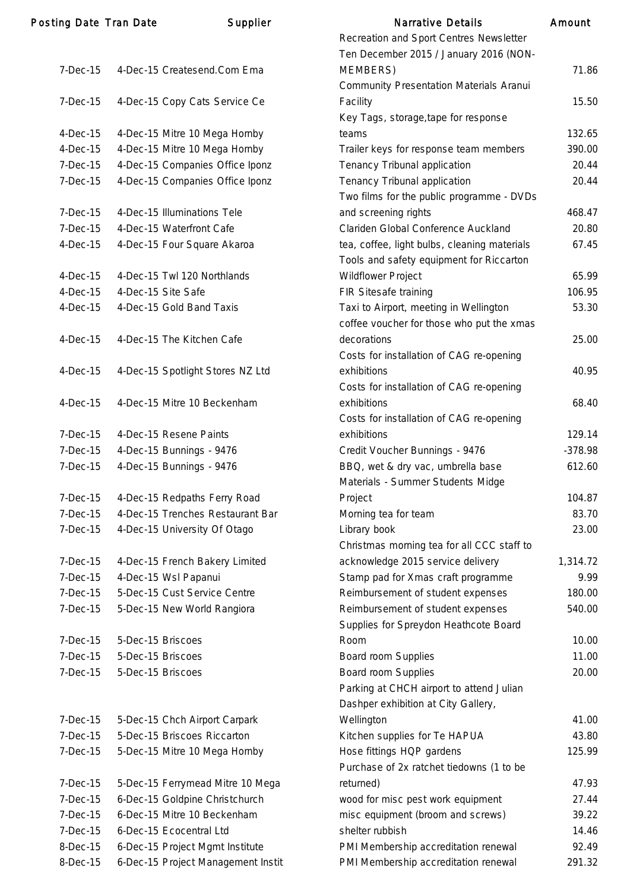| Posting Date Tran Date |                   | Supplier                           | <b>Narrative Details</b>                       | Amount    |
|------------------------|-------------------|------------------------------------|------------------------------------------------|-----------|
|                        |                   |                                    | Recreation and Sport Centres Newsletter        |           |
|                        |                   |                                    | Ten December 2015 / January 2016 (NON-         |           |
| $7-Dec-15$             |                   | 4-Dec-15 Createsend.Com Ema        | MEMBERS)                                       | 71.86     |
|                        |                   |                                    | <b>Community Presentation Materials Aranui</b> |           |
| $7-Dec-15$             |                   | 4-Dec-15 Copy Cats Service Ce      | Facility                                       | 15.50     |
|                        |                   |                                    | Key Tags, storage, tape for response           |           |
| $4-Dec-15$             |                   | 4-Dec-15 Mitre 10 Mega Hornby      | teams                                          | 132.65    |
| $4-Dec-15$             |                   | 4-Dec-15 Mitre 10 Mega Hornby      | Trailer keys for response team members         | 390.00    |
| $7-Dec-15$             |                   | 4-Dec-15 Companies Office Iponz    | Tenancy Tribunal application                   | 20.44     |
| 7-Dec-15               |                   | 4-Dec-15 Companies Office Iponz    | Tenancy Tribunal application                   | 20.44     |
|                        |                   |                                    | Two films for the public programme - DVDs      |           |
| 7-Dec-15               |                   | 4-Dec-15 Illuminations Tele        | and screening rights                           | 468.47    |
| $7-Dec-15$             |                   | 4-Dec-15 Waterfront Cafe           | Clariden Global Conference Auckland            | 20.80     |
| $4-Dec-15$             |                   | 4-Dec-15 Four Square Akaroa        | tea, coffee, light bulbs, cleaning materials   | 67.45     |
|                        |                   |                                    | Tools and safety equipment for Riccarton       |           |
|                        |                   |                                    |                                                | 65.99     |
| $4-Dec-15$             |                   | 4-Dec-15 Twl 120 Northlands        | <b>Wildflower Project</b>                      |           |
| $4-Dec-15$             |                   | 4-Dec-15 Site Safe                 | FIR Sitesafe training                          | 106.95    |
| $4-Dec-15$             |                   | 4-Dec-15 Gold Band Taxis           | Taxi to Airport, meeting in Wellington         | 53.30     |
|                        |                   |                                    | coffee voucher for those who put the xmas      |           |
| $4$ -Dec-15            |                   | 4-Dec-15 The Kitchen Cafe          | decorations                                    | 25.00     |
|                        |                   |                                    | Costs for installation of CAG re-opening       |           |
| $4-Dec-15$             |                   | 4-Dec-15 Spotlight Stores NZ Ltd   | exhibitions                                    | 40.95     |
|                        |                   |                                    | Costs for installation of CAG re-opening       |           |
| $4-Dec-15$             |                   | 4-Dec-15 Mitre 10 Beckenham        | exhibitions                                    | 68.40     |
|                        |                   |                                    | Costs for installation of CAG re-opening       |           |
| 7-Dec-15               |                   | 4-Dec-15 Resene Paints             | exhibitions                                    | 129.14    |
| $7-Dec-15$             |                   | 4-Dec-15 Bunnings - 9476           | Credit Voucher Bunnings - 9476                 | $-378.98$ |
| 7-Dec-15               |                   | 4-Dec-15 Bunnings - 9476           | BBQ, wet & dry vac, umbrella base              | 612.60    |
|                        |                   |                                    | Materials - Summer Students Midge              |           |
| 7-Dec-15               |                   | 4-Dec-15 Redpaths Ferry Road       | Project                                        | 104.87    |
| $7-Dec-15$             |                   | 4-Dec-15 Trenches Restaurant Bar   | Morning tea for team                           | 83.70     |
| 7-Dec-15               |                   | 4-Dec-15 University Of Otago       | Library book                                   | 23.00     |
|                        |                   |                                    | Christmas morning tea for all CCC staff to     |           |
| 7-Dec-15               |                   | 4-Dec-15 French Bakery Limited     | acknowledge 2015 service delivery              | 1,314.72  |
| 7-Dec-15               |                   | 4-Dec-15 Wsl Papanui               | Stamp pad for Xmas craft programme             | 9.99      |
| 7-Dec-15               |                   | 5-Dec-15 Cust Service Centre       | Reimbursement of student expenses              | 180.00    |
| $7-Dec-15$             |                   | 5-Dec-15 New World Rangiora        | Reimbursement of student expenses              | 540.00    |
|                        |                   |                                    | Supplies for Spreydon Heathcote Board          |           |
| $7-Dec-15$             | 5-Dec-15 Briscoes |                                    | Room                                           | 10.00     |
| 7-Dec-15               | 5-Dec-15 Briscoes |                                    | Board room Supplies                            | 11.00     |
| $7-Dec-15$             | 5-Dec-15 Briscoes |                                    | Board room Supplies                            | 20.00     |
|                        |                   |                                    | Parking at CHCH airport to attend Julian       |           |
|                        |                   |                                    | Dashper exhibition at City Gallery,            |           |
| 7-Dec-15               |                   | 5-Dec-15 Chch Airport Carpark      | Wellington                                     | 41.00     |
| $7-Dec-15$             |                   | 5-Dec-15 Briscoes Riccarton        | Kitchen supplies for Te HAPUA                  | 43.80     |
| 7-Dec-15               |                   | 5-Dec-15 Mitre 10 Mega Hornby      | Hose fittings HQP gardens                      | 125.99    |
|                        |                   |                                    | Purchase of 2x ratchet tiedowns (1 to be       |           |
|                        |                   |                                    |                                                |           |
| 7-Dec-15               |                   | 5-Dec-15 Ferrymead Mitre 10 Mega   | returned)                                      | 47.93     |
| $7-Dec-15$             |                   | 6-Dec-15 Goldpine Christchurch     | wood for misc pest work equipment              | 27.44     |
| 7-Dec-15               |                   | 6-Dec-15 Mitre 10 Beckenham        | misc equipment (broom and screws)              | 39.22     |
| $7-Dec-15$             |                   | 6-Dec-15 Ecocentral Ltd            | shelter rubbish                                | 14.46     |
| 8-Dec-15               |                   | 6-Dec-15 Project Mgmt Institute    | PMI Membership accreditation renewal           | 92.49     |
| 8-Dec-15               |                   | 6-Dec-15 Project Management Instit | PMI Membership accreditation renewal           | 291.32    |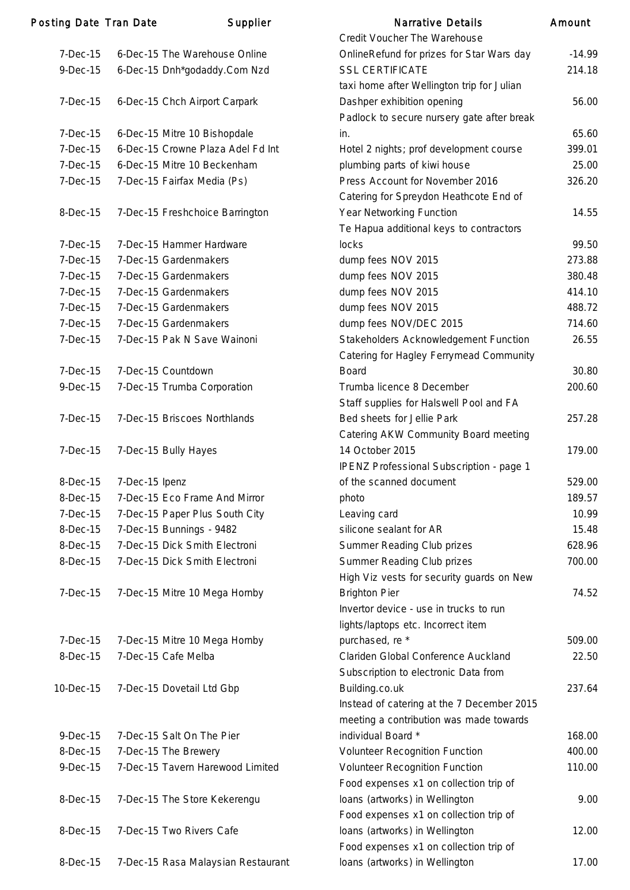| <b>Posting Date Tran Date</b> |                | Supplier                           | <b>Narrative Details</b>                   | Amount   |
|-------------------------------|----------------|------------------------------------|--------------------------------------------|----------|
|                               |                |                                    | Credit Voucher The Warehouse               |          |
| $7-Dec-15$                    |                | 6-Dec-15 The Warehouse Online      | OnlineRefund for prizes for Star Wars day  | $-14.99$ |
| $9-Dec-15$                    |                | 6-Dec-15 Dnh*godaddy.Com Nzd       | <b>SSL CERTIFICATE</b>                     | 214.18   |
|                               |                |                                    | taxi home after Wellington trip for Julian |          |
| $7-Dec-15$                    |                | 6-Dec-15 Chch Airport Carpark      | Dashper exhibition opening                 | 56.00    |
|                               |                |                                    | Padlock to secure nursery gate after break |          |
| 7-Dec-15                      |                | 6-Dec-15 Mitre 10 Bishopdale       | in.                                        | 65.60    |
| 7-Dec-15                      |                | 6-Dec-15 Crowne Plaza Adel Fd Int  | Hotel 2 nights; prof development course    | 399.01   |
| 7-Dec-15                      |                | 6-Dec-15 Mitre 10 Beckenham        | plumbing parts of kiwi house               | 25.00    |
| $7-Dec-15$                    |                | 7-Dec-15 Fairfax Media (Ps)        | Press Account for November 2016            | 326.20   |
|                               |                |                                    | Catering for Spreydon Heathcote End of     |          |
| 8-Dec-15                      |                | 7-Dec-15 Freshchoice Barrington    | Year Networking Function                   | 14.55    |
|                               |                |                                    | Te Hapua additional keys to contractors    |          |
| $7-Dec-15$                    |                | 7-Dec-15 Hammer Hardware           | locks                                      | 99.50    |
| 7-Dec-15                      |                | 7-Dec-15 Gardenmakers              | dump fees NOV 2015                         | 273.88   |
| 7-Dec-15                      |                | 7-Dec-15 Gardenmakers              | dump fees NOV 2015                         | 380.48   |
| $7-Dec-15$                    |                | 7-Dec-15 Gardenmakers              | dump fees NOV 2015                         | 414.10   |
| 7-Dec-15                      |                | 7-Dec-15 Gardenmakers              | dump fees NOV 2015                         | 488.72   |
| 7-Dec-15                      |                | 7-Dec-15 Gardenmakers              | dump fees NOV/DEC 2015                     | 714.60   |
| $7-Dec-15$                    |                | 7-Dec-15 Pak N Save Wainoni        |                                            | 26.55    |
|                               |                |                                    | Stakeholders Acknowledgement Function      |          |
|                               |                |                                    | Catering for Hagley Ferrymead Community    |          |
| $7-Dec-15$                    |                | 7-Dec-15 Countdown                 | <b>Board</b>                               | 30.80    |
| $9-Dec-15$                    |                | 7-Dec-15 Trumba Corporation        | Trumba licence 8 December                  | 200.60   |
|                               |                |                                    | Staff supplies for Halswell Pool and FA    |          |
| 7-Dec-15                      |                | 7-Dec-15 Briscoes Northlands       | Bed sheets for Jellie Park                 | 257.28   |
|                               |                |                                    | Catering AKW Community Board meeting       |          |
| $7-Dec-15$                    |                | 7-Dec-15 Bully Hayes               | 14 October 2015                            | 179.00   |
|                               |                |                                    | IPENZ Professional Subscription - page 1   |          |
| 8-Dec-15                      | 7-Dec-15 Ipenz |                                    | of the scanned document                    | 529.00   |
| 8-Dec-15                      |                | 7-Dec-15 Eco Frame And Mirror      | photo                                      | 189.57   |
| 7-Dec-15                      |                | 7-Dec-15 Paper Plus South City     | Leaving card                               | 10.99    |
| 8-Dec-15                      |                | 7-Dec-15 Bunnings - 9482           | silicone sealant for AR                    | 15.48    |
| 8-Dec-15                      |                | 7-Dec-15 Dick Smith Electroni      | Summer Reading Club prizes                 | 628.96   |
| 8-Dec-15                      |                | 7-Dec-15 Dick Smith Electroni      | Summer Reading Club prizes                 | 700.00   |
|                               |                |                                    | High Viz vests for security guards on New  |          |
| $7-Dec-15$                    |                | 7-Dec-15 Mitre 10 Mega Hornby      | <b>Brighton Pier</b>                       | 74.52    |
|                               |                |                                    | Invertor device - use in trucks to run     |          |
|                               |                |                                    | lights/laptops etc. Incorrect item         |          |
| $7-Dec-15$                    |                | 7-Dec-15 Mitre 10 Mega Hornby      | purchased, re *                            | 509.00   |
| 8-Dec-15                      |                | 7-Dec-15 Cafe Melba                | Clariden Global Conference Auckland        | 22.50    |
|                               |                |                                    | Subscription to electronic Data from       |          |
| 10-Dec-15                     |                | 7-Dec-15 Dovetail Ltd Gbp          | Building.co.uk                             | 237.64   |
|                               |                |                                    | Instead of catering at the 7 December 2015 |          |
|                               |                |                                    | meeting a contribution was made towards    |          |
| $9-Dec-15$                    |                | 7-Dec-15 Salt On The Pier          | individual Board *                         | 168.00   |
| 8-Dec-15                      |                | 7-Dec-15 The Brewery               | Volunteer Recognition Function             | 400.00   |
| $9-Dec-15$                    |                | 7-Dec-15 Tavern Harewood Limited   | <b>Volunteer Recognition Function</b>      | 110.00   |
|                               |                |                                    | Food expenses x1 on collection trip of     |          |
| 8-Dec-15                      |                | 7-Dec-15 The Store Kekerengu       | loans (artworks) in Wellington             | 9.00     |
|                               |                |                                    | Food expenses x1 on collection trip of     |          |
| 8-Dec-15                      |                | 7-Dec-15 Two Rivers Cafe           | loans (artworks) in Wellington             | 12.00    |
|                               |                |                                    | Food expenses x1 on collection trip of     |          |
| 8-Dec-15                      |                | 7-Dec-15 Rasa Malaysian Restaurant | loans (artworks) in Wellington             | 17.00    |
|                               |                |                                    |                                            |          |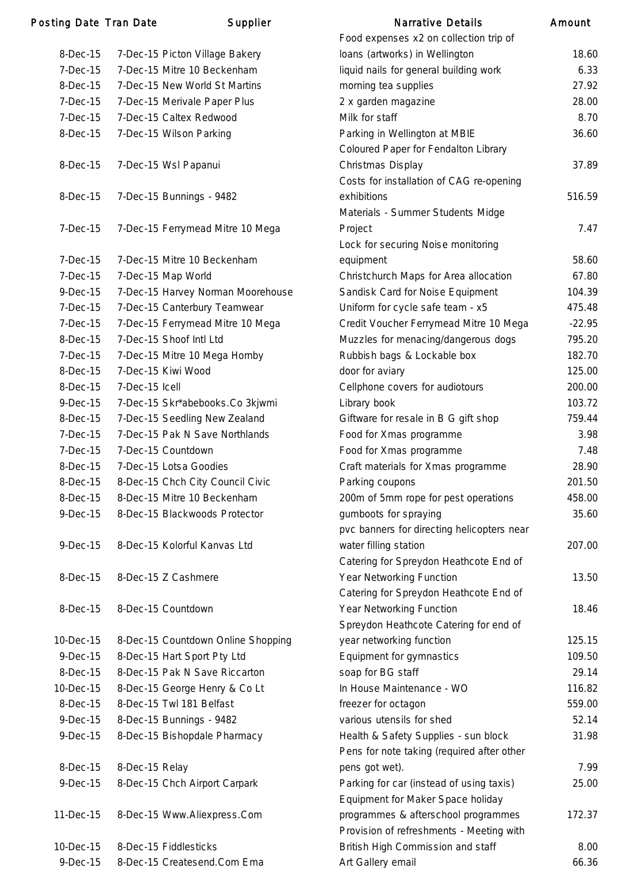### Posting Date Tran Date Supplier

| 8-Dec-15       | 7-Dec-15 Picton Village Bakery     |
|----------------|------------------------------------|
| $7-Dec-15$     | 7-Dec-15 Mitre 10 Beckenham        |
| 8-Dec-15       | 7-Dec-15 New World St Martins      |
| $7-Dec-15$     | 7-Dec-15 Merivale Paper Plus       |
| $7-Dec-15$     | 7-Dec-15 Caltex Redwood            |
| 8-Dec-15       | 7-Dec-15 Wilson Parking            |
|                |                                    |
| $8-Dec-15$     | 7-Dec-15 Wsl Papanui               |
|                |                                    |
| 8-Dec-15       | 7-Dec-15 Bunnings - 9482           |
|                |                                    |
| 7-Dec-15       | 7-Dec-15 Ferrymead Mitre 10 Mega   |
|                |                                    |
| 7-Dec-15       | 7-Dec-15 Mitre 10 Beckenham        |
| 7-Dec-15       | 7-Dec-15 Map World                 |
| $9-Dec-15$     | 7-Dec-15 Harvey Norman Moorehouse  |
| $7-Dec-15$     | 7-Dec-15 Canterbury Teamwear       |
| $7-Dec-15$     | 7-Dec-15 Ferrymead Mitre 10 Mega   |
| 8-Dec-15       | 7-Dec-15 Shoof Intl Ltd            |
| $7-Dec-15$     | 7-Dec-15 Mitre 10 Mega Hornby      |
| 8-Dec-15       | 7-Dec-15 Kiwi Wood                 |
| 8-Dec-15       | 7-Dec-15 Icell                     |
| $9$ -Dec-15    | 7-Dec-15 Skr*abebooks.Co 3kjwmi    |
| 8-Dec-15       | 7-Dec-15 Seedling New Zealand      |
| $7-Dec-15$     | 7-Dec-15 Pak N Save Northlands     |
| $7-Dec-15$     | 7-Dec-15 Countdown                 |
| 8-Dec-15       | 7-Dec-15 Lotsa Goodies             |
| 8-Dec-15       | 8-Dec-15 Chch City Council Civic   |
| 8-Dec-15       | 8-Dec-15 Mitre 10 Beckenham        |
| 9-Dec-15       | 8-Dec-15 Blackwoods Protector      |
|                |                                    |
| $9$ -Dec $-15$ | 8-Dec-15 Kolorful Kanvas Ltd       |
|                |                                    |
| 8-Dec-15       | 8-Dec-15 Z Cashmere                |
| 8-Dec-15       | 8-Dec-15 Countdown                 |
|                |                                    |
| 10-Dec-15      | 8-Dec-15 Countdown Online Shopping |
| $9$ -Dec $-15$ | 8-Dec-15 Hart Sport Pty Ltd        |
| 8-Dec-15       | 8-Dec-15 Pak N Save Riccarton      |
| 10-Dec-15      | 8-Dec-15 George Henry & Co Lt      |
| 8-Dec-15       | 8-Dec-15 Twl 181 Belfast           |
| $9$ -Dec $-15$ | 8-Dec-15 Bunnings - 9482           |
| 9-Dec-15       | 8-Dec-15 Bishopdale Pharmacy       |
|                |                                    |
| 8-Dec-15       | 8-Dec-15 Relay                     |
| 9-Dec-15       | 8-Dec-15 Chch Airport Carpark      |
|                |                                    |
| 11-Dec-15      | 8-Dec-15 Www.Aliexpress.Com        |
|                |                                    |
| 10-Dec-15      | 8-Dec-15 Fiddlesticks              |
| 9-Dec-15       | 8-Dec-15 Createsend.Com Ema        |

|                | ing Date Tran Date | Supplier                           | <b>Narrative Details</b>                                                           | Amount   |
|----------------|--------------------|------------------------------------|------------------------------------------------------------------------------------|----------|
|                |                    |                                    | Food expenses x2 on collection trip of                                             |          |
| 8-Dec-15       |                    | 7-Dec-15 Picton Village Bakery     | loans (artworks) in Wellington                                                     | 18.60    |
| $7-Dec-15$     |                    | 7-Dec-15 Mitre 10 Beckenham        | liquid nails for general building work                                             | 6.33     |
| 8-Dec-15       |                    | 7-Dec-15 New World St Martins      | morning tea supplies                                                               | 27.92    |
| $7-Dec-15$     |                    | 7-Dec-15 Merivale Paper Plus       | 2 x garden magazine                                                                | 28.00    |
| $7-Dec-15$     |                    | 7-Dec-15 Caltex Redwood            | Milk for staff                                                                     | 8.70     |
| 8-Dec-15       |                    | 7-Dec-15 Wilson Parking            | Parking in Wellington at MBIE                                                      | 36.60    |
|                |                    |                                    | Coloured Paper for Fendalton Library                                               |          |
| 8-Dec-15       |                    | 7-Dec-15 Wsl Papanui               | Christmas Display                                                                  | 37.89    |
|                |                    |                                    | Costs for installation of CAG re-opening                                           |          |
| 8-Dec-15       |                    | 7-Dec-15 Bunnings - 9482           | exhibitions                                                                        | 516.59   |
|                |                    |                                    | Materials - Summer Students Midge                                                  |          |
| $7-Dec-15$     |                    | 7-Dec-15 Ferrymead Mitre 10 Mega   | Project                                                                            | 7.47     |
|                |                    |                                    | Lock for securing Noise monitoring                                                 |          |
| 7-Dec-15       |                    | 7-Dec-15 Mitre 10 Beckenham        | equipment                                                                          | 58.60    |
| $7-Dec-15$     |                    | 7-Dec-15 Map World                 | Christchurch Maps for Area allocation                                              | 67.80    |
| $9-Dec-15$     |                    | 7-Dec-15 Harvey Norman Moorehouse  | Sandisk Card for Noise Equipment                                                   | 104.39   |
| $7-Dec-15$     |                    | 7-Dec-15 Canterbury Teamwear       | Uniform for cycle safe team - x5                                                   | 475.48   |
| $7-Dec-15$     |                    | 7-Dec-15 Ferrymead Mitre 10 Mega   | Credit Voucher Ferrymead Mitre 10 Mega                                             | $-22.95$ |
| 8-Dec-15       |                    | 7-Dec-15 Shoof Intl Ltd            | Muzzles for menacing/dangerous dogs                                                | 795.20   |
| $7-Dec-15$     |                    | 7-Dec-15 Mitre 10 Mega Hornby      | Rubbish bags & Lockable box                                                        | 182.70   |
| 8-Dec-15       |                    | 7-Dec-15 Kiwi Wood                 | door for aviary                                                                    | 125.00   |
| 8-Dec-15       | 7-Dec-15 Icell     |                                    | Cellphone covers for audiotours                                                    | 200.00   |
| $9$ -Dec $-15$ |                    | 7-Dec-15 Skr*abebooks.Co 3kjwmi    | Library book                                                                       | 103.72   |
| 8-Dec-15       |                    | 7-Dec-15 Seedling New Zealand      | Giftware for resale in B G gift shop                                               | 759.44   |
| $7-Dec-15$     |                    | 7-Dec-15 Pak N Save Northlands     | Food for Xmas programme                                                            | 3.98     |
| $7-Dec-15$     |                    | 7-Dec-15 Countdown                 | Food for Xmas programme                                                            | 7.48     |
| 8-Dec-15       |                    | 7-Dec-15 Lotsa Goodies             | Craft materials for Xmas programme                                                 | 28.90    |
| 8-Dec-15       |                    | 8-Dec-15 Chch City Council Civic   | Parking coupons                                                                    | 201.50   |
| 8-Dec-15       |                    | 8-Dec-15 Mitre 10 Beckenham        | 200m of 5mm rope for pest operations                                               | 458.00   |
| $9-Dec-15$     |                    | 8-Dec-15 Blackwoods Protector      | gumboots for spraying                                                              | 35.60    |
|                |                    |                                    | pvc banners for directing helicopters near                                         |          |
| $9-Dec-15$     |                    | 8-Dec-15 Kolorful Kanvas Ltd       |                                                                                    | 207.00   |
|                |                    |                                    | water filling station<br>Catering for Spreydon Heathcote End of                    |          |
|                |                    |                                    | Year Networking Function                                                           | 13.50    |
| 8-Dec-15       |                    | 8-Dec-15 Z Cashmere                |                                                                                    |          |
|                |                    |                                    | Catering for Spreydon Heathcote End of                                             |          |
| 8-Dec-15       |                    | 8-Dec-15 Countdown                 | Year Networking Function                                                           | 18.46    |
|                |                    |                                    | Spreydon Heathcote Catering for end of                                             |          |
| 10-Dec-15      |                    | 8-Dec-15 Countdown Online Shopping | year networking function                                                           | 125.15   |
| $9-Dec-15$     |                    | 8-Dec-15 Hart Sport Pty Ltd        | Equipment for gymnastics                                                           | 109.50   |
| 8-Dec-15       |                    | 8-Dec-15 Pak N Save Riccarton      | soap for BG staff                                                                  | 29.14    |
| 10-Dec-15      |                    | 8-Dec-15 George Henry & Co Lt      | In House Maintenance - WO                                                          | 116.82   |
| 8-Dec-15       |                    | 8-Dec-15 Twl 181 Belfast           | freezer for octagon                                                                | 559.00   |
| $9-Dec-15$     |                    | 8-Dec-15 Bunnings - 9482           | various utensils for shed                                                          | 52.14    |
| $9-Dec-15$     |                    | 8-Dec-15 Bishopdale Pharmacy       | Health & Safety Supplies - sun block<br>Pens for note taking (required after other | 31.98    |
| 8-Dec-15       | 8-Dec-15 Relay     |                                    | pens got wet).                                                                     | 7.99     |
| $9-Dec-15$     |                    | 8-Dec-15 Chch Airport Carpark      | Parking for car (instead of using taxis)                                           | 25.00    |
|                |                    |                                    | Equipment for Maker Space holiday                                                  |          |
| 11-Dec-15      |                    | 8-Dec-15 Www.Aliexpress.Com        | programmes & afterschool programmes                                                | 172.37   |
|                |                    |                                    | Provision of refreshments - Meeting with                                           |          |
| 10-Dec-15      |                    | 8-Dec-15 Fiddlesticks              | British High Commission and staff                                                  | 8.00     |
| 9-Dec-15       |                    | 8-Dec-15 Createsend.Com Ema        | Art Gallery email                                                                  | 66.36    |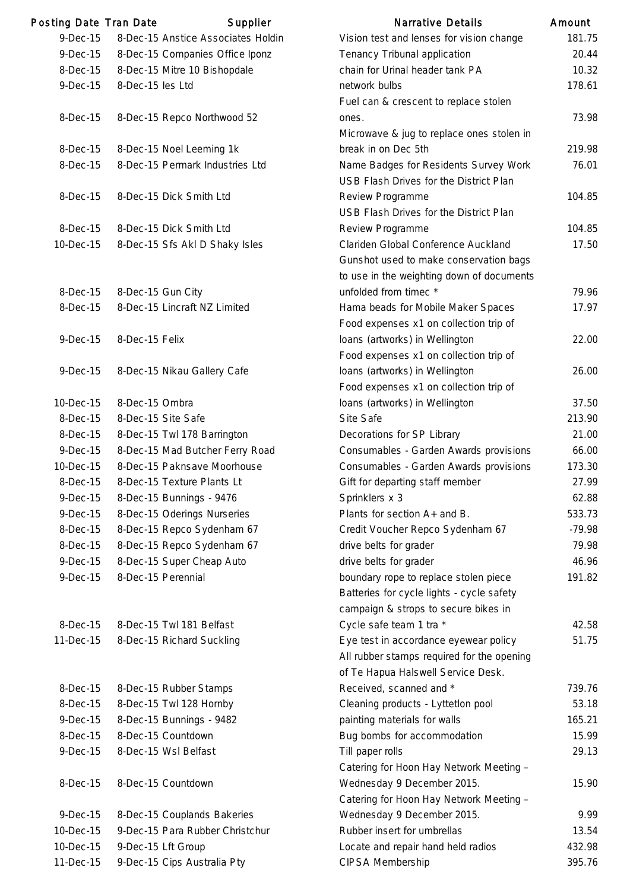| <b>Posting Date Tran Date</b> |                  | Supplier                                                       | <b>Narrative Details</b>                                                                                                   | Amount  |
|-------------------------------|------------------|----------------------------------------------------------------|----------------------------------------------------------------------------------------------------------------------------|---------|
| 9-Dec-15                      |                  | 8-Dec-15 Anstice Associates Holdin                             | Vision test and lenses for vision change                                                                                   | 181.    |
| 9-Dec-15                      |                  | 8-Dec-15 Companies Office Iponz                                | Tenancy Tribunal application                                                                                               | 20.4    |
| 8-Dec-15                      |                  | 8-Dec-15 Mitre 10 Bishopdale                                   | chain for Urinal header tank PA                                                                                            | 10.3    |
| $9-Dec-15$                    | 8-Dec-15 les Ltd |                                                                | network bulbs<br>Fuel can & crescent to replace stolen                                                                     | 178.6   |
| 8-Dec-15                      |                  | 8-Dec-15 Repco Northwood 52                                    | ones.<br>Microwave & jug to replace ones stolen in                                                                         | 73.9    |
| 8-Dec-15                      |                  | 8-Dec-15 Noel Leeming 1k                                       | break in on Dec 5th                                                                                                        | 219.    |
| 8-Dec-15                      |                  | 8-Dec-15 Permark Industries Ltd                                | Name Badges for Residents Survey Work<br>USB Flash Drives for the District Plan                                            | 76.0    |
| 8-Dec-15                      |                  | 8-Dec-15 Dick Smith Ltd                                        | Review Programme<br>USB Flash Drives for the District Plan                                                                 | 104.8   |
| 8-Dec-15                      |                  | 8-Dec-15 Dick Smith Ltd                                        | Review Programme                                                                                                           | 104.8   |
| 10-Dec-15                     |                  | 8-Dec-15 Sfs Akl D Shaky Isles                                 | Clariden Global Conference Auckland<br>Gunshot used to make conservation bags<br>to use in the weighting down of documents | 17.5    |
| 8-Dec-15                      |                  | 8-Dec-15 Gun City                                              | unfolded from timec *                                                                                                      | 79.     |
| 8-Dec-15                      |                  | 8-Dec-15 Lincraft NZ Limited                                   | Hama beads for Mobile Maker Spaces                                                                                         | 17.9    |
|                               |                  |                                                                | Food expenses x1 on collection trip of                                                                                     |         |
| $9-Dec-15$                    | 8-Dec-15 Felix   |                                                                | loans (artworks) in Wellington                                                                                             | 22.0    |
|                               |                  |                                                                | Food expenses x1 on collection trip of                                                                                     |         |
| 9-Dec-15                      |                  | 8-Dec-15 Nikau Gallery Cafe                                    | loans (artworks) in Wellington<br>Food expenses x1 on collection trip of                                                   | 26.0    |
| 10-Dec-15                     | 8-Dec-15 Ombra   |                                                                | loans (artworks) in Wellington                                                                                             | 37.5    |
| 8-Dec-15                      |                  | 8-Dec-15 Site Safe                                             | Site Safe                                                                                                                  | 213.9   |
| 8-Dec-15                      |                  | 8-Dec-15 Twl 178 Barrington                                    | Decorations for SP Library                                                                                                 | 21.0    |
| $9-Dec-15$                    |                  | 8-Dec-15 Mad Butcher Ferry Road                                | Consumables - Garden Awards provisions                                                                                     | 66.0    |
| 10-Dec-15                     |                  | 8-Dec-15 Paknsave Moorhouse                                    | Consumables - Garden Awards provisions                                                                                     | 173.3   |
| 8-Dec-15                      |                  | 8-Dec-15 Texture Plants Lt                                     | Gift for departing staff member                                                                                            | 27.9    |
| $9-Dec-15$                    |                  | 8-Dec-15 Bunnings - 9476                                       | Sprinklers x 3                                                                                                             | 62.8    |
| $9-Dec-15$                    |                  | 8-Dec-15 Oderings Nurseries                                    | Plants for section A+ and B.                                                                                               | 533.    |
| 8-Dec-15                      |                  | 8-Dec-15 Repco Sydenham 67                                     | Credit Voucher Repco Sydenham 67                                                                                           | $-79.9$ |
| 8-Dec-15                      |                  | 8-Dec-15 Repco Sydenham 67                                     | drive belts for grader                                                                                                     | 79.     |
| 9-Dec-15                      |                  | 8-Dec-15 Super Cheap Auto                                      | drive belts for grader                                                                                                     | 46.     |
| $9-Dec-15$                    |                  | 8-Dec-15 Perennial                                             | boundary rope to replace stolen piece<br>Batteries for cycle lights - cycle safety<br>campaign & strops to secure bikes in | 191.8   |
| 8-Dec-15                      |                  | 8-Dec-15 Twl 181 Belfast                                       | Cycle safe team 1 tra *                                                                                                    | 42.5    |
| 11-Dec-15                     |                  | 8-Dec-15 Richard Suckling                                      | Eye test in accordance eyewear policy<br>All rubber stamps required for the opening<br>of Te Hapua Halswell Service Desk.  | 51.     |
| 8-Dec-15                      |                  | 8-Dec-15 Rubber Stamps                                         | Received, scanned and *                                                                                                    | 739.    |
| 8-Dec-15                      |                  | 8-Dec-15 Twl 128 Hornby                                        | Cleaning products - Lyttetlon pool                                                                                         | 53.7    |
| $9-Dec-15$                    |                  | 8-Dec-15 Bunnings - 9482                                       | painting materials for walls                                                                                               | 165.2   |
| 8-Dec-15                      |                  | 8-Dec-15 Countdown                                             | Bug bombs for accommodation                                                                                                | 15.9    |
| $9-Dec-15$                    |                  | 8-Dec-15 Wsl Belfast                                           | Till paper rolls                                                                                                           | 29.7    |
| 8-Dec-15                      |                  | 8-Dec-15 Countdown                                             | Catering for Hoon Hay Network Meeting -<br>Wednesday 9 December 2015.                                                      | 15.9    |
| $9-Dec-15$                    |                  |                                                                | Catering for Hoon Hay Network Meeting -                                                                                    | 9.9     |
| 10-Dec-15                     |                  | 8-Dec-15 Couplands Bakeries<br>9-Dec-15 Para Rubber Christchur | Wednesday 9 December 2015.<br>Rubber insert for umbrellas                                                                  | 13.5    |
| 10-Dec-15                     |                  | 9-Dec-15 Lft Group                                             | Locate and repair hand held radios                                                                                         | 432.    |
| 11-Dec-15                     |                  | 9-Dec-15 Cips Australia Pty                                    | CIPSA Membership                                                                                                           | 395.    |
|                               |                  |                                                                |                                                                                                                            |         |

|            | ing Date Tran Date | Supplier                           | Narrative Details                          | Amount   |
|------------|--------------------|------------------------------------|--------------------------------------------|----------|
| $9-Dec-15$ |                    | 8-Dec-15 Anstice Associates Holdin | Vision test and lenses for vision change   | 181.75   |
| 9-Dec-15   |                    | 8-Dec-15 Companies Office Iponz    | Tenancy Tribunal application               | 20.44    |
| 8-Dec-15   |                    | 8-Dec-15 Mitre 10 Bishopdale       | chain for Urinal header tank PA            | 10.32    |
| $9-Dec-15$ | 8-Dec-15 les Ltd   |                                    | network bulbs                              | 178.61   |
|            |                    |                                    | Fuel can & crescent to replace stolen      |          |
| 8-Dec-15   |                    | 8-Dec-15 Repco Northwood 52        | ones.                                      | 73.98    |
|            |                    |                                    | Microwave & jug to replace ones stolen in  |          |
| 8-Dec-15   |                    | 8-Dec-15 Noel Leeming 1k           | break in on Dec 5th                        | 219.98   |
| 8-Dec-15   |                    | 8-Dec-15 Permark Industries Ltd    | Name Badges for Residents Survey Work      | 76.01    |
|            |                    |                                    | USB Flash Drives for the District Plan     |          |
| 8-Dec-15   |                    | 8-Dec-15 Dick Smith Ltd            | Review Programme                           | 104.85   |
|            |                    |                                    | USB Flash Drives for the District Plan     |          |
| 8-Dec-15   |                    | 8-Dec-15 Dick Smith Ltd            | Review Programme                           | 104.85   |
| 10-Dec-15  |                    | 8-Dec-15 Sfs Akl D Shaky Isles     | Clariden Global Conference Auckland        | 17.50    |
|            |                    |                                    | Gunshot used to make conservation bags     |          |
|            |                    |                                    | to use in the weighting down of documents  |          |
| 8-Dec-15   | 8-Dec-15 Gun City  |                                    | unfolded from timec *                      | 79.96    |
| 8-Dec-15   |                    | 8-Dec-15 Lincraft NZ Limited       | Hama beads for Mobile Maker Spaces         | 17.97    |
|            |                    |                                    | Food expenses x1 on collection trip of     |          |
| $9-Dec-15$ | 8-Dec-15 Felix     |                                    | Ioans (artworks) in Wellington             | 22.00    |
|            |                    |                                    | Food expenses x1 on collection trip of     |          |
| $9-Dec-15$ |                    | 8-Dec-15 Nikau Gallery Cafe        | Ioans (artworks) in Wellington             | 26.00    |
|            |                    |                                    | Food expenses x1 on collection trip of     |          |
| 10-Dec-15  | 8-Dec-15 Ombra     |                                    | Ioans (artworks) in Wellington             | 37.50    |
| 8-Dec-15   |                    | 8-Dec-15 Site Safe                 | Site Safe                                  | 213.90   |
| 8-Dec-15   |                    | 8-Dec-15 Twl 178 Barrington        | Decorations for SP Library                 | 21.00    |
| 9-Dec-15   |                    | 8-Dec-15 Mad Butcher Ferry Road    | Consumables - Garden Awards provisions     | 66.00    |
| 10-Dec-15  |                    | 8-Dec-15 Paknsave Moorhouse        | Consumables - Garden Awards provisions     | 173.30   |
| 8-Dec-15   |                    | 8-Dec-15 Texture Plants Lt         | Gift for departing staff member            | 27.99    |
| 9-Dec-15   |                    | 8-Dec-15 Bunnings - 9476           | Sprinklers x 3                             | 62.88    |
| 9-Dec-15   |                    | 8-Dec-15 Oderings Nurseries        | Plants for section A+ and B.               | 533.73   |
| 8-Dec-15   |                    | 8-Dec-15 Repco Sydenham 67         | Credit Voucher Repco Sydenham 67           | $-79.98$ |
| 8-Dec-15   |                    | 8-Dec-15 Repco Sydenham 67         | drive belts for grader                     | 79.98    |
| 9-Dec-15   |                    | 8-Dec-15 Super Cheap Auto          | drive belts for grader                     | 46.96    |
| $9-Dec-15$ |                    | 8-Dec-15 Perennial                 | boundary rope to replace stolen piece      | 191.82   |
|            |                    |                                    | Batteries for cycle lights - cycle safety  |          |
|            |                    |                                    | campaign & strops to secure bikes in       |          |
| 8-Dec-15   |                    | 8-Dec-15 Twl 181 Belfast           | Cycle safe team 1 tra *                    | 42.58    |
| 11-Dec-15  |                    | 8-Dec-15 Richard Suckling          | Eye test in accordance eyewear policy      | 51.75    |
|            |                    |                                    | All rubber stamps required for the opening |          |
|            |                    |                                    | of Te Hapua Halswell Service Desk.         |          |
| 8-Dec-15   |                    | 8-Dec-15 Rubber Stamps             | Received, scanned and *                    | 739.76   |
| 8-Dec-15   |                    | 8-Dec-15 Twl 128 Hornby            | Cleaning products - Lyttetlon pool         | 53.18    |
| 9-Dec-15   |                    | 8-Dec-15 Bunnings - 9482           | painting materials for walls               | 165.21   |
| 8-Dec-15   |                    | 8-Dec-15 Countdown                 | Bug bombs for accommodation                | 15.99    |
| 9-Dec-15   |                    | 8-Dec-15 Wsl Belfast               | Till paper rolls                           | 29.13    |
|            |                    |                                    | Catering for Hoon Hay Network Meeting -    |          |
| 8-Dec-15   |                    | 8-Dec-15 Countdown                 | Wednesday 9 December 2015.                 | 15.90    |
|            |                    |                                    | Catering for Hoon Hay Network Meeting -    |          |
| 9-Dec-15   |                    | 8-Dec-15 Couplands Bakeries        | Wednesday 9 December 2015.                 | 9.99     |
| 10-Dec-15  |                    | 9-Dec-15 Para Rubber Christchur    | Rubber insert for umbrellas                | 13.54    |
| 10-Dec-15  |                    | 9-Dec-15 Lft Group                 | Locate and repair hand held radios         | 432.98   |
| 11-Dec-15  |                    | 9-Dec-15 Cips Australia Pty        | CIPSA Membership                           | 395.76   |
|            |                    |                                    |                                            |          |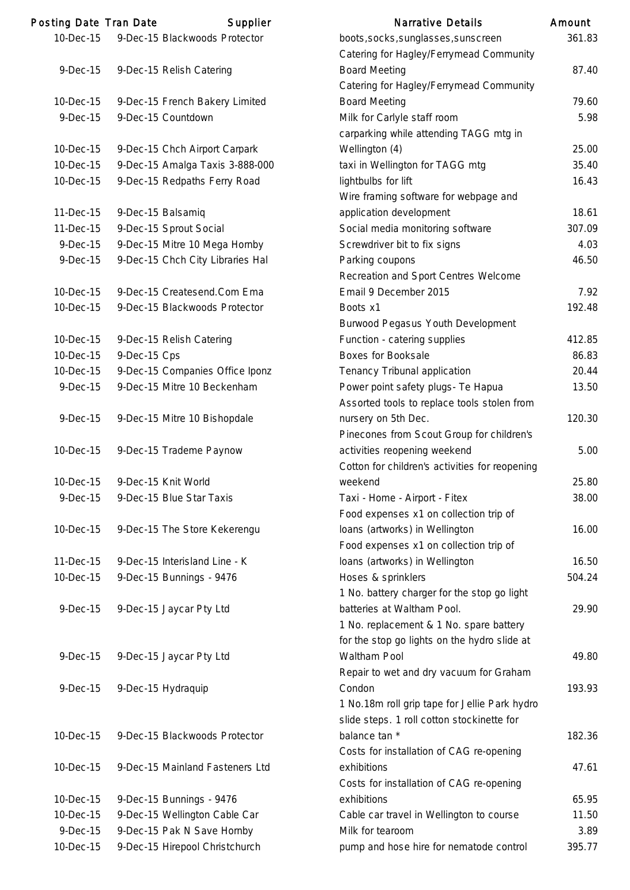| Posting Date Tran Date |              | Supplier                         | <b>Narrative Details</b>                                                       | Amount |
|------------------------|--------------|----------------------------------|--------------------------------------------------------------------------------|--------|
| 10-Dec-15              |              | 9-Dec-15 Blackwoods Protector    | boots, socks, sunglasses, sunscreen<br>Catering for Hagley/Ferrymead Community | 361.83 |
| $9-Dec-15$             |              | 9-Dec-15 Relish Catering         | <b>Board Meeting</b><br>Catering for Hagley/Ferrymead Community                | 87.40  |
| 10-Dec-15              |              | 9-Dec-15 French Bakery Limited   | <b>Board Meeting</b>                                                           | 79.60  |
| 9-Dec-15               |              | 9-Dec-15 Countdown               | Milk for Carlyle staff room                                                    | 5.98   |
|                        |              |                                  | carparking while attending TAGG mtg in                                         |        |
| 10-Dec-15              |              | 9-Dec-15 Chch Airport Carpark    | Wellington (4)                                                                 | 25.00  |
| 10-Dec-15              |              | 9-Dec-15 Amalga Taxis 3-888-000  | taxi in Wellington for TAGG mtg                                                | 35.40  |
| 10-Dec-15              |              | 9-Dec-15 Redpaths Ferry Road     | lightbulbs for lift                                                            | 16.43  |
|                        |              |                                  | Wire framing software for webpage and                                          |        |
| 11-Dec-15              |              | 9-Dec-15 Balsamiq                | application development                                                        | 18.61  |
| 11-Dec-15              |              | 9-Dec-15 Sprout Social           | Social media monitoring software                                               | 307.09 |
| 9-Dec-15               |              | 9-Dec-15 Mitre 10 Mega Hornby    | Screwdriver bit to fix signs                                                   | 4.03   |
| 9-Dec-15               |              | 9-Dec-15 Chch City Libraries Hal | Parking coupons                                                                | 46.50  |
|                        |              |                                  | Recreation and Sport Centres Welcome                                           |        |
| 10-Dec-15              |              | 9-Dec-15 Createsend.Com Ema      | Email 9 December 2015                                                          | 7.92   |
| 10-Dec-15              |              | 9-Dec-15 Blackwoods Protector    | Boots x1                                                                       | 192.48 |
|                        |              |                                  | Burwood Pegasus Youth Development                                              |        |
| 10-Dec-15              |              | 9-Dec-15 Relish Catering         | Function - catering supplies                                                   | 412.85 |
| 10-Dec-15              | 9-Dec-15 Cps |                                  | <b>Boxes for Booksale</b>                                                      | 86.83  |
| 10-Dec-15              |              | 9-Dec-15 Companies Office Iponz  | Tenancy Tribunal application                                                   | 20.44  |
| 9-Dec-15               |              | 9-Dec-15 Mitre 10 Beckenham      | Power point safety plugs- Te Hapua                                             | 13.50  |
|                        |              |                                  | Assorted tools to replace tools stolen from                                    |        |
| $9-Dec-15$             |              | 9-Dec-15 Mitre 10 Bishopdale     | nursery on 5th Dec.                                                            | 120.30 |
|                        |              |                                  | Pinecones from Scout Group for children's                                      |        |
| 10-Dec-15              |              | 9-Dec-15 Trademe Paynow          | activities reopening weekend                                                   | 5.00   |
|                        |              |                                  | Cotton for children's activities for reopening                                 |        |
| 10-Dec-15              |              | 9-Dec-15 Knit World              | weekend                                                                        | 25.80  |
| 9-Dec-15               |              | 9-Dec-15 Blue Star Taxis         | Taxi - Home - Airport - Fitex                                                  | 38.00  |
|                        |              |                                  | Food expenses x1 on collection trip of                                         |        |
| 10-Dec-15              |              | 9-Dec-15 The Store Kekerengu     | loans (artworks) in Wellington                                                 | 16.00  |
|                        |              |                                  | Food expenses x1 on collection trip of                                         |        |
| 11-Dec-15              |              | 9-Dec-15 Interisland Line - K    | loans (artworks) in Wellington                                                 | 16.50  |
| 10-Dec-15              |              | 9-Dec-15 Bunnings - 9476         | Hoses & sprinklers                                                             | 504.24 |
|                        |              |                                  | 1 No. battery charger for the stop go light                                    |        |
| $9-Dec-15$             |              | 9-Dec-15 Jaycar Pty Ltd          | batteries at Waltham Pool.                                                     | 29.90  |
|                        |              |                                  | 1 No. replacement & 1 No. spare battery                                        |        |
|                        |              |                                  | for the stop go lights on the hydro slide at                                   |        |
| $9-Dec-15$             |              | 9-Dec-15 Jaycar Pty Ltd          | Waltham Pool                                                                   | 49.80  |
|                        |              |                                  | Repair to wet and dry vacuum for Graham                                        |        |
| $9-Dec-15$             |              | 9-Dec-15 Hydraquip               | Condon                                                                         | 193.93 |
|                        |              |                                  | 1 No.18m roll grip tape for Jellie Park hydro                                  |        |
|                        |              |                                  | slide steps. 1 roll cotton stockinette for                                     |        |
| 10-Dec-15              |              | 9-Dec-15 Blackwoods Protector    | balance tan *                                                                  | 182.36 |
|                        |              |                                  | Costs for installation of CAG re-opening                                       |        |
| 10-Dec-15              |              | 9-Dec-15 Mainland Fasteners Ltd  | exhibitions                                                                    | 47.61  |
|                        |              |                                  | Costs for installation of CAG re-opening                                       |        |
| 10-Dec-15              |              | 9-Dec-15 Bunnings - 9476         | exhibitions                                                                    | 65.95  |
| 10-Dec-15              |              | 9-Dec-15 Wellington Cable Car    | Cable car travel in Wellington to course                                       | 11.50  |
| 9-Dec-15               |              | 9-Dec-15 Pak N Save Hornby       | Milk for tearoom                                                               | 3.89   |
| 10-Dec-15              |              | 9-Dec-15 Hirepool Christchurch   | pump and hose hire for nematode control                                        | 395.77 |

|             | ng Date Tran Date | Supplier                         | <b>Narrative Details</b>                       | Amount |
|-------------|-------------------|----------------------------------|------------------------------------------------|--------|
| $0$ -Dec-15 |                   | 9-Dec-15 Blackwoods Protector    | boots, socks, sunglasses, sunscreen            | 361.83 |
|             |                   |                                  | Catering for Hagley/Ferrymead Community        |        |
| 9-Dec-15    |                   | 9-Dec-15 Relish Catering         | <b>Board Meeting</b>                           | 87.40  |
|             |                   |                                  | Catering for Hagley/Ferrymead Community        |        |
| 0-Dec-15    |                   | 9-Dec-15 French Bakery Limited   | <b>Board Meeting</b>                           | 79.60  |
| 9-Dec-15    |                   | 9-Dec-15 Countdown               | Milk for Carlyle staff room                    | 5.98   |
|             |                   |                                  | carparking while attending TAGG mtg in         |        |
| $0$ -Dec-15 |                   | 9-Dec-15 Chch Airport Carpark    | Wellington (4)                                 | 25.00  |
| $0$ -Dec-15 |                   | 9-Dec-15 Amalga Taxis 3-888-000  | taxi in Wellington for TAGG mtg                | 35.40  |
| $0$ -Dec-15 |                   | 9-Dec-15 Redpaths Ferry Road     | lightbulbs for lift                            | 16.43  |
|             |                   |                                  | Wire framing software for webpage and          |        |
| 1-Dec-15    |                   | 9-Dec-15 Balsamiq                | application development                        | 18.61  |
| 1-Dec-15    |                   | 9-Dec-15 Sprout Social           | Social media monitoring software               | 307.09 |
| 9-Dec-15    |                   | 9-Dec-15 Mitre 10 Mega Hornby    | Screwdriver bit to fix signs                   | 4.03   |
| 9-Dec-15    |                   | 9-Dec-15 Chch City Libraries Hal | Parking coupons                                | 46.50  |
|             |                   |                                  | Recreation and Sport Centres Welcome           |        |
| 0-Dec-15    |                   | 9-Dec-15 Createsend.Com Ema      | Email 9 December 2015                          | 7.92   |
| $0$ -Dec-15 |                   | 9-Dec-15 Blackwoods Protector    | Boots x1                                       | 192.48 |
|             |                   |                                  | Burwood Pegasus Youth Development              |        |
| 0-Dec-15    |                   | 9-Dec-15 Relish Catering         | Function - catering supplies                   | 412.85 |
| 0-Dec-15    | 9-Dec-15 Cps      |                                  | <b>Boxes for Booksale</b>                      | 86.83  |
| $0$ -Dec-15 |                   | 9-Dec-15 Companies Office Iponz  | Tenancy Tribunal application                   | 20.44  |
| 9-Dec-15    |                   | 9-Dec-15 Mitre 10 Beckenham      | Power point safety plugs- Te Hapua             | 13.50  |
|             |                   |                                  | Assorted tools to replace tools stolen from    |        |
| 9-Dec-15    |                   | 9-Dec-15 Mitre 10 Bishopdale     | nursery on 5th Dec.                            | 120.30 |
|             |                   |                                  | Pinecones from Scout Group for children's      |        |
| 0-Dec-15    |                   | 9-Dec-15 Trademe Paynow          | activities reopening weekend                   | 5.00   |
|             |                   |                                  | Cotton for children's activities for reopening |        |
| 0-Dec-15    |                   | 9-Dec-15 Knit World              | weekend                                        | 25.80  |
| 9-Dec-15    |                   | 9-Dec-15 Blue Star Taxis         | Taxi - Home - Airport - Fitex                  | 38.00  |
|             |                   |                                  | Food expenses x1 on collection trip of         |        |
| $0$ -Dec-15 |                   | 9-Dec-15 The Store Kekerengu     | loans (artworks) in Wellington                 | 16.00  |
|             |                   |                                  | Food expenses x1 on collection trip of         |        |
| $1-Dec-15$  |                   | 9-Dec-15 Interisland Line - K    | loans (artworks) in Wellington                 | 16.50  |
| $0$ -Dec-15 |                   | 9-Dec-15 Bunnings - 9476         | Hoses & sprinklers                             | 504.24 |
|             |                   |                                  | 1 No. battery charger for the stop go light    |        |
| 9-Dec-15    |                   | 9-Dec-15 Jaycar Pty Ltd          | batteries at Waltham Pool.                     | 29.90  |
|             |                   |                                  | 1 No. replacement & 1 No. spare battery        |        |
|             |                   |                                  | for the stop go lights on the hydro slide at   |        |
| 9-Dec-15    |                   | 9-Dec-15 Jaycar Pty Ltd          | Waltham Pool                                   | 49.80  |
|             |                   |                                  | Repair to wet and dry vacuum for Graham        |        |
| 9-Dec-15    |                   | 9-Dec-15 Hydraquip               | Condon                                         | 193.93 |
|             |                   |                                  | 1 No.18m roll grip tape for Jellie Park hydro  |        |
|             |                   |                                  | slide steps. 1 roll cotton stockinette for     |        |
| $0$ -Dec-15 |                   | 9-Dec-15 Blackwoods Protector    | balance tan *                                  | 182.36 |
|             |                   |                                  | Costs for installation of CAG re-opening       |        |
| $0$ -Dec-15 |                   | 9-Dec-15 Mainland Fasteners Ltd  | exhibitions                                    | 47.61  |
|             |                   |                                  | Costs for installation of CAG re-opening       |        |
| 0-Dec-15    |                   | 9-Dec-15 Bunnings - 9476         | exhibitions                                    | 65.95  |
| $0$ -Dec-15 |                   | 9-Dec-15 Wellington Cable Car    | Cable car travel in Wellington to course       | 11.50  |
| 9-Dec-15    |                   | 9-Dec-15 Pak N Save Hornby       | Milk for tearoom                               | 3.89   |
| 0-Dec-15    |                   | 9-Dec-15 Hirepool Christchurch   | pump and hose hire for nematode control        | 395.77 |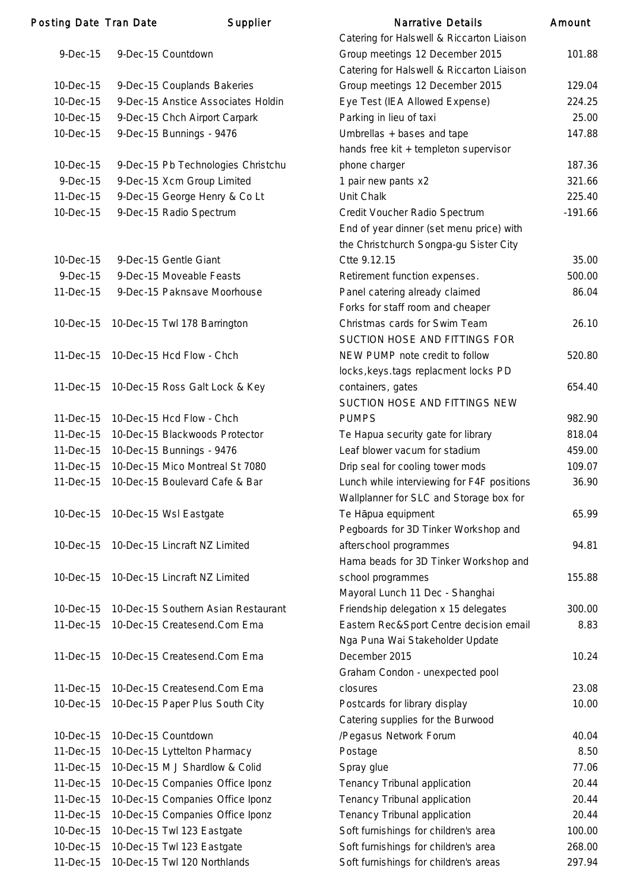| <b>Posting Date Tran Date</b> | Supplier                            | <b>Narrative Details</b>                   | Amount    |
|-------------------------------|-------------------------------------|--------------------------------------------|-----------|
|                               |                                     | Catering for Halswell & Riccarton Liaison  |           |
| $9-Dec-15$                    | 9-Dec-15 Countdown                  | Group meetings 12 December 2015            | 101.88    |
|                               |                                     | Catering for Halswell & Riccarton Liaison  |           |
| 10-Dec-15                     | 9-Dec-15 Couplands Bakeries         | Group meetings 12 December 2015            | 129.04    |
| 10-Dec-15                     | 9-Dec-15 Anstice Associates Holdin  | Eye Test (IEA Allowed Expense)             | 224.25    |
| 10-Dec-15                     | 9-Dec-15 Chch Airport Carpark       | Parking in lieu of taxi                    | 25.00     |
| 10-Dec-15                     | 9-Dec-15 Bunnings - 9476            | Umbrellas + bases and tape                 | 147.88    |
|                               |                                     | hands free kit + templeton supervisor      |           |
| 10-Dec-15                     | 9-Dec-15 Pb Technologies Christchu  | phone charger                              | 187.36    |
| 9-Dec-15                      | 9-Dec-15 Xcm Group Limited          | 1 pair new pants x2                        | 321.66    |
| 11-Dec-15                     | 9-Dec-15 George Henry & Co Lt       | Unit Chalk                                 | 225.40    |
| 10-Dec-15                     | 9-Dec-15 Radio Spectrum             | Credit Voucher Radio Spectrum              | $-191.66$ |
|                               |                                     | End of year dinner (set menu price) with   |           |
|                               |                                     | the Christchurch Songpa-gu Sister City     |           |
| 10-Dec-15                     | 9-Dec-15 Gentle Giant               | Ctte 9.12.15                               | 35.00     |
| 9-Dec-15                      | 9-Dec-15 Moveable Feasts            | Retirement function expenses.              | 500.00    |
| 11-Dec-15                     | 9-Dec-15 Paknsave Moorhouse         | Panel catering already claimed             | 86.04     |
|                               |                                     | Forks for staff room and cheaper           |           |
| 10-Dec-15                     | 10-Dec-15 Twl 178 Barrington        | Christmas cards for Swim Team              | 26.10     |
|                               |                                     | SUCTION HOSE AND FITTINGS FOR              |           |
| 11-Dec-15                     | 10-Dec-15 Hcd Flow - Chch           | NEW PUMP note credit to follow             | 520.80    |
|                               |                                     | locks, keys.tags replacment locks PD       |           |
| 11-Dec-15                     | 10-Dec-15 Ross Galt Lock & Key      | containers, gates                          | 654.40    |
|                               |                                     | SUCTION HOSE AND FITTINGS NEW              |           |
| 11-Dec-15                     | 10-Dec-15 Hcd Flow - Chch           | <b>PUMPS</b>                               | 982.90    |
| 11-Dec-15                     | 10-Dec-15 Blackwoods Protector      | Te Hapua security gate for library         | 818.04    |
| 11-Dec-15                     | 10-Dec-15 Bunnings - 9476           | Leaf blower vacum for stadium              | 459.00    |
| 11-Dec-15                     | 10-Dec-15 Mico Montreal St 7080     | Drip seal for cooling tower mods           | 109.07    |
| 11-Dec-15                     | 10-Dec-15 Boulevard Cafe & Bar      | Lunch while interviewing for F4F positions | 36.90     |
|                               |                                     | Wallplanner for SLC and Storage box for    |           |
| 10-Dec-15                     | 10-Dec-15 Wsl Eastgate              | Te Hāpua equipment                         | 65.99     |
|                               |                                     | Pegboards for 3D Tinker Workshop and       |           |
| 10-Dec-15                     | 10-Dec-15 Lincraft NZ Limited       | afterschool programmes                     | 94.81     |
|                               |                                     | Hama beads for 3D Tinker Workshop and      |           |
| 10-Dec-15                     | 10-Dec-15 Lincraft NZ Limited       | school programmes                          | 155.88    |
|                               |                                     | Mayoral Lunch 11 Dec - Shanghai            |           |
| 10-Dec-15                     | 10-Dec-15 Southern Asian Restaurant | Friendship delegation x 15 delegates       | 300.00    |
| 11-Dec-15                     | 10-Dec-15 Createsend.Com Ema        | Eastern Rec&Sport Centre decision email    | 8.83      |
|                               |                                     | Nga Puna Wai Stakeholder Update            |           |
| 11-Dec-15                     | 10-Dec-15 Createsend.Com Ema        | December 2015                              | 10.24     |
|                               |                                     | Graham Condon - unexpected pool            |           |
| 11-Dec-15                     | 10-Dec-15 Createsend.Com Ema        | closures                                   | 23.08     |
| 10-Dec-15                     | 10-Dec-15 Paper Plus South City     | Postcards for library display              | 10.00     |
|                               |                                     | Catering supplies for the Burwood          |           |
| 10-Dec-15                     | 10-Dec-15 Countdown                 | /Pegasus Network Forum                     | 40.04     |
| 11-Dec-15                     | 10-Dec-15 Lyttelton Pharmacy        | Postage                                    | 8.50      |
| 11-Dec-15                     | 10-Dec-15 M J Shardlow & Colid      | Spray glue                                 | 77.06     |
| 11-Dec-15                     | 10-Dec-15 Companies Office Iponz    | Tenancy Tribunal application               | 20.44     |
| 11-Dec-15                     | 10-Dec-15 Companies Office Iponz    | Tenancy Tribunal application               | 20.44     |
| 11-Dec-15                     | 10-Dec-15 Companies Office Iponz    | Tenancy Tribunal application               | 20.44     |
| 10-Dec-15                     | 10-Dec-15 Twl 123 Eastgate          | Soft furnishings for children's area       | 100.00    |
| 10-Dec-15                     | 10-Dec-15 Twl 123 Eastgate          | Soft furnishings for children's area       | 268.00    |
| 11-Dec-15                     | 10-Dec-15 Twl 120 Northlands        | Soft furnishings for children's areas      | 297.94    |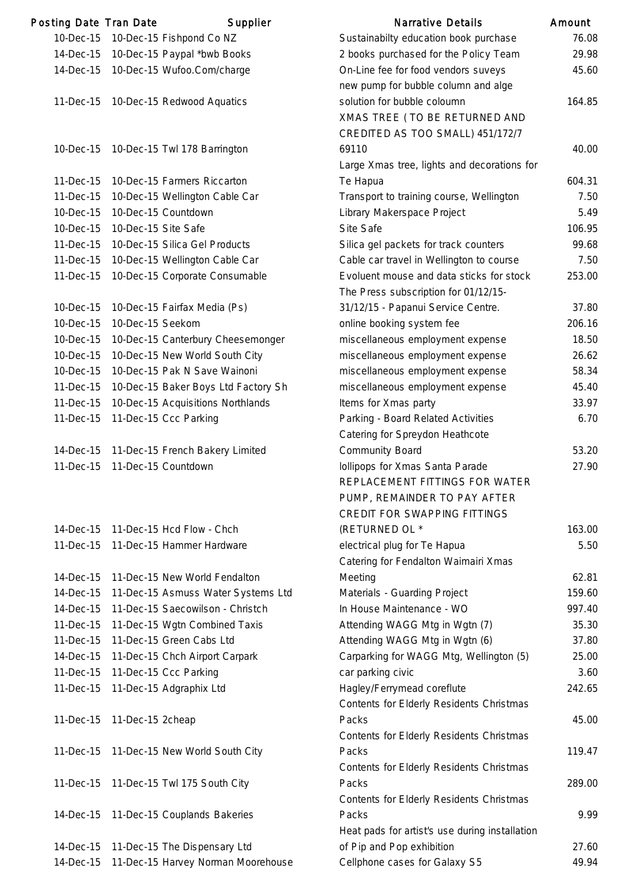| Posting Date Tran Date |                     | Supplier                            | <b>Narrative Details</b>                                                         | Amount |
|------------------------|---------------------|-------------------------------------|----------------------------------------------------------------------------------|--------|
| 10-Dec-15              |                     | 10-Dec-15 Fishpond Co NZ            | Sustainabilty education book purchase                                            | 76.08  |
| 14-Dec-15              |                     | 10-Dec-15 Paypal *bwb Books         | 2 books purchased for the Policy Team                                            | 29.98  |
| 14-Dec-15              |                     | 10-Dec-15 Wufoo.Com/charge          | On-Line fee for food vendors suveys                                              | 45.60  |
|                        |                     |                                     | new pump for bubble column and alge                                              |        |
| 11-Dec-15              |                     | 10-Dec-15 Redwood Aquatics          | solution for bubble coloumn                                                      | 164.85 |
|                        |                     |                                     | XMAS TREE (TO BE RETURNED AND                                                    |        |
|                        |                     |                                     | CREDITED AS TOO SMALL) 451/172/7                                                 |        |
| 10-Dec-15              |                     | 10-Dec-15 Twl 178 Barrington        | 69110                                                                            | 40.00  |
|                        |                     |                                     | Large Xmas tree, lights and decorations for                                      |        |
| 11-Dec-15              |                     | 10-Dec-15 Farmers Riccarton         | Te Hapua                                                                         | 604.31 |
| 11-Dec-15              |                     | 10-Dec-15 Wellington Cable Car      | Transport to training course, Wellington                                         | 7.50   |
| 10-Dec-15              |                     | 10-Dec-15 Countdown                 | Library Makerspace Project                                                       | 5.49   |
| 10-Dec-15              | 10-Dec-15 Site Safe |                                     | Site Safe                                                                        | 106.95 |
| 11-Dec-15              |                     | 10-Dec-15 Silica Gel Products       | Silica gel packets for track counters                                            | 99.68  |
| 11-Dec-15              |                     | 10-Dec-15 Wellington Cable Car      | Cable car travel in Wellington to course                                         | 7.50   |
| 11-Dec-15              |                     | 10-Dec-15 Corporate Consumable      | Evoluent mouse and data sticks for stock<br>The Press subscription for 01/12/15- | 253.00 |
| 10-Dec-15              |                     | 10-Dec-15 Fairfax Media (Ps)        | 31/12/15 - Papanui Service Centre.                                               | 37.80  |
| 10-Dec-15              | 10-Dec-15 Seekom    |                                     | online booking system fee                                                        | 206.16 |
| 10-Dec-15              |                     | 10-Dec-15 Canterbury Cheesemonger   | miscellaneous employment expense                                                 | 18.50  |
| 10-Dec-15              |                     | 10-Dec-15 New World South City      | miscellaneous employment expense                                                 | 26.62  |
| 10-Dec-15              |                     | 10-Dec-15 Pak N Save Wainoni        | miscellaneous employment expense                                                 | 58.34  |
| 11-Dec-15              |                     | 10-Dec-15 Baker Boys Ltd Factory Sh | miscellaneous employment expense                                                 | 45.40  |
| 11-Dec-15              |                     | 10-Dec-15 Acquisitions Northlands   | Items for Xmas party                                                             | 33.97  |
| 11-Dec-15              |                     | 11-Dec-15 Ccc Parking               | Parking - Board Related Activities                                               | 6.70   |
|                        |                     |                                     | Catering for Spreydon Heathcote                                                  |        |
| 14-Dec-15              |                     | 11-Dec-15 French Bakery Limited     | <b>Community Board</b>                                                           | 53.20  |
| 11-Dec-15              |                     | 11-Dec-15 Countdown                 | Iollipops for Xmas Santa Parade                                                  | 27.90  |
|                        |                     |                                     | REPLACEMENT FITTINGS FOR WATER                                                   |        |
|                        |                     |                                     | PUMP, REMAINDER TO PAY AFTER                                                     |        |
|                        |                     |                                     | <b>CREDIT FOR SWAPPING FITTINGS</b>                                              |        |
| 14-Dec-15              |                     | 11-Dec-15 Hcd Flow - Chch           | (RETURNED OL *                                                                   | 163.00 |
| 11-Dec-15              |                     | 11-Dec-15 Hammer Hardware           | electrical plug for Te Hapua                                                     | 5.50   |
|                        |                     |                                     | Catering for Fendalton Waimairi Xmas                                             |        |
| 14-Dec-15              |                     | 11-Dec-15 New World Fendalton       | Meeting                                                                          | 62.81  |
| 14-Dec-15              |                     | 11-Dec-15 Asmuss Water Systems Ltd  | Materials - Guarding Project                                                     | 159.60 |
| 14-Dec-15              |                     | 11-Dec-15 Saecowilson - Christch    | In House Maintenance - WO                                                        | 997.40 |
| 11-Dec-15              |                     | 11-Dec-15 Wgtn Combined Taxis       | Attending WAGG Mtg in Wgtn (7)                                                   | 35.30  |
| 11-Dec-15              |                     | 11-Dec-15 Green Cabs Ltd            | Attending WAGG Mtg in Wgtn (6)                                                   | 37.80  |
| 14-Dec-15              |                     | 11-Dec-15 Chch Airport Carpark      | Carparking for WAGG Mtg, Wellington (5)                                          | 25.00  |
| 11-Dec-15              |                     | 11-Dec-15 Ccc Parking               | car parking civic                                                                | 3.60   |
| 11-Dec-15              |                     | 11-Dec-15 Adgraphix Ltd             | Hagley/Ferrymead coreflute                                                       | 242.65 |
|                        |                     |                                     | Contents for Elderly Residents Christmas                                         |        |
| 11-Dec-15              | 11-Dec-15 2cheap    |                                     | Packs                                                                            | 45.00  |
|                        |                     |                                     | Contents for Elderly Residents Christmas                                         |        |
| 11-Dec-15              |                     | 11-Dec-15 New World South City      | Packs                                                                            | 119.47 |
|                        |                     |                                     | Contents for Elderly Residents Christmas                                         |        |
| 11-Dec-15              |                     | 11-Dec-15 Twl 175 South City        | Packs                                                                            | 289.00 |
|                        |                     |                                     | Contents for Elderly Residents Christmas                                         |        |
| 14-Dec-15              |                     | 11-Dec-15 Couplands Bakeries        | Packs                                                                            | 9.99   |
|                        |                     |                                     | Heat pads for artist's use during installation                                   |        |
| 14-Dec-15              |                     | 11-Dec-15 The Dispensary Ltd        | of Pip and Pop exhibition                                                        | 27.60  |
| 14-Dec-15              |                     | 11-Dec-15 Harvey Norman Moorehouse  | Cellphone cases for Galaxy S5                                                    | 49.94  |

53.20

163.00

Packs 45.00

119.47

Packs 289.00

 $27.60$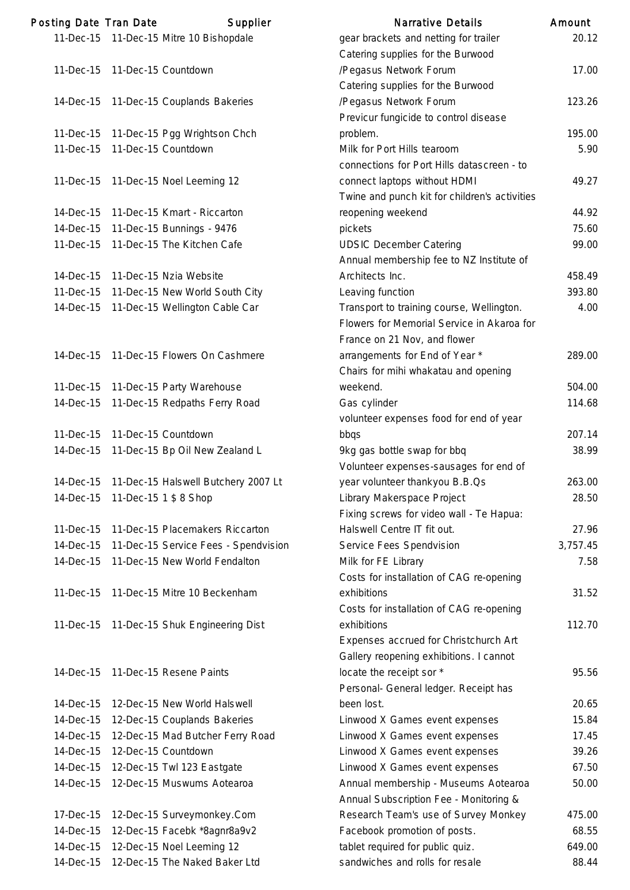| Posting Date Tran Date | Supplier                                                              | <b>Narrative Details</b>                                                                                                | Amount       |
|------------------------|-----------------------------------------------------------------------|-------------------------------------------------------------------------------------------------------------------------|--------------|
|                        | 11-Dec-15 11-Dec-15 Mitre 10 Bishopdale                               | gear brackets and netting for trailer<br>Catering supplies for the Burwood                                              | 20.7         |
| 11-Dec-15              | 11-Dec-15 Countdown                                                   | /Pegasus Network Forum                                                                                                  | 17.0         |
|                        |                                                                       | Catering supplies for the Burwood                                                                                       |              |
|                        | 14-Dec-15 11-Dec-15 Couplands Bakeries                                | /Pegasus Network Forum                                                                                                  | 123.2        |
|                        |                                                                       | Previcur fungicide to control disease                                                                                   |              |
| 11-Dec-15              | 11-Dec-15 Pgg Wrightson Chch                                          | problem.                                                                                                                | 195.0        |
| 11-Dec-15              | 11-Dec-15 Countdown                                                   | Milk for Port Hills tearoom                                                                                             | 5.9          |
|                        |                                                                       | connections for Port Hills datascreen - to                                                                              |              |
| 11-Dec-15              | 11-Dec-15 Noel Leeming 12                                             | connect laptops without HDMI                                                                                            | 49.2         |
|                        |                                                                       | Twine and punch kit for children's activities                                                                           |              |
| 14-Dec-15              | 11-Dec-15 Kmart - Riccarton                                           | reopening weekend                                                                                                       | 44.          |
| 14-Dec-15              | 11-Dec-15 Bunnings - 9476                                             | pickets                                                                                                                 | 75.6         |
| 11-Dec-15              | 11-Dec-15 The Kitchen Cafe                                            | <b>UDSIC December Catering</b>                                                                                          | 99.0         |
|                        |                                                                       | Annual membership fee to NZ Institute of                                                                                |              |
| 14-Dec-15              | 11-Dec-15 Nzia Website                                                | Architects Inc.                                                                                                         | 458.4        |
| 11-Dec-15              | 11-Dec-15 New World South City                                        | Leaving function                                                                                                        | 393.8        |
| 14-Dec-15              | 11-Dec-15 Wellington Cable Car                                        | Transport to training course, Wellington.<br>Flowers for Memorial Service in Akaroa for<br>France on 21 Nov, and flower | 4.0          |
| 14-Dec-15              | 11-Dec-15 Flowers On Cashmere                                         |                                                                                                                         | 289.0        |
|                        |                                                                       | arrangements for End of Year *<br>Chairs for mihi whakatau and opening                                                  |              |
| 11-Dec-15              | 11-Dec-15 Party Warehouse                                             | weekend.                                                                                                                | 504.0        |
| 14-Dec-15              | 11-Dec-15 Redpaths Ferry Road                                         | Gas cylinder                                                                                                            | 114.6        |
|                        |                                                                       |                                                                                                                         |              |
| 11-Dec-15              | 11-Dec-15 Countdown                                                   | volunteer expenses food for end of year<br>bbqs                                                                         | 207.7        |
| 14-Dec-15              | 11-Dec-15 Bp Oil New Zealand L                                        |                                                                                                                         | 38.9         |
|                        |                                                                       | 9kg gas bottle swap for bbq<br>Volunteer expenses-sausages for end of                                                   |              |
| 14-Dec-15              | 11-Dec-15 Halswell Butchery 2007 Lt                                   | year volunteer thankyou B.B.Qs                                                                                          | 263.0        |
| 14-Dec-15              | 11-Dec-15 1 \$ 8 Shop                                                 | Library Makerspace Project                                                                                              | 28.          |
|                        |                                                                       |                                                                                                                         |              |
| 11-Dec-15              | 11-Dec-15 Placemakers Riccarton                                       | Fixing screws for video wall - Te Hapua:<br>Halswell Centre IT fit out.                                                 | 27.9         |
| 14-Dec-15              |                                                                       |                                                                                                                         | 3,757.4      |
| 14-Dec-15              | 11-Dec-15 Service Fees - Spendvision<br>11-Dec-15 New World Fendalton | Service Fees Spendvision<br>Milk for FE Library                                                                         | 7.5          |
|                        |                                                                       |                                                                                                                         |              |
|                        | 11-Dec-15 Mitre 10 Beckenham                                          | Costs for installation of CAG re-opening<br>exhibitions                                                                 | 31.5         |
| 11-Dec-15              |                                                                       |                                                                                                                         |              |
|                        |                                                                       | Costs for installation of CAG re-opening<br>exhibitions                                                                 | 112.         |
| 11-Dec-15              | 11-Dec-15 Shuk Engineering Dist                                       |                                                                                                                         |              |
|                        |                                                                       | Expenses accrued for Christchurch Art                                                                                   |              |
|                        |                                                                       | Gallery reopening exhibitions. I cannot                                                                                 |              |
| 14-Dec-15              | 11-Dec-15 Resene Paints                                               | locate the receipt sor *                                                                                                | 95.          |
|                        |                                                                       | Personal- General ledger. Receipt has                                                                                   |              |
| 14-Dec-15              | 12-Dec-15 New World Halswell                                          | been lost.                                                                                                              | 20.6<br>15.8 |
| 14-Dec-15              | 12-Dec-15 Couplands Bakeries                                          | Linwood X Games event expenses                                                                                          |              |
| 14-Dec-15              | 12-Dec-15 Mad Butcher Ferry Road<br>12-Dec-15 Countdown               | Linwood X Games event expenses                                                                                          | 17.4         |
| 14-Dec-15              |                                                                       | Linwood X Games event expenses                                                                                          | 39.2         |
| 14-Dec-15              | 12-Dec-15 Twl 123 Eastgate                                            | Linwood X Games event expenses                                                                                          | 67.5         |
| 14-Dec-15              | 12-Dec-15 Muswums Aotearoa                                            | Annual membership - Museums Aotearoa<br>Annual Subscription Fee - Monitoring &                                          | 50.0         |
| 17-Dec-15              | 12-Dec-15 Surveymonkey.Com                                            | Research Team's use of Survey Monkey                                                                                    | 475.0        |
| 14-Dec-15              | 12-Dec-15 Facebk *8agnr8a9v2                                          | Facebook promotion of posts.                                                                                            | 68.          |
| 14-Dec-15              | 12-Dec-15 Noel Leeming 12                                             | tablet required for public quiz.                                                                                        | 649.0        |
|                        | 14-Dec-15 12-Dec-15 The Naked Baker Ltd                               | sandwiches and rolls for resale                                                                                         | 88.4         |

|                        | ing Date Tran Date              | Supplier                                                         | Narrative Details                                                    | Amount          |
|------------------------|---------------------------------|------------------------------------------------------------------|----------------------------------------------------------------------|-----------------|
|                        |                                 | 11-Dec-15 11-Dec-15 Mitre 10 Bishopdale                          | gear brackets and netting for trailer                                | 20.12           |
|                        |                                 |                                                                  | Catering supplies for the Burwood                                    |                 |
|                        | 11-Dec-15 11-Dec-15 Countdown   |                                                                  | /Pegasus Network Forum                                               | 17.00           |
|                        |                                 |                                                                  | Catering supplies for the Burwood                                    |                 |
|                        |                                 | 14-Dec-15 11-Dec-15 Couplands Bakeries                           | /Pegasus Network Forum                                               | 123.26          |
|                        |                                 |                                                                  | Previcur fungicide to control disease                                |                 |
|                        |                                 | 11-Dec-15 11-Dec-15 Pgg Wrightson Chch                           | problem.                                                             | 195.00          |
| 11-Dec-15              |                                 | 11-Dec-15 Countdown                                              | Milk for Port Hills tearoom                                          | 5.90            |
|                        |                                 |                                                                  | connections for Port Hills datascreen - to                           |                 |
| 11-Dec-15              |                                 | 11-Dec-15 Noel Leeming 12                                        | connect laptops without HDMI                                         | 49.27           |
|                        |                                 |                                                                  | Twine and punch kit for children's activities                        |                 |
| 14-Dec-15              |                                 | 11-Dec-15 Kmart - Riccarton                                      | reopening weekend                                                    | 44.92           |
| 14-Dec-15              |                                 | 11-Dec-15 Bunnings - 9476                                        | pickets                                                              | 75.60           |
| 11-Dec-15              |                                 | 11-Dec-15 The Kitchen Cafe                                       | <b>UDSIC December Catering</b>                                       | 99.00           |
|                        |                                 |                                                                  | Annual membership fee to NZ Institute of                             | 458.49          |
| 14-Dec-15<br>11-Dec-15 |                                 | 11-Dec-15 Nzia Website                                           | Architects Inc.                                                      | 393.80          |
| 14-Dec-15              |                                 | 11-Dec-15 New World South City<br>11-Dec-15 Wellington Cable Car | Leaving function<br>Transport to training course, Wellington.        | 4.00            |
|                        |                                 |                                                                  | Flowers for Memorial Service in Akaroa for                           |                 |
|                        |                                 |                                                                  | France on 21 Nov, and flower                                         |                 |
|                        |                                 | 14-Dec-15 11-Dec-15 Flowers On Cashmere                          | arrangements for End of Year *                                       | 289.00          |
|                        |                                 |                                                                  | Chairs for mihi whakatau and opening                                 |                 |
|                        |                                 | 11-Dec-15 11-Dec-15 Party Warehouse                              | weekend.                                                             | 504.00          |
| 14-Dec-15              |                                 | 11-Dec-15 Redpaths Ferry Road                                    | Gas cylinder                                                         | 114.68          |
|                        |                                 |                                                                  | volunteer expenses food for end of year                              |                 |
| 11-Dec-15              |                                 | 11-Dec-15 Countdown                                              | bbqs                                                                 | 207.14          |
| 14-Dec-15              |                                 | 11-Dec-15 Bp Oil New Zealand L                                   | 9kg gas bottle swap for bbq                                          | 38.99           |
|                        |                                 |                                                                  | Volunteer expenses-sausages for end of                               |                 |
|                        |                                 | 14-Dec-15 11-Dec-15 Halswell Butchery 2007 Lt                    | year volunteer thankyou B.B.Qs                                       | 263.00          |
|                        | 14-Dec-15 11-Dec-15 1 \$ 8 Shop |                                                                  | Library Makerspace Project                                           | 28.50           |
|                        |                                 |                                                                  | Fixing screws for video wall - Te Hapua:                             |                 |
| 11-Dec-15              |                                 | 11-Dec-15 Placemakers Riccarton                                  | Halswell Centre IT fit out.                                          | 27.96           |
| 14-Dec-15              |                                 | 11-Dec-15 Service Fees - Spendvision                             | Service Fees Spendvision                                             | 3,757.45        |
| 14-Dec-15              |                                 | 11-Dec-15 New World Fendalton                                    | Milk for FE Library                                                  | 7.58            |
|                        |                                 |                                                                  | Costs for installation of CAG re-opening                             |                 |
| 11-Dec-15              |                                 | 11-Dec-15 Mitre 10 Beckenham                                     | exhibitions                                                          | 31.52           |
|                        |                                 |                                                                  | Costs for installation of CAG re-opening                             |                 |
|                        |                                 | 11-Dec-15 11-Dec-15 Shuk Engineering Dist                        | exhibitions                                                          | 112.70          |
|                        |                                 |                                                                  | Expenses accrued for Christchurch Art                                |                 |
|                        |                                 |                                                                  | Gallery reopening exhibitions. I cannot                              |                 |
|                        |                                 | 14-Dec-15 11-Dec-15 Resene Paints                                | locate the receipt sor *                                             | 95.56           |
|                        |                                 |                                                                  | Personal- General ledger. Receipt has                                |                 |
| 14-Dec-15              |                                 | 12-Dec-15 New World Halswell                                     | been lost.                                                           | 20.65           |
| 14-Dec-15              |                                 | 12-Dec-15 Couplands Bakeries                                     | Linwood X Games event expenses                                       | 15.84           |
| 14-Dec-15              |                                 | 12-Dec-15 Mad Butcher Ferry Road                                 | Linwood X Games event expenses                                       | 17.45           |
| 14-Dec-15              |                                 | 12-Dec-15 Countdown                                              | Linwood X Games event expenses                                       | 39.26           |
| 14-Dec-15              |                                 | 12-Dec-15 Twl 123 Eastgate                                       | Linwood X Games event expenses                                       | 67.50           |
| 14-Dec-15              |                                 | 12-Dec-15 Muswums Aotearoa                                       | Annual membership - Museums Aotearoa                                 | 50.00           |
|                        |                                 |                                                                  | Annual Subscription Fee - Monitoring &                               |                 |
| 17-Dec-15<br>14-Dec-15 |                                 | 12-Dec-15 Surveymonkey.Com                                       | Research Team's use of Survey Monkey<br>Facebook promotion of posts. | 475.00<br>68.55 |
| 14-Dec-15              |                                 | 12-Dec-15 Facebk *8agnr8a9v2<br>12-Dec-15 Noel Leeming 12        | tablet required for public quiz.                                     | 649.00          |
| 14-Dec-15              |                                 | 12-Dec-15 The Naked Baker Ltd                                    | sandwiches and rolls for resale                                      | 88.44           |
|                        |                                 |                                                                  |                                                                      |                 |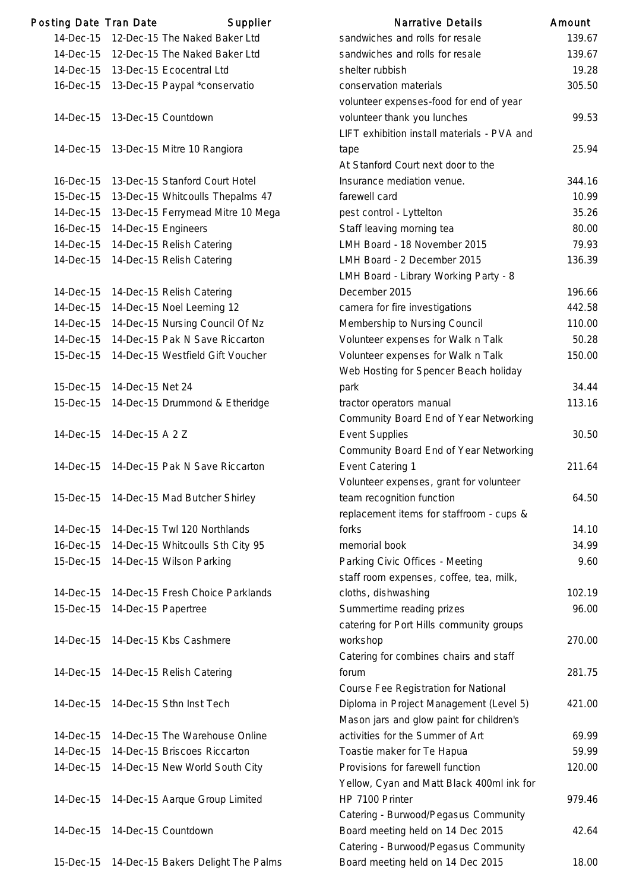| Posting Date Tran Date |                     | Supplier                           | <b>Narrative Details</b>                    | Amount |
|------------------------|---------------------|------------------------------------|---------------------------------------------|--------|
| 14-Dec-15              |                     | 12-Dec-15 The Naked Baker Ltd      | sandwiches and rolls for resale             | 139.6  |
| 14-Dec-15              |                     | 12-Dec-15 The Naked Baker Ltd      | sandwiches and rolls for resale             | 139.6  |
| 14-Dec-15              |                     | 13-Dec-15 Ecocentral Ltd           | shelter rubbish                             | 19.2   |
| 16-Dec-15              |                     | 13-Dec-15 Paypal *conservatio      | conservation materials                      | 305.   |
|                        |                     |                                    | volunteer expenses-food for end of year     |        |
| 14-Dec-15              |                     | 13-Dec-15 Countdown                | volunteer thank you lunches                 | 99.    |
|                        |                     |                                    | LIFT exhibition install materials - PVA and |        |
| 14-Dec-15              |                     | 13-Dec-15 Mitre 10 Rangiora        | tape                                        | 25.9   |
|                        |                     |                                    | At Stanford Court next door to the          |        |
| 16-Dec-15              |                     | 13-Dec-15 Stanford Court Hotel     | Insurance mediation venue.                  | 344.7  |
| 15-Dec-15              |                     | 13-Dec-15 Whitcoulls Thepalms 47   | farewell card                               | 10.9   |
| 14-Dec-15              |                     | 13-Dec-15 Ferrymead Mitre 10 Mega  | pest control - Lyttelton                    | 35.2   |
| 16-Dec-15              | 14-Dec-15 Engineers |                                    | Staff leaving morning tea                   | 80.0   |
| 14-Dec-15              |                     | 14-Dec-15 Relish Catering          | LMH Board - 18 November 2015                | 79.    |
| 14-Dec-15              |                     | 14-Dec-15 Relish Catering          | LMH Board - 2 December 2015                 | 136.3  |
|                        |                     |                                    | LMH Board - Library Working Party - 8       |        |
| 14-Dec-15              |                     | 14-Dec-15 Relish Catering          | December 2015                               | 196.   |
| 14-Dec-15              |                     | 14-Dec-15 Noel Leeming 12          | camera for fire investigations              | 442.   |
| 14-Dec-15              |                     | 14-Dec-15 Nursing Council Of Nz    | Membership to Nursing Council               | 110.0  |
| 14-Dec-15              |                     | 14-Dec-15 Pak N Save Riccarton     | Volunteer expenses for Walk n Talk          | 50.2   |
| 15-Dec-15              |                     | 14-Dec-15 Westfield Gift Voucher   | Volunteer expenses for Walk n Talk          | 150.0  |
|                        |                     |                                    | Web Hosting for Spencer Beach holiday       |        |
| 15-Dec-15              | 14-Dec-15 Net 24    |                                    | park                                        | 34.4   |
| 15-Dec-15              |                     | 14-Dec-15 Drummond & Etheridge     | tractor operators manual                    | 113.7  |
|                        |                     |                                    | Community Board End of Year Networking      |        |
| 14-Dec-15              | 14-Dec-15 A 2 Z     |                                    | <b>Event Supplies</b>                       | 30.5   |
|                        |                     |                                    | Community Board End of Year Networking      |        |
| 14-Dec-15              |                     | 14-Dec-15 Pak N Save Riccarton     | Event Catering 1                            | 211.6  |
|                        |                     |                                    | Volunteer expenses, grant for volunteer     |        |
| 15-Dec-15              |                     | 14-Dec-15 Mad Butcher Shirley      | team recognition function                   | 64.5   |
|                        |                     |                                    | replacement items for staffroom - cups &    |        |
| 14-Dec-15              |                     | 14-Dec-15 Twl 120 Northlands       | forks                                       | 14.7   |
| 16-Dec-15              |                     | 14-Dec-15 Whitcoulls Sth City 95   | memorial book                               | 34.9   |
| 15-Dec-15              |                     | 14-Dec-15 Wilson Parking           | Parking Civic Offices - Meeting             | 9.6    |
|                        |                     |                                    | staff room expenses, coffee, tea, milk,     |        |
| 14-Dec-15              |                     | 14-Dec-15 Fresh Choice Parklands   | cloths, dishwashing                         | 102.7  |
| 15-Dec-15              | 14-Dec-15 Papertree |                                    | Summertime reading prizes                   | 96.0   |
|                        |                     |                                    | catering for Port Hills community groups    |        |
| 14-Dec-15              |                     | 14-Dec-15 Kbs Cashmere             | workshop                                    | 270.0  |
|                        |                     |                                    | Catering for combines chairs and staff      |        |
| 14-Dec-15              |                     | 14-Dec-15 Relish Catering          | forum                                       | 281.   |
|                        |                     |                                    | Course Fee Registration for National        |        |
| 14-Dec-15              |                     | 14-Dec-15 Sthn Inst Tech           | Diploma in Project Management (Level 5)     | 421.0  |
|                        |                     |                                    | Mason jars and glow paint for children's    |        |
| 14-Dec-15              |                     | 14-Dec-15 The Warehouse Online     | activities for the Summer of Art            | 69.9   |
| 14-Dec-15              |                     | 14-Dec-15 Briscoes Riccarton       | Toastie maker for Te Hapua                  | 59.    |
| 14-Dec-15              |                     | 14-Dec-15 New World South City     | Provisions for farewell function            | 120.0  |
|                        |                     |                                    | Yellow, Cyan and Matt Black 400ml ink for   |        |
| 14-Dec-15              |                     | 14-Dec-15 Aarque Group Limited     | HP 7100 Printer                             | 979.   |
|                        |                     |                                    | Catering - Burwood/Pegasus Community        |        |
| 14-Dec-15              |                     | 14-Dec-15 Countdown                | Board meeting held on 14 Dec 2015           | 42.6   |
|                        |                     |                                    | Catering - Burwood/Pegasus Community        |        |
| 15-Dec-15              |                     | 14-Dec-15 Bakers Delight The Palms | Board meeting held on 14 Dec 2015           | 18.0   |

|           | ing Date Tran Date  | Supplier                                     | Narrative Details                           | Amount |
|-----------|---------------------|----------------------------------------------|---------------------------------------------|--------|
| 14-Dec-15 |                     | 12-Dec-15 The Naked Baker Ltd                | sandwiches and rolls for resale             | 139.67 |
| 14-Dec-15 |                     | 12-Dec-15 The Naked Baker Ltd                | sandwiches and rolls for resale             | 139.67 |
| 14-Dec-15 |                     | 13-Dec-15 Ecocentral Ltd                     | shelter rubbish                             | 19.28  |
| 16-Dec-15 |                     | 13-Dec-15 Paypal *conservatio                | conservation materials                      | 305.50 |
|           |                     |                                              | volunteer expenses-food for end of year     |        |
| 14-Dec-15 |                     | 13-Dec-15 Countdown                          | volunteer thank you lunches                 | 99.53  |
|           |                     |                                              | LIFT exhibition install materials - PVA and |        |
| 14-Dec-15 |                     | 13-Dec-15 Mitre 10 Rangiora                  | tape                                        | 25.94  |
|           |                     |                                              | At Stanford Court next door to the          |        |
| 16-Dec-15 |                     | 13-Dec-15 Stanford Court Hotel               | Insurance mediation venue.                  | 344.16 |
| 15-Dec-15 |                     | 13-Dec-15 Whitcoulls Thepalms 47             | farewell card                               | 10.99  |
| 14-Dec-15 |                     | 13-Dec-15 Ferrymead Mitre 10 Mega            | pest control - Lyttelton                    | 35.26  |
| 16-Dec-15 | 14-Dec-15 Engineers |                                              | Staff leaving morning tea                   | 80.00  |
| 14-Dec-15 |                     | 14-Dec-15 Relish Catering                    | LMH Board - 18 November 2015                | 79.93  |
| 14-Dec-15 |                     | 14-Dec-15 Relish Catering                    | LMH Board - 2 December 2015                 | 136.39 |
|           |                     |                                              | LMH Board - Library Working Party - 8       |        |
| 14-Dec-15 |                     | 14-Dec-15 Relish Catering                    | December 2015                               | 196.66 |
| 14-Dec-15 |                     | 14-Dec-15 Noel Leeming 12                    | camera for fire investigations              | 442.58 |
| 14-Dec-15 |                     | 14-Dec-15 Nursing Council Of Nz              | Membership to Nursing Council               | 110.00 |
| 14-Dec-15 |                     | 14-Dec-15 Pak N Save Riccarton               | Volunteer expenses for Walk n Talk          | 50.28  |
| 15-Dec-15 |                     | 14-Dec-15 Westfield Gift Voucher             | Volunteer expenses for Walk n Talk          | 150.00 |
|           |                     |                                              | Web Hosting for Spencer Beach holiday       |        |
| 15-Dec-15 | 14-Dec-15 Net 24    |                                              | park                                        | 34.44  |
| 15-Dec-15 |                     | 14-Dec-15 Drummond & Etheridge               | tractor operators manual                    | 113.16 |
|           |                     |                                              | Community Board End of Year Networking      |        |
| 14-Dec-15 | 14-Dec-15 A 2 Z     |                                              | <b>Event Supplies</b>                       | 30.50  |
|           |                     |                                              | Community Board End of Year Networking      |        |
| 14-Dec-15 |                     | 14-Dec-15 Pak N Save Riccarton               | Event Catering 1                            | 211.64 |
|           |                     |                                              | Volunteer expenses, grant for volunteer     |        |
|           |                     | 15-Dec-15 14-Dec-15 Mad Butcher Shirley      | team recognition function                   | 64.50  |
|           |                     |                                              | replacement items for staffroom - cups &    |        |
| 14-Dec-15 |                     | 14-Dec-15 Twl 120 Northlands                 | forks                                       | 14.10  |
| 16-Dec-15 |                     | 14-Dec-15 Whitcoulls Sth City 95             | memorial book                               | 34.99  |
| 15-Dec-15 |                     | 14-Dec-15 Wilson Parking                     | Parking Civic Offices - Meeting             | 9.60   |
|           |                     |                                              | staff room expenses, coffee, tea, milk,     |        |
| 14-Dec-15 |                     | 14-Dec-15 Fresh Choice Parklands             | cloths, dishwashing                         | 102.19 |
| 15-Dec-15 | 14-Dec-15 Papertree |                                              | Summertime reading prizes                   | 96.00  |
|           |                     |                                              | catering for Port Hills community groups    |        |
| 14-Dec-15 |                     | 14-Dec-15 Kbs Cashmere                       | workshop                                    | 270.00 |
|           |                     |                                              | Catering for combines chairs and staff      |        |
|           |                     | 14-Dec-15 14-Dec-15 Relish Catering          | forum                                       | 281.75 |
|           |                     |                                              | Course Fee Registration for National        |        |
| 14-Dec-15 |                     | 14-Dec-15 Sthn Inst Tech                     | Diploma in Project Management (Level 5)     | 421.00 |
|           |                     |                                              | Mason jars and glow paint for children's    |        |
| 14-Dec-15 |                     | 14-Dec-15 The Warehouse Online               | activities for the Summer of Art            | 69.99  |
| 14-Dec-15 |                     | 14-Dec-15 Briscoes Riccarton                 | Toastie maker for Te Hapua                  | 59.99  |
|           |                     | 14-Dec-15 14-Dec-15 New World South City     | Provisions for farewell function            | 120.00 |
|           |                     |                                              | Yellow, Cyan and Matt Black 400ml ink for   |        |
|           |                     | 14-Dec-15 14-Dec-15 Aarque Group Limited     | HP 7100 Printer                             | 979.46 |
|           |                     |                                              | Catering - Burwood/Pegasus Community        |        |
| 14-Dec-15 | 14-Dec-15 Countdown |                                              | Board meeting held on 14 Dec 2015           | 42.64  |
|           |                     |                                              | Catering - Burwood/Pegasus Community        |        |
|           |                     | 15-Dec-15 14-Dec-15 Bakers Delight The Palms | Board meeting held on 14 Dec 2015           | 18.00  |
|           |                     |                                              |                                             |        |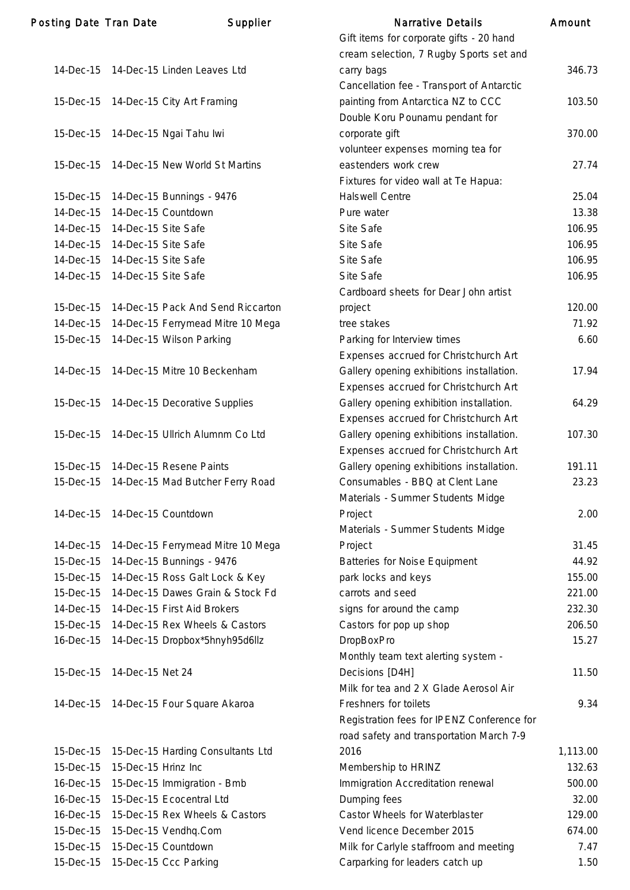| <b>Posting Date Tran Date</b> |                                 | Supplier                               | <b>Narrative Details</b>                   | Amount   |
|-------------------------------|---------------------------------|----------------------------------------|--------------------------------------------|----------|
|                               |                                 |                                        | Gift items for corporate gifts - 20 hand   |          |
|                               |                                 |                                        | cream selection, 7 Rugby Sports set and    |          |
| 14-Dec-15                     |                                 | 14-Dec-15 Linden Leaves Ltd            | carry bags                                 | 346.73   |
|                               |                                 |                                        | Cancellation fee - Transport of Antarctic  |          |
|                               |                                 | 15-Dec-15 14-Dec-15 City Art Framing   | painting from Antarctica NZ to CCC         | 103.50   |
|                               |                                 |                                        | Double Koru Pounamu pendant for            |          |
| 15-Dec-15                     |                                 | 14-Dec-15 Ngai Tahu lwi                | corporate gift                             | 370.00   |
|                               |                                 |                                        | volunteer expenses morning tea for         |          |
| 15-Dec-15                     |                                 | 14-Dec-15 New World St Martins         | eastenders work crew                       | 27.74    |
|                               |                                 |                                        | Fixtures for video wall at Te Hapua:       |          |
| 15-Dec-15                     |                                 | 14-Dec-15 Bunnings - 9476              | <b>Halswell Centre</b>                     | 25.04    |
| 14-Dec-15                     |                                 | 14-Dec-15 Countdown                    | Pure water                                 | 13.38    |
|                               | 14-Dec-15 14-Dec-15 Site Safe   |                                        | Site Safe                                  | 106.95   |
| 14-Dec-15                     | 14-Dec-15 Site Safe             |                                        | Site Safe                                  | 106.95   |
|                               | 14-Dec-15  14-Dec-15  Site Safe |                                        | Site Safe                                  | 106.95   |
| 14-Dec-15                     | 14-Dec-15 Site Safe             |                                        | Site Safe                                  | 106.95   |
|                               |                                 |                                        | Cardboard sheets for Dear John artist      |          |
| 15-Dec-15                     |                                 | 14-Dec-15 Pack And Send Riccarton      | project                                    | 120.00   |
| 14-Dec-15                     |                                 | 14-Dec-15 Ferrymead Mitre 10 Mega      | tree stakes                                | 71.92    |
| 15-Dec-15                     |                                 | 14-Dec-15 Wilson Parking               | Parking for Interview times                | 6.60     |
|                               |                                 |                                        | Expenses accrued for Christchurch Art      |          |
| 14-Dec-15                     |                                 | 14-Dec-15 Mitre 10 Beckenham           | Gallery opening exhibitions installation.  | 17.94    |
|                               |                                 |                                        | Expenses accrued for Christchurch Art      |          |
| 15-Dec-15                     |                                 | 14-Dec-15 Decorative Supplies          | Gallery opening exhibition installation.   | 64.29    |
|                               |                                 |                                        |                                            |          |
| 15-Dec-15                     |                                 | 14-Dec-15 Ullrich Alumnm Co Ltd        | Expenses accrued for Christchurch Art      |          |
|                               |                                 |                                        | Gallery opening exhibitions installation.  | 107.30   |
|                               |                                 |                                        | Expenses accrued for Christchurch Art      |          |
| 15-Dec-15                     |                                 | 14-Dec-15 Resene Paints                | Gallery opening exhibitions installation.  | 191.11   |
| 15-Dec-15                     |                                 | 14-Dec-15 Mad Butcher Ferry Road       | Consumables - BBQ at Clent Lane            | 23.23    |
|                               |                                 |                                        | Materials - Summer Students Midge          |          |
|                               | 14-Dec-15 14-Dec-15 Countdown   |                                        | Project                                    | 2.00     |
|                               |                                 |                                        | Materials - Summer Students Midge          |          |
| 14-Dec-15                     |                                 | 14-Dec-15 Ferrymead Mitre 10 Mega      | Project                                    | 31.45    |
| 15-Dec-15                     |                                 | 14-Dec-15 Bunnings - 9476              | <b>Batteries for Noise Equipment</b>       | 44.92    |
| 15-Dec-15                     |                                 | 14-Dec-15 Ross Galt Lock & Key         | park locks and keys                        | 155.00   |
| 15-Dec-15                     |                                 | 14-Dec-15 Dawes Grain & Stock Fd       | carrots and seed                           | 221.00   |
| 14-Dec-15                     |                                 | 14-Dec-15 First Aid Brokers            | signs for around the camp                  | 232.30   |
| 15-Dec-15                     |                                 | 14-Dec-15 Rex Wheels & Castors         | Castors for pop up shop                    | 206.50   |
| 16-Dec-15                     |                                 | 14-Dec-15 Dropbox*5hnyh95d6llz         | <b>DropBoxPro</b>                          | 15.27    |
|                               |                                 |                                        | Monthly team text alerting system -        |          |
| 15-Dec-15                     | 14-Dec-15 Net 24                |                                        | Decisions [D4H]                            | 11.50    |
|                               |                                 |                                        | Milk for tea and 2 X Glade Aerosol Air     |          |
|                               |                                 | 14-Dec-15 14-Dec-15 Four Square Akaroa | Freshners for toilets                      | 9.34     |
|                               |                                 |                                        | Registration fees for IPENZ Conference for |          |
|                               |                                 |                                        | road safety and transportation March 7-9   |          |
| 15-Dec-15                     |                                 | 15-Dec-15 Harding Consultants Ltd      | 2016                                       | 1,113.00 |
| 15-Dec-15                     | 15-Dec-15 Hrinz Inc             |                                        | Membership to HRINZ                        | 132.63   |
| 16-Dec-15                     |                                 | 15-Dec-15 Immigration - Bmb            | Immigration Accreditation renewal          | 500.00   |
| 16-Dec-15                     |                                 | 15-Dec-15 Ecocentral Ltd               | Dumping fees                               | 32.00    |
| 16-Dec-15                     |                                 | 15-Dec-15 Rex Wheels & Castors         | Castor Wheels for Waterblaster             | 129.00   |
| 15-Dec-15                     |                                 | 15-Dec-15 Vendhq.Com                   | Vend licence December 2015                 | 674.00   |
| 15-Dec-15                     |                                 | 15-Dec-15 Countdown                    | Milk for Carlyle staffroom and meeting     | 7.47     |
| 15-Dec-15                     |                                 | 15-Dec-15 Ccc Parking                  | Carparking for leaders catch up            | 1.50     |
|                               |                                 |                                        |                                            |          |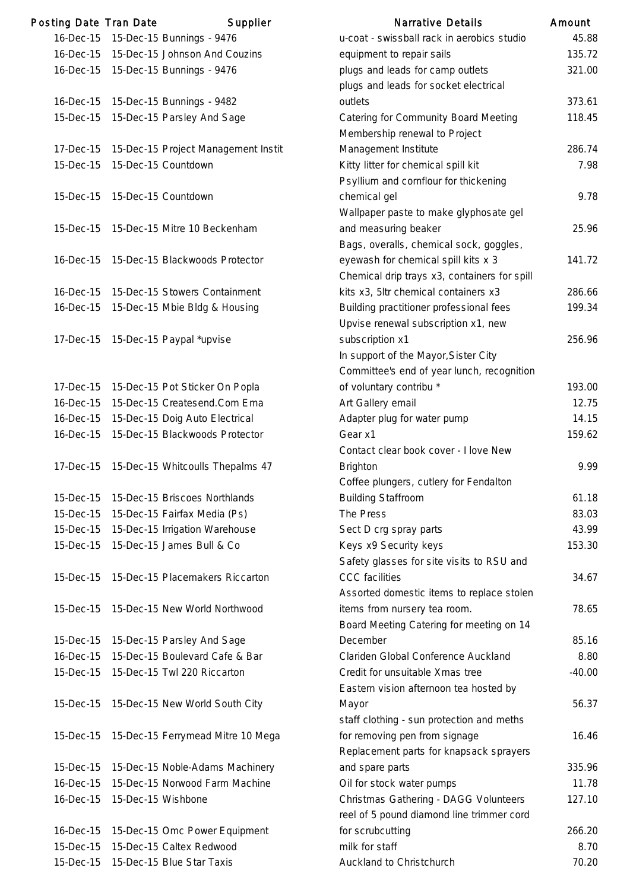| Posting Date Tran Date |                     | Supplier                            | <b>Narrative Details</b>                     | Amount         |
|------------------------|---------------------|-------------------------------------|----------------------------------------------|----------------|
| 16-Dec-15              |                     | 15-Dec-15 Bunnings - 9476           | u-coat - swissball rack in aerobics studio   | 45.8           |
| 16-Dec-15              |                     | 15-Dec-15 Johnson And Couzins       | equipment to repair sails                    | 135.           |
| 16-Dec-15              |                     | 15-Dec-15 Bunnings - 9476           | plugs and leads for camp outlets             | 321.0          |
|                        |                     |                                     | plugs and leads for socket electrical        |                |
| 16-Dec-15              |                     | 15-Dec-15 Bunnings - 9482           | outlets                                      | 373.6          |
| 15-Dec-15              |                     | 15-Dec-15 Parsley And Sage          | <b>Catering for Community Board Meeting</b>  | 118.4          |
|                        |                     |                                     | Membership renewal to Project                |                |
| 17-Dec-15              |                     | 15-Dec-15 Project Management Instit | Management Institute                         | 286.           |
| 15-Dec-15              |                     | 15-Dec-15 Countdown                 | Kitty litter for chemical spill kit          | 7 <sup>1</sup> |
|                        |                     |                                     | Psyllium and cornflour for thickening        |                |
| 15-Dec-15              | 15-Dec-15 Countdown |                                     | chemical gel                                 | 9.1            |
|                        |                     |                                     | Wallpaper paste to make glyphosate gel       |                |
| 15-Dec-15              |                     | 15-Dec-15 Mitre 10 Beckenham        | and measuring beaker                         | 25.9           |
|                        |                     |                                     | Bags, overalls, chemical sock, goggles,      |                |
| 16-Dec-15              |                     | 15-Dec-15 Blackwoods Protector      | eyewash for chemical spill kits x 3          | 141.           |
|                        |                     |                                     | Chemical drip trays x3, containers for spill |                |
| 16-Dec-15              |                     | 15-Dec-15 Stowers Containment       | kits x3, 5ltr chemical containers x3         | 286.0          |
| 16-Dec-15              |                     | 15-Dec-15 Mbie Bldg & Housing       | Building practitioner professional fees      | 199.           |
|                        |                     |                                     | Upvise renewal subscription x1, new          |                |
| 17-Dec-15              |                     | 15-Dec-15 Paypal *upvise            | subscription x1                              | 256.           |
|                        |                     |                                     | In support of the Mayor, Sister City         |                |
|                        |                     |                                     | Committee's end of year lunch, recognition   |                |
| 17-Dec-15              |                     | 15-Dec-15 Pot Sticker On Popla      | of voluntary contribu *                      | 193.0          |
| 16-Dec-15              |                     | 15-Dec-15 Createsend.Com Ema        | Art Gallery email                            | 12.            |
| 16-Dec-15              |                     | 15-Dec-15 Doig Auto Electrical      | Adapter plug for water pump                  | 14.            |
| 16-Dec-15              |                     | 15-Dec-15 Blackwoods Protector      | Gear x1                                      | 159.6          |
|                        |                     |                                     | Contact clear book cover - I love New        |                |
| 17-Dec-15              |                     | 15-Dec-15 Whitcoulls Thepalms 47    | <b>Brighton</b>                              | 9.9            |
|                        |                     |                                     | Coffee plungers, cutlery for Fendalton       |                |
| 15-Dec-15              |                     | 15-Dec-15 Briscoes Northlands       | <b>Building Staffroom</b>                    | 61.7           |
| 15-Dec-15              |                     | 15-Dec-15 Fairfax Media (Ps)        | The Press                                    | 83.0           |
| 15-Dec-15              |                     | 15-Dec-15 Irrigation Warehouse      | Sect D crg spray parts                       | 43.            |
| 15-Dec-15              |                     | 15-Dec-15 James Bull & Co           | Keys x9 Security keys                        | 153.3          |
|                        |                     |                                     | Safety glasses for site visits to RSU and    |                |
| 15-Dec-15              |                     | 15-Dec-15 Placemakers Riccarton     | <b>CCC</b> facilities                        | 34.6           |
|                        |                     |                                     | Assorted domestic items to replace stolen    |                |
| 15-Dec-15              |                     | 15-Dec-15 New World Northwood       | items from nursery tea room.                 | 78.6           |
|                        |                     |                                     | Board Meeting Catering for meeting on 14     |                |
| 15-Dec-15              |                     | 15-Dec-15 Parsley And Sage          | December                                     | 85.7           |
| 16-Dec-15              |                     | 15-Dec-15 Boulevard Cafe & Bar      | Clariden Global Conference Auckland          | 8.8            |
| 15-Dec-15              |                     | 15-Dec-15 Twl 220 Riccarton         | Credit for unsuitable Xmas tree              | $-40.0$        |
|                        |                     |                                     | Eastern vision afternoon tea hosted by       |                |
| 15-Dec-15              |                     | 15-Dec-15 New World South City      | Mayor                                        | 56.3           |
|                        |                     |                                     | staff clothing - sun protection and meths    |                |
| 15-Dec-15              |                     | 15-Dec-15 Ferrymead Mitre 10 Mega   | for removing pen from signage                | 16.4           |
|                        |                     |                                     | Replacement parts for knapsack sprayers      |                |
| 15-Dec-15              |                     | 15-Dec-15 Noble-Adams Machinery     | and spare parts                              | 335.           |
| 16-Dec-15              |                     | 15-Dec-15 Norwood Farm Machine      | Oil for stock water pumps                    | 11.7           |
| 16-Dec-15              | 15-Dec-15 Wishbone  |                                     | Christmas Gathering - DAGG Volunteers        | 127.7          |
|                        |                     |                                     | reel of 5 pound diamond line trimmer cord    |                |
| 16-Dec-15              |                     | 15-Dec-15 Omc Power Equipment       | for scrubcutting                             | 266.2          |
| 15-Dec-15              |                     | 15-Dec-15 Caltex Redwood            | milk for staff                               | 8.             |
| 15-Dec-15              |                     | 15-Dec-15 Blue Star Taxis           | Auckland to Christchurch                     | 70.2           |

|           | ing Date Tian Date<br><b>Supplier</b>         | Natiative Details                            | AIIIUUIII |
|-----------|-----------------------------------------------|----------------------------------------------|-----------|
|           | 16-Dec-15 15-Dec-15 Bunnings - 9476           | u-coat - swissball rack in aerobics studio   | 45.88     |
| 16-Dec-15 | 15-Dec-15 Johnson And Couzins                 | equipment to repair sails                    | 135.72    |
|           | 16-Dec-15 15-Dec-15 Bunnings - 9476           | plugs and leads for camp outlets             | 321.00    |
|           |                                               | plugs and leads for socket electrical        |           |
| 16-Dec-15 | 15-Dec-15 Bunnings - 9482                     | outlets                                      | 373.61    |
| 15-Dec-15 | 15-Dec-15 Parsley And Sage                    | <b>Catering for Community Board Meeting</b>  | 118.45    |
|           |                                               | Membership renewal to Project                |           |
|           | 17-Dec-15 15-Dec-15 Project Management Instit | Management Institute                         | 286.74    |
| 15-Dec-15 | 15-Dec-15 Countdown                           | Kitty litter for chemical spill kit          | 7.98      |
|           |                                               | Psyllium and cornflour for thickening        |           |
|           | 15-Dec-15 15-Dec-15 Countdown                 | chemical gel                                 | 9.78      |
|           |                                               | Wallpaper paste to make glyphosate gel       |           |
| 15-Dec-15 | 15-Dec-15 Mitre 10 Beckenham                  | and measuring beaker                         | 25.96     |
|           |                                               | Bags, overalls, chemical sock, goggles,      |           |
|           | 16-Dec-15 15-Dec-15 Blackwoods Protector      | eyewash for chemical spill kits x 3          | 141.72    |
|           |                                               | Chemical drip trays x3, containers for spill |           |
| 16-Dec-15 | 15-Dec-15 Stowers Containment                 | kits x3, 5ltr chemical containers x3         | 286.66    |
|           | 16-Dec-15 15-Dec-15 Mbie Bldg & Housing       | Building practitioner professional fees      | 199.34    |
|           |                                               | Upvise renewal subscription x1, new          |           |
|           | 17-Dec-15 15-Dec-15 Paypal *upvise            | subscription x1                              | 256.96    |
|           |                                               | In support of the Mayor, Sister City         |           |
|           |                                               | Committee's end of year lunch, recognition   |           |
| 17-Dec-15 | 15-Dec-15 Pot Sticker On Popla                | of voluntary contribu *                      | 193.00    |
| 16-Dec-15 | 15-Dec-15 Createsend.Com Ema                  | Art Gallery email                            | 12.75     |
| 16-Dec-15 | 15-Dec-15 Doig Auto Electrical                | Adapter plug for water pump                  | 14.15     |
| 16-Dec-15 | 15-Dec-15 Blackwoods Protector                | Gear x1                                      | 159.62    |
|           |                                               | Contact clear book cover - I love New        |           |
|           | 17-Dec-15 15-Dec-15 Whitcoulls Thepalms 47    | <b>Brighton</b>                              | 9.99      |
|           |                                               | Coffee plungers, cutlery for Fendalton       |           |
|           | 15-Dec-15 15-Dec-15 Briscoes Northlands       | <b>Building Staffroom</b>                    | 61.18     |
| 15-Dec-15 | 15-Dec-15 Fairfax Media (Ps)                  | The Press                                    | 83.03     |
| 15-Dec-15 | 15-Dec-15 Irrigation Warehouse                | Sect D crg spray parts                       | 43.99     |
| 15-Dec-15 | 15-Dec-15 James Bull & Co                     | Keys x9 Security keys                        | 153.30    |
|           |                                               | Safety glasses for site visits to RSU and    |           |
| 15-Dec-15 | 15-Dec-15 Placemakers Riccarton               | <b>CCC</b> facilities                        | 34.67     |
|           |                                               | Assorted domestic items to replace stolen    |           |
|           | 15-Dec-15 15-Dec-15 New World Northwood       | items from nursery tea room.                 | 78.65     |
|           |                                               | Board Meeting Catering for meeting on 14     |           |
| 15-Dec-15 | 15-Dec-15 Parsley And Sage                    | December                                     | 85.16     |
| 16-Dec-15 | 15-Dec-15 Boulevard Cafe & Bar                | Clariden Global Conference Auckland          | 8.80      |
| 15-Dec-15 | 15-Dec-15 Twl 220 Riccarton                   | Credit for unsuitable Xmas tree              | $-40.00$  |
|           |                                               | Eastern vision afternoon tea hosted by       |           |
|           | 15-Dec-15 15-Dec-15 New World South City      | Mayor                                        | 56.37     |
|           |                                               | staff clothing - sun protection and meths    |           |
|           | 15-Dec-15 15-Dec-15 Ferrymead Mitre 10 Mega   | for removing pen from signage                | 16.46     |
|           |                                               | Replacement parts for knapsack sprayers      |           |
| 15-Dec-15 | 15-Dec-15 Noble-Adams Machinery               | and spare parts                              | 335.96    |
| 16-Dec-15 | 15-Dec-15 Norwood Farm Machine                | Oil for stock water pumps                    | 11.78     |
| 16-Dec-15 | 15-Dec-15 Wishbone                            | Christmas Gathering - DAGG Volunteers        | 127.10    |
|           |                                               | reel of 5 pound diamond line trimmer cord    |           |
| 16-Dec-15 | 15-Dec-15 Omc Power Equipment                 | for scrubcutting                             | 266.20    |
| 15-Dec-15 | 15-Dec-15 Caltex Redwood                      | milk for staff                               | 8.70      |
| 15-Dec-15 | 15-Dec-15 Blue Star Taxis                     | Auckland to Christchurch                     | 70.20     |
|           |                                               |                                              |           |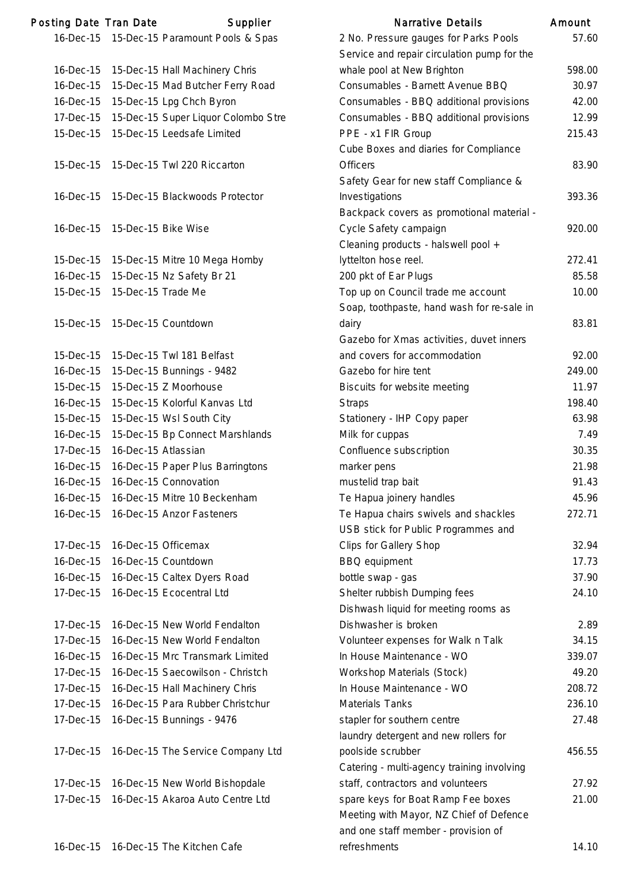| Posting Date Tran Date |                     | Supplier                                   | <b>Narrative Details</b>                    | Amount |
|------------------------|---------------------|--------------------------------------------|---------------------------------------------|--------|
|                        |                     | 16-Dec-15 15-Dec-15 Paramount Pools & Spas | 2 No. Pressure gauges for Parks Pools       | 57.60  |
|                        |                     |                                            | Service and repair circulation pump for the |        |
| 16-Dec-15              |                     | 15-Dec-15 Hall Machinery Chris             | whale pool at New Brighton                  | 598.00 |
| 16-Dec-15              |                     | 15-Dec-15 Mad Butcher Ferry Road           | Consumables - Barnett Avenue BBQ            | 30.97  |
| 16-Dec-15              |                     | 15-Dec-15 Lpg Chch Byron                   | Consumables - BBQ additional provisions     | 42.00  |
| 17-Dec-15              |                     | 15-Dec-15 Super Liquor Colombo Stre        | Consumables - BBQ additional provisions     | 12.99  |
| 15-Dec-15              |                     | 15-Dec-15 Leedsafe Limited                 | PPE - x1 FIR Group                          | 215.43 |
|                        |                     |                                            | Cube Boxes and diaries for Compliance       |        |
| 15-Dec-15              |                     | 15-Dec-15 Twl 220 Riccarton                | <b>Officers</b>                             | 83.90  |
|                        |                     |                                            | Safety Gear for new staff Compliance &      |        |
| 16-Dec-15              |                     | 15-Dec-15 Blackwoods Protector             | Investigations                              | 393.36 |
|                        |                     |                                            | Backpack covers as promotional material -   |        |
| 16-Dec-15              | 15-Dec-15 Bike Wise |                                            | Cycle Safety campaign                       | 920.00 |
|                        |                     |                                            | Cleaning products - halswell pool +         |        |
| 15-Dec-15              |                     | 15-Dec-15 Mitre 10 Mega Hornby             | lyttelton hose reel.                        | 272.41 |
|                        |                     |                                            |                                             |        |
| 16-Dec-15              |                     | 15-Dec-15 Nz Safety Br 21                  | 200 pkt of Ear Plugs                        | 85.58  |
| 15-Dec-15              | 15-Dec-15 Trade Me  |                                            | Top up on Council trade me account          | 10.00  |
|                        |                     |                                            | Soap, toothpaste, hand wash for re-sale in  |        |
| 15-Dec-15              |                     | 15-Dec-15 Countdown                        | dairy                                       | 83.81  |
|                        |                     |                                            | Gazebo for Xmas activities, duvet inners    |        |
| 15-Dec-15              |                     | 15-Dec-15 Twl 181 Belfast                  | and covers for accommodation                | 92.00  |
| 16-Dec-15              |                     | 15-Dec-15 Bunnings - 9482                  | Gazebo for hire tent                        | 249.00 |
| 15-Dec-15              |                     | 15-Dec-15 Z Moorhouse                      | Biscuits for website meeting                | 11.97  |
| 16-Dec-15              |                     | 15-Dec-15 Kolorful Kanvas Ltd              | <b>Straps</b>                               | 198.40 |
| 15-Dec-15              |                     | 15-Dec-15 Wsl South City                   | Stationery - IHP Copy paper                 | 63.98  |
| 16-Dec-15              |                     | 15-Dec-15 Bp Connect Marshlands            | Milk for cuppas                             | 7.49   |
| 17-Dec-15              | 16-Dec-15 Atlassian |                                            | Confluence subscription                     | 30.35  |
| 16-Dec-15              |                     | 16-Dec-15 Paper Plus Barringtons           | marker pens                                 | 21.98  |
| 16-Dec-15              |                     | 16-Dec-15 Connovation                      | mustelid trap bait                          | 91.43  |
| 16-Dec-15              |                     | 16-Dec-15 Mitre 10 Beckenham               | Te Hapua joinery handles                    | 45.96  |
| 16-Dec-15              |                     | 16-Dec-15 Anzor Fasteners                  | Te Hapua chairs swivels and shackles        | 272.71 |
|                        |                     |                                            | USB stick for Public Programmes and         |        |
| 17-Dec-15              |                     | 16-Dec-15 Officemax                        | Clips for Gallery Shop                      | 32.94  |
| 16-Dec-15              |                     | 16-Dec-15 Countdown                        | <b>BBQ</b> equipment                        | 17.73  |
| 16-Dec-15              |                     | 16-Dec-15 Caltex Dyers Road                | bottle swap - gas                           | 37.90  |
| 17-Dec-15              |                     | 16-Dec-15 Ecocentral Ltd                   | Shelter rubbish Dumping fees                | 24.10  |
|                        |                     |                                            | Dishwash liquid for meeting rooms as        |        |
| 17-Dec-15              |                     | 16-Dec-15 New World Fendalton              | Dishwasher is broken                        | 2.89   |
| 17-Dec-15              |                     | 16-Dec-15 New World Fendalton              | Volunteer expenses for Walk n Talk          | 34.15  |
| 16-Dec-15              |                     | 16-Dec-15 Mrc Transmark Limited            | In House Maintenance - WO                   | 339.07 |
| 17-Dec-15              |                     | 16-Dec-15 Saecowilson - Christch           | Workshop Materials (Stock)                  | 49.20  |
| 17-Dec-15              |                     | 16-Dec-15 Hall Machinery Chris             | In House Maintenance - WO                   | 208.72 |
| 17-Dec-15              |                     | 16-Dec-15 Para Rubber Christchur           | <b>Materials Tanks</b>                      | 236.10 |
|                        |                     |                                            |                                             | 27.48  |
| 17-Dec-15              |                     | 16-Dec-15 Bunnings - 9476                  | stapler for southern centre                 |        |
|                        |                     |                                            | laundry detergent and new rollers for       |        |
| 17-Dec-15              |                     | 16-Dec-15 The Service Company Ltd          | poolside scrubber                           | 456.55 |
|                        |                     |                                            | Catering - multi-agency training involving  |        |
| 17-Dec-15              |                     | 16-Dec-15 New World Bishopdale             | staff, contractors and volunteers           | 27.92  |
| 17-Dec-15              |                     | 16-Dec-15 Akaroa Auto Centre Ltd           | spare keys for Boat Ramp Fee boxes          | 21.00  |
|                        |                     |                                            | Meeting with Mayor, NZ Chief of Defence     |        |
|                        |                     |                                            | and one staff member - provision of         |        |
| 16-Dec-15              |                     | 16-Dec-15 The Kitchen Cafe                 | refreshments                                | 14.10  |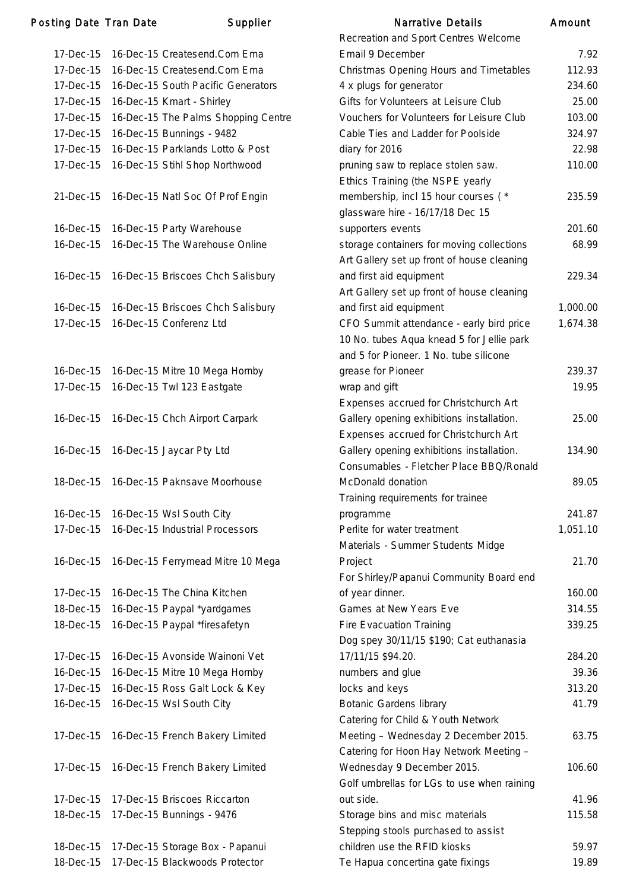### Posting Date Tran Date **Supplier** Supplier Narrative Details Amount

|           |                                              | Recreation and Sport Centres Welcome       |          |
|-----------|----------------------------------------------|--------------------------------------------|----------|
|           | 17-Dec-15 16-Dec-15 Createsend.Com Ema       | Email 9 December                           | 7.92     |
| 17-Dec-15 | 16-Dec-15 Createsend.Com Ema                 | Christmas Opening Hours and Timetables     | 112.93   |
|           | 17-Dec-15 16-Dec-15 South Pacific Generators | 4 x plugs for generator                    | 234.60   |
| 17-Dec-15 | 16-Dec-15 Kmart - Shirley                    | Gifts for Volunteers at Leisure Club       | 25.00    |
| 17-Dec-15 | 16-Dec-15 The Palms Shopping Centre          | Vouchers for Volunteers for Leisure Club   | 103.00   |
| 17-Dec-15 | 16-Dec-15 Bunnings - 9482                    | Cable Ties and Ladder for Poolside         | 324.97   |
|           | 17-Dec-15 16-Dec-15 Parklands Lotto & Post   | diary for 2016                             | 22.98    |
| 17-Dec-15 | 16-Dec-15 Stihl Shop Northwood               | pruning saw to replace stolen saw.         | 110.00   |
|           |                                              | Ethics Training (the NSPE yearly           |          |
|           | 21-Dec-15 16-Dec-15 Natl Soc Of Prof Engin   | membership, incl 15 hour courses (*        | 235.59   |
|           |                                              | glassware hire - 16/17/18 Dec 15           |          |
|           | 16-Dec-15 16-Dec-15 Party Warehouse          | supporters events                          | 201.60   |
| 16-Dec-15 | 16-Dec-15 The Warehouse Online               | storage containers for moving collections  | 68.99    |
|           |                                              | Art Gallery set up front of house cleaning |          |
|           | 16-Dec-15 16-Dec-15 Briscoes Chch Salisbury  | and first aid equipment                    | 229.34   |
|           |                                              | Art Gallery set up front of house cleaning |          |
|           | 16-Dec-15 16-Dec-15 Briscoes Chch Salisbury  | and first aid equipment                    | 1,000.00 |
|           | 17-Dec-15 16-Dec-15 Conferenz Ltd            | CFO Summit attendance - early bird price   | 1,674.38 |
|           |                                              | 10 No. tubes Aqua knead 5 for Jellie park  |          |
|           |                                              | and 5 for Pioneer. 1 No. tube silicone     |          |
|           | 16-Dec-15 16-Dec-15 Mitre 10 Mega Hornby     | grease for Pioneer                         | 239.37   |
|           | 17-Dec-15 16-Dec-15 Twl 123 Eastgate         | wrap and gift                              | 19.95    |
|           |                                              | Expenses accrued for Christchurch Art      |          |
|           | 16-Dec-15 16-Dec-15 Chch Airport Carpark     | Gallery opening exhibitions installation.  | 25.00    |
|           |                                              | Expenses accrued for Christchurch Art      |          |
|           | 16-Dec-15 16-Dec-15 Jaycar Pty Ltd           | Gallery opening exhibitions installation.  | 134.90   |
|           |                                              | Consumables - Fletcher Place BBQ/Ronald    |          |
| 18-Dec-15 | 16-Dec-15 Paknsave Moorhouse                 | McDonald donation                          | 89.05    |
|           |                                              | Training requirements for trainee          |          |
|           | 16-Dec-15 16-Dec-15 Wsl South City           | programme                                  | 241.87   |
|           | 17-Dec-15 16-Dec-15 Industrial Processors    | Perlite for water treatment                | 1,051.10 |
|           |                                              | Materials - Summer Students Midge          |          |
|           | 16-Dec-15 16-Dec-15 Ferrymead Mitre 10 Mega  | Project                                    | 21.70    |
|           |                                              | For Shirley/Papanui Community Board end    |          |
| 17-Dec-15 | 16-Dec-15 The China Kitchen                  | of year dinner.                            | 160.00   |
| 18-Dec-15 | 16-Dec-15 Paypal *yardgames                  | Games at New Years Eve                     | 314.55   |
| 18-Dec-15 | 16-Dec-15 Paypal *firesafetyn                | <b>Fire Evacuation Training</b>            | 339.25   |
|           |                                              | Dog spey 30/11/15 \$190; Cat euthanasia    |          |
| 17-Dec-15 | 16-Dec-15 Avonside Wainoni Vet               | 17/11/15 \$94.20.                          | 284.20   |
| 16-Dec-15 | 16-Dec-15 Mitre 10 Mega Hornby               | numbers and glue                           | 39.36    |
|           | 17-Dec-15 16-Dec-15 Ross Galt Lock & Key     | locks and keys                             | 313.20   |
| 16-Dec-15 | 16-Dec-15 Wsl South City                     | <b>Botanic Gardens library</b>             | 41.79    |
|           |                                              | Catering for Child & Youth Network         |          |
|           | 17-Dec-15 16-Dec-15 French Bakery Limited    | Meeting - Wednesday 2 December 2015.       | 63.75    |
|           |                                              | Catering for Hoon Hay Network Meeting -    |          |
|           | 17-Dec-15 16-Dec-15 French Bakery Limited    | Wednesday 9 December 2015.                 | 106.60   |
|           |                                              | Golf umbrellas for LGs to use when raining |          |
|           | 17-Dec-15 17-Dec-15 Briscoes Riccarton       | out side.                                  | 41.96    |
|           | 18-Dec-15 17-Dec-15 Bunnings - 9476          | Storage bins and misc materials            | 115.58   |
|           |                                              | Stepping stools purchased to assist        |          |
| 18-Dec-15 | 17-Dec-15 Storage Box - Papanui              | children use the RFID kiosks               | 59.97    |
|           | 18-Dec-15 17-Dec-15 Blackwoods Protector     | Te Hapua concertina gate fixings           | 19.89    |
|           |                                              |                                            |          |

| Naliative Details                          | Allivulit |
|--------------------------------------------|-----------|
| Recreation and Sport Centres Welcome       |           |
| Email 9 December                           | 7.92      |
| Christmas Opening Hours and Timetables     | 112.93    |
| 4 x plugs for generator                    | 234.60    |
| Gifts for Volunteers at Leisure Club       | 25.00     |
| Vouchers for Volunteers for Leisure Club   | 103.00    |
| Cable Ties and Ladder for Poolside         | 324.97    |
| diary for 2016                             | 22.98     |
| pruning saw to replace stolen saw.         | 110.00    |
| Ethics Training (the NSPE yearly           |           |
| membership, incl 15 hour courses (*        | 235.59    |
| glassware hire - 16/17/18 Dec 15           |           |
| supporters events                          | 201.60    |
| storage containers for moving collections  | 68.99     |
| Art Gallery set up front of house cleaning |           |
| and first aid equipment                    | 229.34    |
| Art Gallery set up front of house cleaning |           |
| and first aid equipment                    | 1,000.00  |
| CFO Summit attendance - early bird price   | 1,674.38  |
| 10 No. tubes Aqua knead 5 for Jellie park  |           |
| and 5 for Pioneer. 1 No. tube silicone     |           |
| grease for Pioneer                         | 239.37    |
| wrap and gift                              | 19.95     |
| Expenses accrued for Christchurch Art      |           |
| Gallery opening exhibitions installation.  | 25.00     |
| Expenses accrued for Christchurch Art      |           |
| Gallery opening exhibitions installation.  | 134.90    |
| Consumables - Fletcher Place BBQ/Ronald    |           |
| McDonald donation                          | 89.05     |
| Training requirements for trainee          |           |
| programme                                  | 241.87    |
| Perlite for water treatment                | 1,051.10  |
| Materials - Summer Students Midge          |           |
| Project                                    | 21.70     |
| For Shirley/Papanui Community Board end    |           |
| of year dinner.                            | 160.00    |
| Games at New Years Eve                     | 314.55    |
| <b>Fire Evacuation Training</b>            | 339.25    |
| Dog spey 30/11/15 \$190; Cat euthanasia    |           |
| 17/11/15 \$94.20.                          | 284.20    |
| numbers and glue                           | 39.36     |
| locks and keys                             | 313.20    |
| <b>Botanic Gardens library</b>             | 41.79     |
| Catering for Child & Youth Network         |           |
| Meeting - Wednesday 2 December 2015.       | 63.75     |
| Catering for Hoon Hay Network Meeting -    |           |
| Wednesday 9 December 2015.                 | 106.60    |
| Golf umbrellas for LGs to use when raining |           |
| out side.                                  | 41.96     |
| Storage bins and misc materials            | 115.58    |
| Stepping stools purchased to assist        |           |
| children use the RFID kiosks               | 59.97     |
| Te Hapua concertina gate fixings           | 19.89     |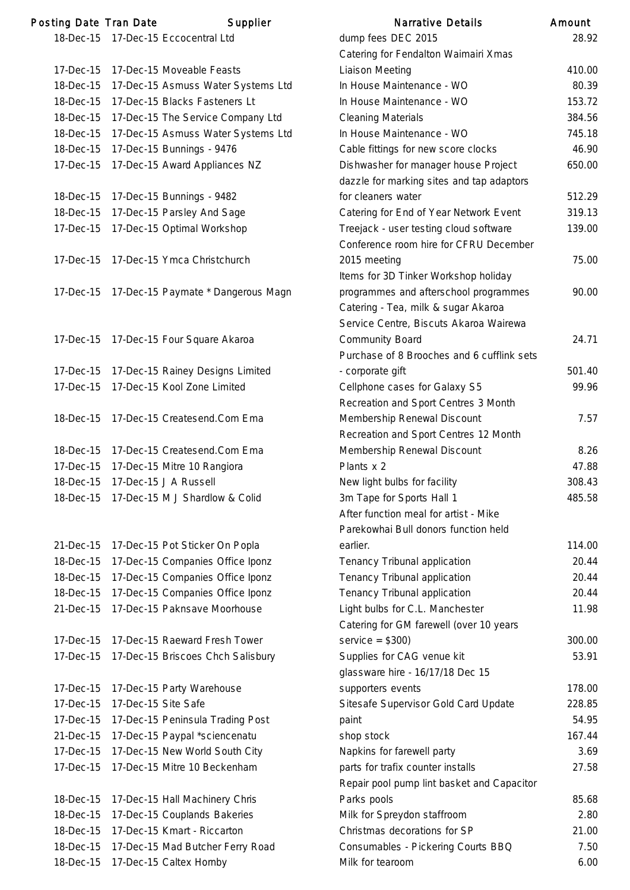| Posting Date Tran Date |                     | Supplier                           | <b>Narrative Details</b>                   | Amount |
|------------------------|---------------------|------------------------------------|--------------------------------------------|--------|
| 18-Dec-15              |                     | 17-Dec-15 Eccocentral Ltd          | dump fees DEC 2015                         | 28.9   |
|                        |                     |                                    | Catering for Fendalton Waimairi Xmas       |        |
| 17-Dec-15              |                     | 17-Dec-15 Moveable Feasts          | <b>Liaison Meeting</b>                     | 410.0  |
| 18-Dec-15              |                     | 17-Dec-15 Asmuss Water Systems Ltd | In House Maintenance - WO                  | 80.3   |
| 18-Dec-15              |                     | 17-Dec-15 Blacks Fasteners Lt      | In House Maintenance - WO                  | 153.   |
| 18-Dec-15              |                     | 17-Dec-15 The Service Company Ltd  | <b>Cleaning Materials</b>                  | 384.   |
| 18-Dec-15              |                     | 17-Dec-15 Asmuss Water Systems Ltd | In House Maintenance - WO                  | 745.   |
| 18-Dec-15              |                     | 17-Dec-15 Bunnings - 9476          | Cable fittings for new score clocks        | 46.    |
| 17-Dec-15              |                     | 17-Dec-15 Award Appliances NZ      | Dishwasher for manager house Project       | 650.0  |
|                        |                     |                                    | dazzle for marking sites and tap adaptors  |        |
| 18-Dec-15              |                     | 17-Dec-15 Bunnings - 9482          | for cleaners water                         | 512.2  |
| 18-Dec-15              |                     | 17-Dec-15 Parsley And Sage         | Catering for End of Year Network Event     | 319.7  |
| 17-Dec-15              |                     | 17-Dec-15 Optimal Workshop         | Treejack - user testing cloud software     | 139.0  |
|                        |                     |                                    | Conference room hire for CFRU December     |        |
| 17-Dec-15              |                     | 17-Dec-15 Ymca Christchurch        | 2015 meeting                               | 75.0   |
|                        |                     |                                    | Items for 3D Tinker Workshop holiday       |        |
| 17-Dec-15              |                     | 17-Dec-15 Paymate * Dangerous Magn | programmes and afterschool programmes      | 90.0   |
|                        |                     |                                    | Catering - Tea, milk & sugar Akaroa        |        |
|                        |                     |                                    | Service Centre, Biscuts Akaroa Wairewa     |        |
| 17-Dec-15              |                     | 17-Dec-15 Four Square Akaroa       | Community Board                            | 24.    |
|                        |                     |                                    | Purchase of 8 Brooches and 6 cufflink sets |        |
| 17-Dec-15              |                     | 17-Dec-15 Rainey Designs Limited   | - corporate gift                           | 501.4  |
| 17-Dec-15              |                     | 17-Dec-15 Kool Zone Limited        | Cellphone cases for Galaxy S5              | 99.    |
|                        |                     |                                    | Recreation and Sport Centres 3 Month       |        |
| 18-Dec-15              |                     | 17-Dec-15 Createsend.Com Ema       | Membership Renewal Discount                | 7.5    |
|                        |                     |                                    | Recreation and Sport Centres 12 Month      |        |
| 18-Dec-15              |                     | 17-Dec-15 Createsend.Com Ema       | Membership Renewal Discount                | 8.2    |
| 17-Dec-15              |                     | 17-Dec-15 Mitre 10 Rangiora        | Plants x 2                                 | 47.8   |
|                        |                     | 18-Dec-15 17-Dec-15 J A Russell    | New light bulbs for facility               | 308.4  |
| 18-Dec-15              |                     | 17-Dec-15 M J Shardlow & Colid     | 3m Tape for Sports Hall 1                  | 485.   |
|                        |                     |                                    | After function meal for artist - Mike      |        |
|                        |                     |                                    | Parekowhai Bull donors function held       |        |
| 21-Dec-15              |                     | 17-Dec-15 Pot Sticker On Popla     | earlier.                                   | 114.0  |
| 18-Dec-15              |                     | 17-Dec-15 Companies Office Iponz   | Tenancy Tribunal application               | 20.4   |
| 18-Dec-15              |                     | 17-Dec-15 Companies Office Iponz   | Tenancy Tribunal application               | 20.4   |
| 18-Dec-15              |                     | 17-Dec-15 Companies Office Iponz   | Tenancy Tribunal application               | 20.4   |
| 21-Dec-15              |                     | 17-Dec-15 Paknsave Moorhouse       | Light bulbs for C.L. Manchester            | 11.9   |
|                        |                     |                                    | Catering for GM farewell (over 10 years    |        |
| 17-Dec-15              |                     | 17-Dec-15 Raeward Fresh Tower      | $s$ ervice = \$300)                        | 300.0  |
| 17-Dec-15              |                     | 17-Dec-15 Briscoes Chch Salisbury  | Supplies for CAG venue kit                 | 53.9   |
|                        |                     |                                    | glassware hire - 16/17/18 Dec 15           |        |
| 17-Dec-15              |                     | 17-Dec-15 Party Warehouse          | supporters events                          | 178.0  |
| 17-Dec-15              | 17-Dec-15 Site Safe |                                    | Sitesafe Supervisor Gold Card Update       | 228.8  |
| 17-Dec-15              |                     | 17-Dec-15 Peninsula Trading Post   | paint                                      | 54.9   |
| 21-Dec-15              |                     | 17-Dec-15 Paypal *sciencenatu      | shop stock                                 | 167.4  |
| 17-Dec-15              |                     | 17-Dec-15 New World South City     | Napkins for farewell party                 | 3.0    |
| 17-Dec-15              |                     | 17-Dec-15 Mitre 10 Beckenham       | parts for trafix counter installs          | 27.5   |
|                        |                     |                                    | Repair pool pump lint basket and Capacitor |        |
| 18-Dec-15              |                     | 17-Dec-15 Hall Machinery Chris     | Parks pools                                | 85.6   |
| 18-Dec-15              |                     | 17-Dec-15 Couplands Bakeries       | Milk for Spreydon staffroom                | 2.8    |
| 18-Dec-15              |                     | 17-Dec-15 Kmart - Riccarton        | Christmas decorations for SP               | 21.0   |
| 18-Dec-15              |                     | 17-Dec-15 Mad Butcher Ferry Road   | Consumables - Pickering Courts BBQ         | 7.5    |
| 18-Dec-15              |                     | 17-Dec-15 Caltex Hornby            | Milk for tearoom                           | 6.0    |

|           | ing Date Tran Date  | Supplier                                 | <b>Narrative Details</b>                   | Amount |
|-----------|---------------------|------------------------------------------|--------------------------------------------|--------|
|           |                     | 18-Dec-15 17-Dec-15 Eccocentral Ltd      | dump fees DEC 2015                         | 28.92  |
|           |                     |                                          | Catering for Fendalton Waimairi Xmas       |        |
| 17-Dec-15 |                     | 17-Dec-15 Moveable Feasts                | Liaison Meeting                            | 410.00 |
| 18-Dec-15 |                     | 17-Dec-15 Asmuss Water Systems Ltd       | In House Maintenance - WO                  | 80.39  |
| 18-Dec-15 |                     | 17-Dec-15 Blacks Fasteners Lt            | In House Maintenance - WO                  | 153.72 |
| 18-Dec-15 |                     | 17-Dec-15 The Service Company Ltd        | <b>Cleaning Materials</b>                  | 384.56 |
| 18-Dec-15 |                     | 17-Dec-15 Asmuss Water Systems Ltd       | In House Maintenance - WO                  | 745.18 |
| 18-Dec-15 |                     | 17-Dec-15 Bunnings - 9476                | Cable fittings for new score clocks        | 46.90  |
| 17-Dec-15 |                     | 17-Dec-15 Award Appliances NZ            | Dishwasher for manager house Project       | 650.00 |
|           |                     |                                          | dazzle for marking sites and tap adaptors  |        |
| 18-Dec-15 |                     | 17-Dec-15 Bunnings - 9482                | for cleaners water                         | 512.29 |
| 18-Dec-15 |                     | 17-Dec-15 Parsley And Sage               | Catering for End of Year Network Event     | 319.13 |
| 17-Dec-15 |                     | 17-Dec-15 Optimal Workshop               | Treejack - user testing cloud software     | 139.00 |
|           |                     |                                          | Conference room hire for CFRU December     |        |
| 17-Dec-15 |                     | 17-Dec-15 Ymca Christchurch              | 2015 meeting                               | 75.00  |
|           |                     |                                          | Items for 3D Tinker Workshop holiday       |        |
| 17-Dec-15 |                     | 17-Dec-15 Paymate * Dangerous Magn       | programmes and afterschool programmes      | 90.00  |
|           |                     |                                          | Catering - Tea, milk & sugar Akaroa        |        |
|           |                     |                                          | Service Centre, Biscuts Akaroa Wairewa     |        |
| 17-Dec-15 |                     | 17-Dec-15 Four Square Akaroa             | <b>Community Board</b>                     | 24.71  |
|           |                     |                                          | Purchase of 8 Brooches and 6 cufflink sets |        |
| 17-Dec-15 |                     | 17-Dec-15 Rainey Designs Limited         | - corporate gift                           | 501.40 |
| 17-Dec-15 |                     | 17-Dec-15 Kool Zone Limited              | Cellphone cases for Galaxy S5              | 99.96  |
|           |                     |                                          | Recreation and Sport Centres 3 Month       |        |
| 18-Dec-15 |                     | 17-Dec-15 Createsend.Com Ema             | Membership Renewal Discount                | 7.57   |
|           |                     |                                          | Recreation and Sport Centres 12 Month      |        |
| 18-Dec-15 |                     | 17-Dec-15 Createsend.Com Ema             | Membership Renewal Discount                | 8.26   |
| 17-Dec-15 |                     | 17-Dec-15 Mitre 10 Rangiora              | Plants x 2                                 | 47.88  |
| 18-Dec-15 |                     | 17-Dec-15 J A Russell                    | New light bulbs for facility               | 308.43 |
|           |                     | 18-Dec-15 17-Dec-15 M J Shardlow & Colid | 3m Tape for Sports Hall 1                  | 485.58 |
|           |                     |                                          | After function meal for artist - Mike      |        |
|           |                     |                                          | Parekowhai Bull donors function held       |        |
| 21-Dec-15 |                     | 17-Dec-15 Pot Sticker On Popla           | earlier.                                   | 114.00 |
| 18-Dec-15 |                     | 17-Dec-15 Companies Office Iponz         | Tenancy Tribunal application               | 20.44  |
| 18-Dec-15 |                     | 17-Dec-15 Companies Office Iponz         | Tenancy Tribunal application               | 20.44  |
| 18-Dec-15 |                     | 17-Dec-15 Companies Office Iponz         | Tenancy Tribunal application               | 20.44  |
| 21-Dec-15 |                     | 17-Dec-15 Paknsave Moorhouse             | Light bulbs for C.L. Manchester            | 11.98  |
|           |                     |                                          | Catering for GM farewell (over 10 years    |        |
| 17-Dec-15 |                     | 17-Dec-15 Raeward Fresh Tower            | $s$ ervice = \$300)                        | 300.00 |
| 17-Dec-15 |                     | 17-Dec-15 Briscoes Chch Salisbury        | Supplies for CAG venue kit                 | 53.91  |
|           |                     |                                          | glassware hire - 16/17/18 Dec 15           |        |
| 17-Dec-15 |                     | 17-Dec-15 Party Warehouse                | supporters events                          | 178.00 |
| 17-Dec-15 | 17-Dec-15 Site Safe |                                          | Sitesafe Supervisor Gold Card Update       | 228.85 |
| 17-Dec-15 |                     | 17-Dec-15 Peninsula Trading Post         | paint                                      | 54.95  |
| 21-Dec-15 |                     | 17-Dec-15 Paypal *sciencenatu            | shop stock                                 | 167.44 |
| 17-Dec-15 |                     | 17-Dec-15 New World South City           | Napkins for farewell party                 | 3.69   |
| 17-Dec-15 |                     | 17-Dec-15 Mitre 10 Beckenham             | parts for trafix counter installs          | 27.58  |
|           |                     |                                          | Repair pool pump lint basket and Capacitor |        |
| 18-Dec-15 |                     | 17-Dec-15 Hall Machinery Chris           | Parks pools                                | 85.68  |
| 18-Dec-15 |                     | 17-Dec-15 Couplands Bakeries             | Milk for Spreydon staffroom                | 2.80   |
| 18-Dec-15 |                     | 17-Dec-15 Kmart - Riccarton              | Christmas decorations for SP               | 21.00  |
| 18-Dec-15 |                     | 17-Dec-15 Mad Butcher Ferry Road         | Consumables - Pickering Courts BBQ         | 7.50   |
| 18-Dec-15 |                     | 17-Dec-15 Caltex Hornby                  | Milk for tearoom                           | 6.00   |
|           |                     |                                          |                                            |        |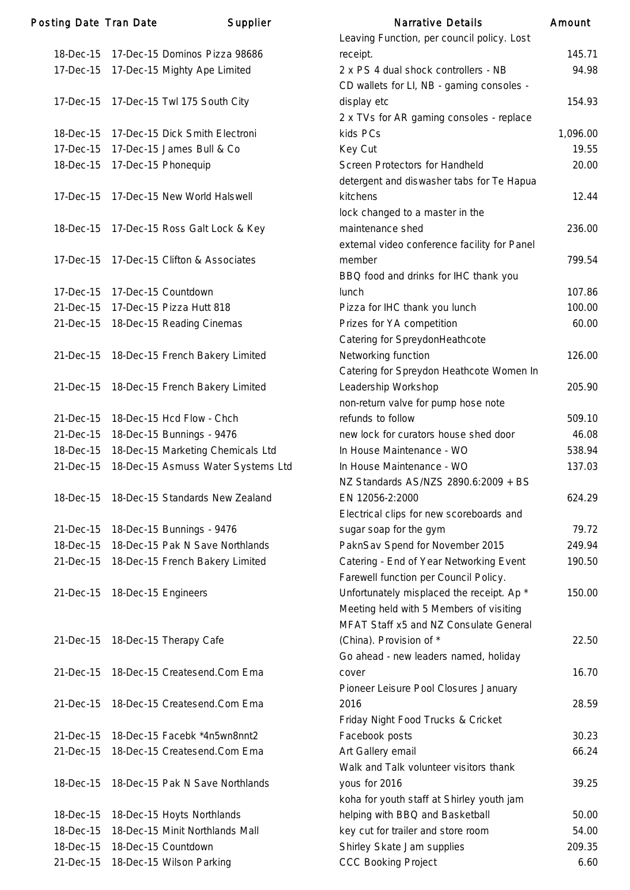| <b>Posting Date Tran Date</b> |                     | Supplier                           | <b>Narrative Details</b>                     | Amount   |
|-------------------------------|---------------------|------------------------------------|----------------------------------------------|----------|
|                               |                     |                                    | Leaving Function, per council policy. Lost   |          |
| 18-Dec-15                     |                     | 17-Dec-15 Dominos Pizza 98686      | receipt.                                     | 145.71   |
| 17-Dec-15                     |                     | 17-Dec-15 Mighty Ape Limited       | 2 x PS 4 dual shock controllers - NB         | 94.98    |
|                               |                     |                                    | CD wallets for LI, NB - gaming consoles -    |          |
| 17-Dec-15                     |                     | 17-Dec-15 Twl 175 South City       | display etc                                  | 154.93   |
|                               |                     |                                    | 2 x TVs for AR gaming consoles - replace     |          |
| 18-Dec-15                     |                     | 17-Dec-15 Dick Smith Electroni     | kids PCs                                     | 1,096.00 |
| 17-Dec-15                     |                     | 17-Dec-15 James Bull & Co          | Key Cut                                      | 19.55    |
| 18-Dec-15                     | 17-Dec-15 Phonequip |                                    | Screen Protectors for Handheld               | 20.00    |
|                               |                     |                                    | detergent and diswasher tabs for Te Hapua    |          |
| 17-Dec-15                     |                     | 17-Dec-15 New World Halswell       | kitchens                                     | 12.44    |
|                               |                     |                                    | lock changed to a master in the              |          |
| 18-Dec-15                     |                     | 17-Dec-15 Ross Galt Lock & Key     | maintenance shed                             | 236.00   |
|                               |                     |                                    | external video conference facility for Panel |          |
| 17-Dec-15                     |                     | 17-Dec-15 Clifton & Associates     | member                                       | 799.54   |
|                               |                     |                                    | BBQ food and drinks for IHC thank you        |          |
| 17-Dec-15                     | 17-Dec-15 Countdown |                                    | lunch                                        | 107.86   |
| 21-Dec-15                     |                     | 17-Dec-15 Pizza Hutt 818           | Pizza for IHC thank you lunch                | 100.00   |
| 21-Dec-15                     |                     | 18-Dec-15 Reading Cinemas          | Prizes for YA competition                    | 60.00    |
|                               |                     |                                    | Catering for SpreydonHeathcote               |          |
| 21-Dec-15                     |                     | 18-Dec-15 French Bakery Limited    | Networking function                          | 126.00   |
|                               |                     |                                    | Catering for Spreydon Heathcote Women In     |          |
| 21-Dec-15                     |                     | 18-Dec-15 French Bakery Limited    | Leadership Workshop                          | 205.90   |
|                               |                     |                                    |                                              |          |
|                               |                     |                                    | non-return valve for pump hose note          |          |
| 21-Dec-15                     |                     | 18-Dec-15 Hcd Flow - Chch          | refunds to follow                            | 509.10   |
| 21-Dec-15                     |                     | 18-Dec-15 Bunnings - 9476          | new lock for curators house shed door        | 46.08    |
| 18-Dec-15                     |                     | 18-Dec-15 Marketing Chemicals Ltd  | In House Maintenance - WO                    | 538.94   |
| 21-Dec-15                     |                     | 18-Dec-15 Asmuss Water Systems Ltd | In House Maintenance - WO                    | 137.03   |
|                               |                     |                                    | NZ Standards AS/NZS 2890.6:2009 + BS         |          |
| 18-Dec-15                     |                     | 18-Dec-15 Standards New Zealand    | EN 12056-2:2000                              | 624.29   |
|                               |                     |                                    | Electrical clips for new scoreboards and     |          |
| 21-Dec-15                     |                     | 18-Dec-15 Bunnings - 9476          | sugar soap for the gym                       | 79.72    |
| 18-Dec-15                     |                     | 18-Dec-15 Pak N Save Northlands    | PaknSav Spend for November 2015              | 249.94   |
| 21-Dec-15                     |                     | 18-Dec-15 French Bakery Limited    | Catering - End of Year Networking Event      | 190.50   |
|                               |                     |                                    | Farewell function per Council Policy.        |          |
| 21-Dec-15                     | 18-Dec-15 Engineers |                                    | Unfortunately misplaced the receipt. Ap *    | 150.00   |
|                               |                     |                                    | Meeting held with 5 Members of visiting      |          |
|                               |                     |                                    | MFAT Staff x5 and NZ Consulate General       |          |
| 21-Dec-15                     |                     | 18-Dec-15 Therapy Cafe             | (China). Provision of *                      | 22.50    |
|                               |                     |                                    | Go ahead - new leaders named, holiday        |          |
| 21-Dec-15                     |                     | 18-Dec-15 Createsend.Com Ema       | cover                                        | 16.70    |
|                               |                     |                                    | Pioneer Leisure Pool Closures January        |          |
| 21-Dec-15                     |                     | 18-Dec-15 Createsend.Com Ema       | 2016                                         | 28.59    |
|                               |                     |                                    | Friday Night Food Trucks & Cricket           |          |
| 21-Dec-15                     |                     | 18-Dec-15 Facebk *4n5wn8nnt2       | Facebook posts                               | 30.23    |
| 21-Dec-15                     |                     | 18-Dec-15 Createsend.Com Ema       | Art Gallery email                            | 66.24    |
|                               |                     |                                    | Walk and Talk volunteer visitors thank       |          |
| 18-Dec-15                     |                     | 18-Dec-15 Pak N Save Northlands    | yous for 2016                                | 39.25    |
|                               |                     |                                    | koha for youth staff at Shirley youth jam    |          |
| 18-Dec-15                     |                     | 18-Dec-15 Hoyts Northlands         | helping with BBQ and Basketball              | 50.00    |
| 18-Dec-15                     |                     | 18-Dec-15 Minit Northlands Mall    | key cut for trailer and store room           | 54.00    |
| 18-Dec-15                     |                     | 18-Dec-15 Countdown                | Shirley Skate Jam supplies                   | 209.35   |
| 21-Dec-15                     |                     | 18-Dec-15 Wilson Parking           | <b>CCC Booking Project</b>                   | 6.60     |
|                               |                     |                                    |                                              |          |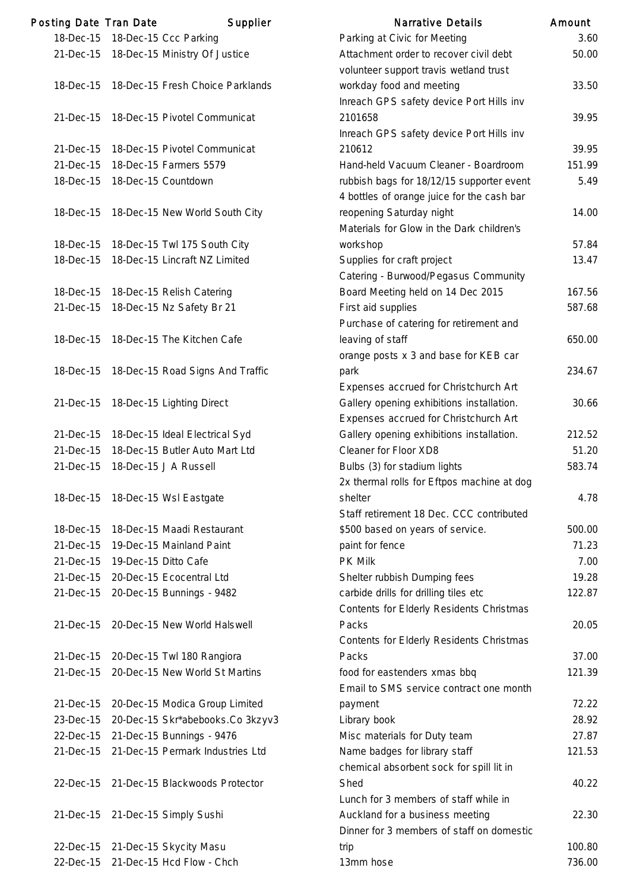| Posting Date Tran Date |                      | Supplier                         | <b>Narrative Details</b>                   | Amount |
|------------------------|----------------------|----------------------------------|--------------------------------------------|--------|
| 18-Dec-15              |                      | 18-Dec-15 Ccc Parking            | Parking at Civic for Meeting               | 3.60   |
| 21-Dec-15              |                      | 18-Dec-15 Ministry Of Justice    | Attachment order to recover civil debt     | 50.00  |
|                        |                      |                                  | volunteer support travis wetland trust     |        |
| 18-Dec-15              |                      | 18-Dec-15 Fresh Choice Parklands | workday food and meeting                   | 33.50  |
|                        |                      |                                  | Inreach GPS safety device Port Hills inv   |        |
| 21-Dec-15              |                      | 18-Dec-15 Pivotel Communicat     | 2101658                                    | 39.95  |
|                        |                      |                                  | Inreach GPS safety device Port Hills inv   |        |
| 21-Dec-15              |                      | 18-Dec-15 Pivotel Communicat     | 210612                                     | 39.95  |
| 21-Dec-15              |                      | 18-Dec-15 Farmers 5579           | Hand-held Vacuum Cleaner - Boardroom       | 151.99 |
| 18-Dec-15              |                      | 18-Dec-15 Countdown              | rubbish bags for 18/12/15 supporter event  | 5.49   |
|                        |                      |                                  | 4 bottles of orange juice for the cash bar |        |
| 18-Dec-15              |                      | 18-Dec-15 New World South City   | reopening Saturday night                   | 14.00  |
|                        |                      |                                  | Materials for Glow in the Dark children's  |        |
| 18-Dec-15              |                      | 18-Dec-15 Twl 175 South City     | workshop                                   | 57.84  |
| 18-Dec-15              |                      | 18-Dec-15 Lincraft NZ Limited    | Supplies for craft project                 | 13.47  |
|                        |                      |                                  | Catering - Burwood/Pegasus Community       |        |
| 18-Dec-15              |                      | 18-Dec-15 Relish Catering        | Board Meeting held on 14 Dec 2015          | 167.56 |
| 21-Dec-15              |                      | 18-Dec-15 Nz Safety Br 21        | First aid supplies                         | 587.68 |
|                        |                      |                                  | Purchase of catering for retirement and    |        |
| 18-Dec-15              |                      | 18-Dec-15 The Kitchen Cafe       | leaving of staff                           | 650.00 |
|                        |                      |                                  | orange posts x 3 and base for KEB car      |        |
| 18-Dec-15              |                      | 18-Dec-15 Road Signs And Traffic | park                                       | 234.67 |
|                        |                      |                                  | Expenses accrued for Christchurch Art      |        |
|                        |                      |                                  |                                            | 30.66  |
| 21-Dec-15              |                      | 18-Dec-15 Lighting Direct        | Gallery opening exhibitions installation.  |        |
|                        |                      |                                  | Expenses accrued for Christchurch Art      |        |
| 21-Dec-15              |                      | 18-Dec-15 Ideal Electrical Syd   | Gallery opening exhibitions installation.  | 212.52 |
| 21-Dec-15              |                      | 18-Dec-15 Butler Auto Mart Ltd   | Cleaner for Floor XD8                      | 51.20  |
| 21-Dec-15              |                      | 18-Dec-15 J A Russell            | Bulbs (3) for stadium lights               | 583.74 |
|                        |                      |                                  | 2x thermal rolls for Eftpos machine at dog |        |
| 18-Dec-15              |                      | 18-Dec-15 Wsl Eastgate           | shelter                                    | 4.78   |
|                        |                      |                                  | Staff retirement 18 Dec. CCC contributed   |        |
| 18-Dec-15              |                      | 18-Dec-15 Maadi Restaurant       | \$500 based on years of service.           | 500.00 |
| 21-Dec-15              |                      | 19-Dec-15 Mainland Paint         | paint for fence                            | 71.23  |
| 21-Dec-15              | 19-Dec-15 Ditto Cafe |                                  | <b>PK Milk</b>                             | 7.00   |
| 21-Dec-15              |                      | 20-Dec-15 Ecocentral Ltd         | Shelter rubbish Dumping fees               | 19.28  |
| 21-Dec-15              |                      | 20-Dec-15 Bunnings - 9482        | carbide drills for drilling tiles etc      | 122.87 |
|                        |                      |                                  | Contents for Elderly Residents Christmas   |        |
| 21-Dec-15              |                      | 20-Dec-15 New World Halswell     | Packs                                      | 20.05  |
|                        |                      |                                  | Contents for Elderly Residents Christmas   |        |
| 21-Dec-15              |                      | 20-Dec-15 Twl 180 Rangiora       | Packs                                      | 37.00  |
| 21-Dec-15              |                      | 20-Dec-15 New World St Martins   | food for eastenders xmas bbq               | 121.39 |
|                        |                      |                                  | Email to SMS service contract one month    |        |
| 21-Dec-15              |                      | 20-Dec-15 Modica Group Limited   | payment                                    | 72.22  |
| 23-Dec-15              |                      | 20-Dec-15 Skr*abebooks.Co 3kzyv3 | Library book                               | 28.92  |
| 22-Dec-15              |                      | 21-Dec-15 Bunnings - 9476        | Misc materials for Duty team               | 27.87  |
| 21-Dec-15              |                      | 21-Dec-15 Permark Industries Ltd | Name badges for library staff              | 121.53 |
|                        |                      |                                  | chemical absorbent sock for spill lit in   |        |
| 22-Dec-15              |                      | 21-Dec-15 Blackwoods Protector   | Shed                                       | 40.22  |
|                        |                      |                                  | Lunch for 3 members of staff while in      |        |
| 21-Dec-15              |                      | 21-Dec-15 Simply Sushi           | Auckland for a business meeting            | 22.30  |
|                        |                      |                                  | Dinner for 3 members of staff on domestic  |        |
| 22-Dec-15              |                      | 21-Dec-15 Skycity Masu           | trip                                       | 100.80 |
| 22-Dec-15              |                      | 21-Dec-15 Hcd Flow - Chch        | 13mm hose                                  | 736.00 |
|                        |                      |                                  |                                            |        |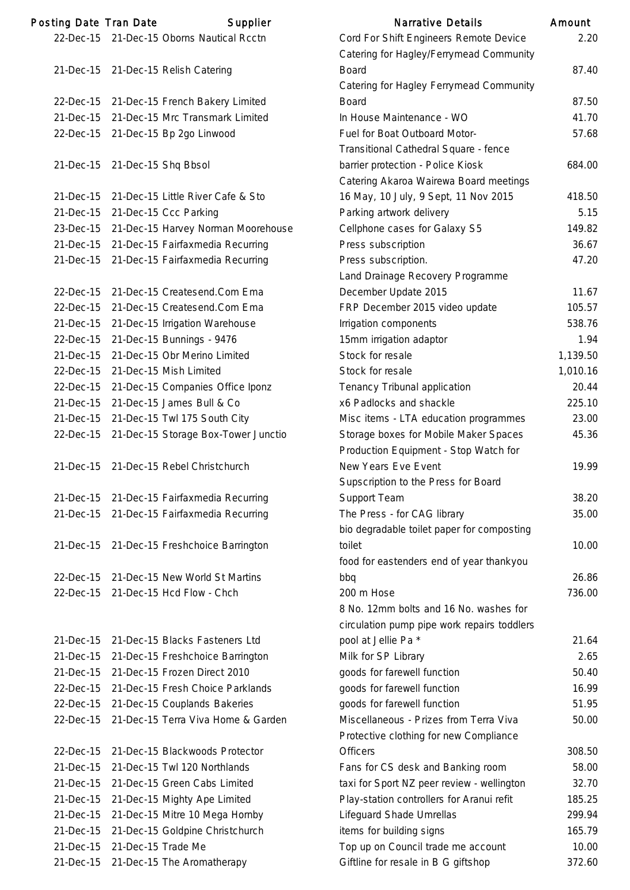| Posting Date Tran Date |                    | Supplier                             | <b>Narrative Details</b>                       | Amount   |
|------------------------|--------------------|--------------------------------------|------------------------------------------------|----------|
| 22-Dec-15              |                    | 21-Dec-15 Oborns Nautical Rcctn      | Cord For Shift Engineers Remote Device         | 2.20     |
|                        |                    |                                      | Catering for Hagley/Ferrymead Community        |          |
|                        |                    | 21-Dec-15 21-Dec-15 Relish Catering  | <b>Board</b>                                   | 87.40    |
|                        |                    |                                      | <b>Catering for Hagley Ferrymead Community</b> |          |
| 22-Dec-15              |                    | 21-Dec-15 French Bakery Limited      | <b>Board</b>                                   | 87.50    |
| 21-Dec-15              |                    | 21-Dec-15 Mrc Transmark Limited      | In House Maintenance - WO                      | 41.70    |
| 22-Dec-15              |                    | 21-Dec-15 Bp 2go Linwood             | Fuel for Boat Outboard Motor-                  | 57.68    |
|                        |                    |                                      | Transitional Cathedral Square - fence          |          |
| 21-Dec-15              |                    | 21-Dec-15 Shq Bbsol                  | barrier protection - Police Kiosk              | 684.00   |
|                        |                    |                                      | Catering Akaroa Wairewa Board meetings         |          |
| 21-Dec-15              |                    | 21-Dec-15 Little River Cafe & Sto    | 16 May, 10 July, 9 Sept, 11 Nov 2015           | 418.50   |
| 21-Dec-15              |                    | 21-Dec-15 Ccc Parking                | Parking artwork delivery                       | 5.15     |
| 23-Dec-15              |                    | 21-Dec-15 Harvey Norman Moorehouse   | Cellphone cases for Galaxy S5                  | 149.82   |
| 21-Dec-15              |                    | 21-Dec-15 Fairfaxmedia Recurring     | Press subscription                             | 36.67    |
| 21-Dec-15              |                    | 21-Dec-15 Fairfaxmedia Recurring     | Press subscription.                            | 47.20    |
|                        |                    |                                      | Land Drainage Recovery Programme               |          |
| 22-Dec-15              |                    | 21-Dec-15 Createsend.Com Ema         | December Update 2015                           | 11.67    |
| 22-Dec-15              |                    | 21-Dec-15 Createsend.Com Ema         | FRP December 2015 video update                 | 105.57   |
| 21-Dec-15              |                    | 21-Dec-15 Irrigation Warehouse       | Irrigation components                          | 538.76   |
| 22-Dec-15              |                    | 21-Dec-15 Bunnings - 9476            | 15mm irrigation adaptor                        | 1.94     |
| 21-Dec-15              |                    | 21-Dec-15 Obr Merino Limited         | Stock for resale                               | 1,139.50 |
| 22-Dec-15              |                    | 21-Dec-15 Mish Limited               | Stock for resale                               | 1,010.16 |
| 22-Dec-15              |                    | 21-Dec-15 Companies Office Iponz     | Tenancy Tribunal application                   | 20.44    |
| 21-Dec-15              |                    | 21-Dec-15 James Bull & Co            | x6 Padlocks and shackle                        | 225.10   |
| 21-Dec-15              |                    | 21-Dec-15 Twl 175 South City         | Misc items - LTA education programmes          | 23.00    |
| 22-Dec-15              |                    | 21-Dec-15 Storage Box-Tower Junctio  | Storage boxes for Mobile Maker Spaces          | 45.36    |
|                        |                    |                                      | Production Equipment - Stop Watch for          |          |
| 21-Dec-15              |                    | 21-Dec-15 Rebel Christchurch         | New Years Eve Event                            | 19.99    |
|                        |                    |                                      | Supscription to the Press for Board            |          |
| 21-Dec-15              |                    | 21-Dec-15 Fairfaxmedia Recurring     | Support Team                                   | 38.20    |
| 21-Dec-15              |                    | 21-Dec-15 Fairfaxmedia Recurring     | The Press - for CAG library                    | 35.00    |
|                        |                    |                                      | bio degradable toilet paper for composting     |          |
| 21-Dec-15              |                    | 21-Dec-15 Freshchoice Barrington     | toilet                                         | 10.00    |
|                        |                    |                                      | food for eastenders end of year thankyou       |          |
| 22-Dec-15              |                    | 21-Dec-15 New World St Martins       | bbq                                            | 26.86    |
| 22-Dec-15              |                    | 21-Dec-15 Hcd Flow - Chch            | 200 m Hose                                     | 736.00   |
|                        |                    |                                      | 8 No. 12mm bolts and 16 No. washes for         |          |
|                        |                    |                                      | circulation pump pipe work repairs toddlers    |          |
| 21-Dec-15              |                    | 21-Dec-15 Blacks Fasteners Ltd       | pool at Jellie Pa *                            | 21.64    |
| 21-Dec-15              |                    | 21-Dec-15 Freshchoice Barrington     | Milk for SP Library                            | 2.65     |
| 21-Dec-15              |                    | 21-Dec-15 Frozen Direct 2010         | goods for farewell function                    | 50.40    |
| 22-Dec-15              |                    | 21-Dec-15 Fresh Choice Parklands     | goods for farewell function                    | 16.99    |
| 22-Dec-15              |                    | 21-Dec-15 Couplands Bakeries         | goods for farewell function                    | 51.95    |
| 22-Dec-15              |                    | 21-Dec-15 Terra Viva Home & Garden   | Miscellaneous - Prizes from Terra Viva         | 50.00    |
|                        |                    |                                      | Protective clothing for new Compliance         |          |
| 22-Dec-15              |                    | 21-Dec-15 Blackwoods Protector       | <b>Officers</b>                                | 308.50   |
| 21-Dec-15              |                    | 21-Dec-15 Twl 120 Northlands         | Fans for CS desk and Banking room              | 58.00    |
| 21-Dec-15              |                    | 21-Dec-15 Green Cabs Limited         | taxi for Sport NZ peer review - wellington     | 32.70    |
| 21-Dec-15              |                    | 21-Dec-15 Mighty Ape Limited         | Play-station controllers for Aranui refit      | 185.25   |
| 21-Dec-15              |                    | 21-Dec-15 Mitre 10 Mega Hornby       | Lifeguard Shade Umrellas                       | 299.94   |
| 21-Dec-15              |                    | 21-Dec-15 Goldpine Christchurch      | items for building signs                       | 165.79   |
| 21-Dec-15              | 21-Dec-15 Trade Me |                                      | Top up on Council trade me account             | 10.00    |
|                        |                    | 21-Dec-15 21-Dec-15 The Aromatherapy | Giftline for resale in B G giftshop            | 372.60   |

|           | ing Date Tran Date | Supplier                                   | Narrative Details                           | Amount   |
|-----------|--------------------|--------------------------------------------|---------------------------------------------|----------|
|           |                    | 22-Dec-15 21-Dec-15 Oborns Nautical Rcctn  | Cord For Shift Engineers Remote Device      | 2.20     |
|           |                    |                                            | Catering for Hagley/Ferrymead Community     |          |
|           |                    | 21-Dec-15 21-Dec-15 Relish Catering        | <b>Board</b>                                | 87.40    |
|           |                    |                                            | Catering for Hagley Ferrymead Community     |          |
| 22-Dec-15 |                    | 21-Dec-15 French Bakery Limited            | <b>Board</b>                                | 87.50    |
| 21-Dec-15 |                    | 21-Dec-15 Mrc Transmark Limited            | In House Maintenance - WO                   | 41.70    |
| 22-Dec-15 |                    | 21-Dec-15 Bp 2go Linwood                   | Fuel for Boat Outboard Motor-               | 57.68    |
|           |                    |                                            | Transitional Cathedral Square - fence       |          |
| 21-Dec-15 |                    | 21-Dec-15 Shq Bbsol                        | barrier protection - Police Kiosk           | 684.00   |
|           |                    |                                            | Catering Akaroa Wairewa Board meetings      |          |
| 21-Dec-15 |                    | 21-Dec-15 Little River Cafe & Sto          | 16 May, 10 July, 9 Sept, 11 Nov 2015        | 418.50   |
| 21-Dec-15 |                    | 21-Dec-15 Ccc Parking                      | Parking artwork delivery                    | 5.15     |
| 23-Dec-15 |                    | 21-Dec-15 Harvey Norman Moorehouse         | Cellphone cases for Galaxy S5               | 149.82   |
| 21-Dec-15 |                    | 21-Dec-15 Fairfaxmedia Recurring           | Press subscription                          | 36.67    |
| 21-Dec-15 |                    | 21-Dec-15 Fairfaxmedia Recurring           | Press subscription.                         | 47.20    |
|           |                    |                                            | Land Drainage Recovery Programme            |          |
| 22-Dec-15 |                    | 21-Dec-15 Createsend.Com Ema               | December Update 2015                        | 11.67    |
| 22-Dec-15 |                    | 21-Dec-15 Createsend.Com Ema               | FRP December 2015 video update              | 105.57   |
| 21-Dec-15 |                    | 21-Dec-15 Irrigation Warehouse             | Irrigation components                       | 538.76   |
| 22-Dec-15 |                    | 21-Dec-15 Bunnings - 9476                  | 15mm irrigation adaptor                     | 1.94     |
| 21-Dec-15 |                    | 21-Dec-15 Obr Merino Limited               | Stock for resale                            | 1,139.50 |
| 22-Dec-15 |                    | 21-Dec-15 Mish Limited                     | Stock for resale                            | 1,010.16 |
| 22-Dec-15 |                    | 21-Dec-15 Companies Office Iponz           | Tenancy Tribunal application                | 20.44    |
| 21-Dec-15 |                    | 21-Dec-15 James Bull & Co                  | x6 Padlocks and shackle                     | 225.10   |
| 21-Dec-15 |                    | 21-Dec-15 Twl 175 South City               | Misc items - LTA education programmes       | 23.00    |
| 22-Dec-15 |                    | 21-Dec-15 Storage Box-Tower Junctio        | Storage boxes for Mobile Maker Spaces       | 45.36    |
|           |                    |                                            | Production Equipment - Stop Watch for       |          |
| 21-Dec-15 |                    | 21-Dec-15 Rebel Christchurch               | New Years Eve Event                         | 19.99    |
|           |                    |                                            | Supscription to the Press for Board         |          |
| 21-Dec-15 |                    | 21-Dec-15 Fairfaxmedia Recurring           | <b>Support Team</b>                         | 38.20    |
| 21-Dec-15 |                    | 21-Dec-15 Fairfaxmedia Recurring           | The Press - for CAG library                 | 35.00    |
|           |                    |                                            | bio degradable toilet paper for composting  |          |
|           |                    | 21-Dec-15 21-Dec-15 Freshchoice Barrington | toilet                                      | 10.00    |
|           |                    |                                            | food for eastenders end of year thankyou    |          |
| 22-Dec-15 |                    | 21-Dec-15 New World St Martins             | bbq                                         | 26.86    |
| 22-Dec-15 |                    | 21-Dec-15 Hcd Flow - Chch                  | 200 m Hose                                  | 736.00   |
|           |                    |                                            | 8 No. 12mm bolts and 16 No. washes for      |          |
|           |                    |                                            | circulation pump pipe work repairs toddlers |          |
| 21-Dec-15 |                    | 21-Dec-15 Blacks Fasteners Ltd             | pool at Jellie Pa *                         | 21.64    |
| 21-Dec-15 |                    | 21-Dec-15 Freshchoice Barrington           | Milk for SP Library                         | 2.65     |
| 21-Dec-15 |                    | 21-Dec-15 Frozen Direct 2010               | goods for farewell function                 | 50.40    |
| 22-Dec-15 |                    | 21-Dec-15 Fresh Choice Parklands           | goods for farewell function                 | 16.99    |
| 22-Dec-15 |                    | 21-Dec-15 Couplands Bakeries               | goods for farewell function                 | 51.95    |
| 22-Dec-15 |                    | 21-Dec-15 Terra Viva Home & Garden         | Miscellaneous - Prizes from Terra Viva      | 50.00    |
|           |                    |                                            | Protective clothing for new Compliance      |          |
| 22-Dec-15 |                    | 21-Dec-15 Blackwoods Protector             | <b>Officers</b>                             | 308.50   |
| 21-Dec-15 |                    | 21-Dec-15 Twl 120 Northlands               | Fans for CS desk and Banking room           | 58.00    |
| 21-Dec-15 |                    | 21-Dec-15 Green Cabs Limited               | taxi for Sport NZ peer review - wellington  | 32.70    |
| 21-Dec-15 |                    | 21-Dec-15 Mighty Ape Limited               | Play-station controllers for Aranui refit   | 185.25   |
| 21-Dec-15 |                    | 21-Dec-15 Mitre 10 Mega Hornby             | Lifeguard Shade Umrellas                    | 299.94   |
| 21-Dec-15 |                    | 21-Dec-15 Goldpine Christchurch            | items for building signs                    | 165.79   |
| 21-Dec-15 | 21-Dec-15 Trade Me |                                            | Top up on Council trade me account          | 10.00    |
| 21-Dec-15 |                    | 21-Dec-15 The Aromatherapy                 | Giftline for resale in B G giftshop         | 372.60   |
|           |                    |                                            |                                             |          |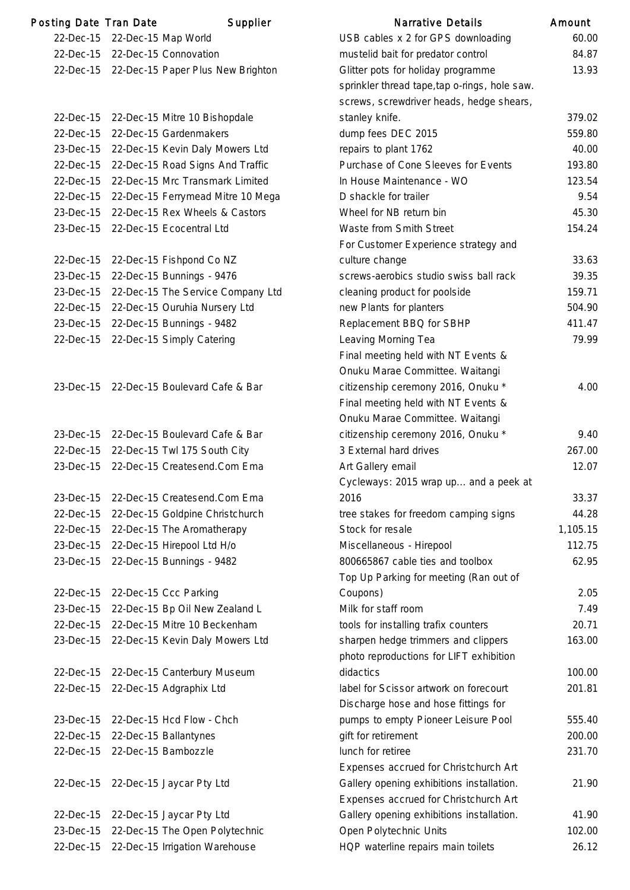| Posting Date Tran Date | Supplier                                    | <b>Narrative Details</b>                      | Amount  |
|------------------------|---------------------------------------------|-----------------------------------------------|---------|
| 22-Dec-15              | 22-Dec-15 Map World                         | USB cables x 2 for GPS downloading            | 60.0    |
| 22-Dec-15              | 22-Dec-15 Connovation                       | mustelid bait for predator control            | 84.8    |
|                        | 22-Dec-15 22-Dec-15 Paper Plus New Brighton | Glitter pots for holiday programme            | 13.9    |
|                        |                                             | sprinkler thread tape, tap o-rings, hole saw. |         |
|                        |                                             | screws, screwdriver heads, hedge shears,      |         |
| 22-Dec-15              | 22-Dec-15 Mitre 10 Bishopdale               | stanley knife.                                | 379.0   |
| 22-Dec-15              | 22-Dec-15 Gardenmakers                      | dump fees DEC 2015                            | 559.8   |
| 23-Dec-15              | 22-Dec-15 Kevin Daly Mowers Ltd             | repairs to plant 1762                         | 40.0    |
| 22-Dec-15              | 22-Dec-15 Road Signs And Traffic            | Purchase of Cone Sleeves for Events           | 193.8   |
| 22-Dec-15              | 22-Dec-15 Mrc Transmark Limited             | In House Maintenance - WO                     | 123.    |
| 22-Dec-15              | 22-Dec-15 Ferrymead Mitre 10 Mega           | D shackle for trailer                         | 9.5     |
| 23-Dec-15              | 22-Dec-15 Rex Wheels & Castors              | Wheel for NB return bin                       | 45.3    |
| 23-Dec-15              | 22-Dec-15 Ecocentral Ltd                    | Waste from Smith Street                       | 154.2   |
|                        |                                             | For Customer Experience strategy and          |         |
| 22-Dec-15              | 22-Dec-15 Fishpond Co NZ                    | culture change                                | 33.6    |
| 23-Dec-15              | 22-Dec-15 Bunnings - 9476                   | screws-aerobics studio swiss ball rack        | 39.3    |
| 23-Dec-15              | 22-Dec-15 The Service Company Ltd           | cleaning product for poolside                 | 159.    |
| 22-Dec-15              | 22-Dec-15 Ouruhia Nursery Ltd               | new Plants for planters                       | 504.9   |
| 23-Dec-15              | 22-Dec-15 Bunnings - 9482                   | Replacement BBQ for SBHP                      | 411.    |
| 22-Dec-15              | 22-Dec-15 Simply Catering                   | Leaving Morning Tea                           | 79.     |
|                        |                                             | Final meeting held with NT Events &           |         |
|                        |                                             | Onuku Marae Committee. Waitangi               |         |
| 23-Dec-15              | 22-Dec-15 Boulevard Cafe & Bar              | citizenship ceremony 2016, Onuku *            | 4.0     |
|                        |                                             | Final meeting held with NT Events &           |         |
|                        |                                             | Onuku Marae Committee. Waitangi               |         |
| 23-Dec-15              | 22-Dec-15 Boulevard Cafe & Bar              | citizenship ceremony 2016, Onuku*             | 9.4     |
| 22-Dec-15              | 22-Dec-15 Twl 175 South City                | 3 External hard drives                        | 267.0   |
| 23-Dec-15              | 22-Dec-15 Createsend.Com Ema                | Art Gallery email                             | 12.0    |
|                        |                                             | Cycleways: 2015 wrap up and a peek at         |         |
| 23-Dec-15              | 22-Dec-15 Createsend.Com Ema                | 2016                                          | 33.3    |
| 22-Dec-15              | 22-Dec-15 Goldpine Christchurch             | tree stakes for freedom camping signs         | 44.2    |
| 22-Dec-15              | 22-Dec-15 The Aromatherapy                  | Stock for resale                              | 1,105.7 |
| 23-Dec-15              | 22-Dec-15 Hirepool Ltd H/o                  | Miscellaneous - Hirepool                      | 112.    |
| 23-Dec-15              | 22-Dec-15 Bunnings - 9482                   | 800665867 cable ties and toolbox              | 62.9    |
|                        |                                             | Top Up Parking for meeting (Ran out of        |         |
| 22-Dec-15              | 22-Dec-15 Ccc Parking                       | Coupons)                                      | 2.0     |
| 23-Dec-15              | 22-Dec-15 Bp Oil New Zealand L              | Milk for staff room                           | 7.4     |
| 22-Dec-15              | 22-Dec-15 Mitre 10 Beckenham                | tools for installing trafix counters          | 20.7    |
| 23-Dec-15              | 22-Dec-15 Kevin Daly Mowers Ltd             | sharpen hedge trimmers and clippers           | 163.0   |
|                        |                                             | photo reproductions for LIFT exhibition       |         |
| 22-Dec-15              | 22-Dec-15 Canterbury Museum                 | didactics                                     | 100.0   |
| 22-Dec-15              | 22-Dec-15 Adgraphix Ltd                     | label for Scissor artwork on forecourt        | 201.8   |
|                        |                                             | Discharge hose and hose fittings for          |         |
| 23-Dec-15              | 22-Dec-15 Hcd Flow - Chch                   | pumps to empty Pioneer Leisure Pool           | 555.4   |
| 22-Dec-15              | 22-Dec-15 Ballantynes                       | gift for retirement                           | 200.0   |
| 22-Dec-15              | 22-Dec-15 Bambozzle                         | lunch for retiree                             | 231.    |
|                        |                                             | Expenses accrued for Christchurch Art         |         |
| 22-Dec-15              | 22-Dec-15 Jaycar Pty Ltd                    | Gallery opening exhibitions installation.     | 21.9    |
|                        |                                             | Expenses accrued for Christchurch Art         |         |
| 22-Dec-15              | 22-Dec-15 Jaycar Pty Ltd                    | Gallery opening exhibitions installation.     | 41.9    |
| 23-Dec-15              | 22-Dec-15 The Open Polytechnic              | Open Polytechnic Units                        | 102.0   |
| 22-Dec-15              | 22-Dec-15 Irrigation Warehouse              | HQP waterline repairs main toilets            | 26.7    |
|                        |                                             |                                               |         |

|                        | ing Date Tran Date | Supplier                                    | Narrative Details                                  | Amount   |
|------------------------|--------------------|---------------------------------------------|----------------------------------------------------|----------|
| 22-Dec-15              |                    | 22-Dec-15 Map World                         | USB cables x 2 for GPS downloading                 | 60.00    |
| 22-Dec-15              |                    | 22-Dec-15 Connovation                       | mustelid bait for predator control                 | 84.87    |
|                        |                    | 22-Dec-15 22-Dec-15 Paper Plus New Brighton | Glitter pots for holiday programme                 | 13.93    |
|                        |                    |                                             | sprinkler thread tape, tap o-rings, hole saw.      |          |
|                        |                    |                                             | screws, screwdriver heads, hedge shears,           |          |
| 22-Dec-15              |                    | 22-Dec-15 Mitre 10 Bishopdale               | stanley knife.                                     | 379.02   |
| 22-Dec-15              |                    | 22-Dec-15 Gardenmakers                      | dump fees DEC 2015                                 | 559.80   |
| 23-Dec-15              |                    | 22-Dec-15 Kevin Daly Mowers Ltd             | repairs to plant 1762                              | 40.00    |
| 22-Dec-15              |                    | 22-Dec-15 Road Signs And Traffic            | Purchase of Cone Sleeves for Events                | 193.80   |
| 22-Dec-15              |                    | 22-Dec-15 Mrc Transmark Limited             | In House Maintenance - WO                          | 123.54   |
| 22-Dec-15              |                    | 22-Dec-15 Ferrymead Mitre 10 Mega           | D shackle for trailer                              | 9.54     |
| 23-Dec-15              |                    | 22-Dec-15 Rex Wheels & Castors              | Wheel for NB return bin                            | 45.30    |
| 23-Dec-15              |                    | 22-Dec-15 Ecocentral Ltd                    | Waste from Smith Street                            | 154.24   |
|                        |                    |                                             | For Customer Experience strategy and               |          |
| 22-Dec-15              |                    | 22-Dec-15 Fishpond Co NZ                    | culture change                                     | 33.63    |
| 23-Dec-15              |                    | 22-Dec-15 Bunnings - 9476                   | screws-aerobics studio swiss ball rack             | 39.35    |
| 23-Dec-15              |                    | 22-Dec-15 The Service Company Ltd           | cleaning product for poolside                      | 159.71   |
| 22-Dec-15              |                    | 22-Dec-15 Ouruhia Nursery Ltd               | new Plants for planters                            | 504.90   |
| 23-Dec-15              |                    | 22-Dec-15 Bunnings - 9482                   | Replacement BBQ for SBHP                           | 411.47   |
| 22-Dec-15              |                    | 22-Dec-15 Simply Catering                   | Leaving Morning Tea                                | 79.99    |
|                        |                    |                                             | Final meeting held with NT Events &                |          |
|                        |                    |                                             | Onuku Marae Committee. Waitangi                    |          |
| 23-Dec-15              |                    | 22-Dec-15 Boulevard Cafe & Bar              | citizenship ceremony 2016, Onuku *                 | 4.00     |
|                        |                    |                                             | Final meeting held with NT Events &                |          |
|                        |                    |                                             | Onuku Marae Committee. Waitangi                    |          |
| 23-Dec-15              |                    | 22-Dec-15 Boulevard Cafe & Bar              | citizenship ceremony 2016, Onuku *                 | 9.40     |
| 22-Dec-15              |                    | 22-Dec-15 Twl 175 South City                | 3 External hard drives                             | 267.00   |
| 23-Dec-15              |                    | 22-Dec-15 Createsend.Com Ema                | Art Gallery email                                  | 12.07    |
|                        |                    |                                             | Cycleways: 2015 wrap up and a peek at              |          |
| 23-Dec-15              |                    | 22-Dec-15 Createsend.Com Ema                | 2016                                               | 33.37    |
| 22-Dec-15              |                    | 22-Dec-15 Goldpine Christchurch             | tree stakes for freedom camping signs              | 44.28    |
| 22-Dec-15              |                    | 22-Dec-15 The Aromatherapy                  | Stock for resale                                   | 1,105.15 |
| 23-Dec-15              |                    | 22-Dec-15 Hirepool Ltd H/o                  | Miscellaneous - Hirepool                           | 112.75   |
| 23-Dec-15              |                    | 22-Dec-15 Bunnings - 9482                   | 800665867 cable ties and toolbox                   | 62.95    |
|                        |                    | 22-Dec-15 Ccc Parking                       | Top Up Parking for meeting (Ran out of<br>Coupons) | 2.05     |
| 22-Dec-15<br>23-Dec-15 |                    | 22-Dec-15 Bp Oil New Zealand L              | Milk for staff room                                | 7.49     |
| 22-Dec-15              |                    | 22-Dec-15 Mitre 10 Beckenham                | tools for installing trafix counters               | 20.71    |
| 23-Dec-15              |                    | 22-Dec-15 Kevin Daly Mowers Ltd             | sharpen hedge trimmers and clippers                | 163.00   |
|                        |                    |                                             | photo reproductions for LIFT exhibition            |          |
| 22-Dec-15              |                    | 22-Dec-15 Canterbury Museum                 | didactics                                          | 100.00   |
| 22-Dec-15              |                    | 22-Dec-15 Adgraphix Ltd                     | label for Scissor artwork on forecourt             | 201.81   |
|                        |                    |                                             | Discharge hose and hose fittings for               |          |
| 23-Dec-15              |                    | 22-Dec-15 Hcd Flow - Chch                   | pumps to empty Pioneer Leisure Pool                | 555.40   |
| 22-Dec-15              |                    | 22-Dec-15 Ballantynes                       | gift for retirement                                | 200.00   |
| 22-Dec-15              |                    | 22-Dec-15 Bambozzle                         | lunch for retiree                                  | 231.70   |
|                        |                    |                                             | Expenses accrued for Christchurch Art              |          |
| 22-Dec-15              |                    | 22-Dec-15 Jaycar Pty Ltd                    | Gallery opening exhibitions installation.          | 21.90    |
|                        |                    |                                             | Expenses accrued for Christchurch Art              |          |
| 22-Dec-15              |                    | 22-Dec-15 Jaycar Pty Ltd                    | Gallery opening exhibitions installation.          | 41.90    |
| 23-Dec-15              |                    | 22-Dec-15 The Open Polytechnic              | Open Polytechnic Units                             | 102.00   |
| 22-Dec-15              |                    | 22-Dec-15 Irrigation Warehouse              | HQP waterline repairs main toilets                 | 26.12    |